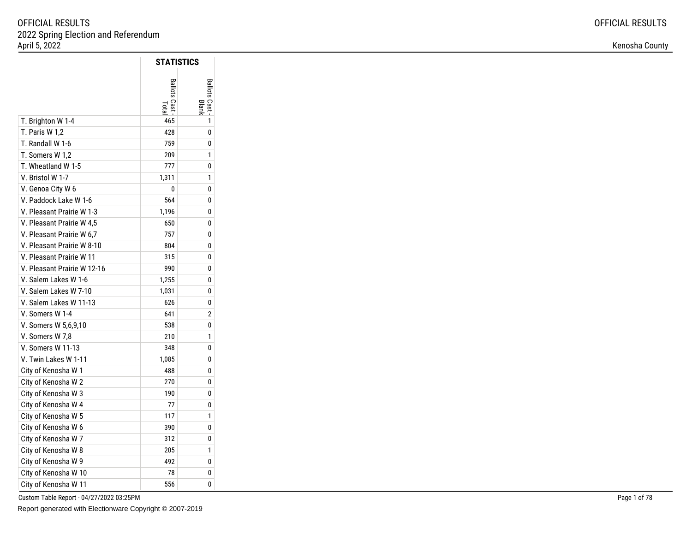|                             | STATISTICS   |              |
|-----------------------------|--------------|--------------|
|                             | Ballots Cast | Ballots Cast |
| T. Brighton W 1-4           | 465          | 1            |
| T. Paris W 1,2              | 428          | 0            |
| T. Randall W 1-6            | 759          | 0            |
| T. Somers W 1,2             | 209          | 1            |
| T. Wheatland W 1-5          | 777          | 0            |
| V. Bristol W 1-7            | 1,311        | 1            |
| V. Genoa City W 6           | 0            | 0            |
| V. Paddock Lake W 1-6       | 564          | 0            |
| V. Pleasant Prairie W 1-3   | 1,196        | 0            |
| V. Pleasant Prairie W 4,5   | 650          | 0            |
| V. Pleasant Prairie W 6,7   | 757          | 0            |
| V. Pleasant Prairie W 8-10  | 804          | 0            |
| V. Pleasant Prairie W 11    | 315          | 0            |
| V. Pleasant Prairie W 12-16 | 990          | 0            |
| V. Salem Lakes W 1-6        | 1,255        | 0            |
| V. Salem Lakes W 7-10       | 1,031        | 0            |
| V. Salem Lakes W 11-13      | 626          | 0            |
| V. Somers W 1-4             | 641          | 2            |
| V. Somers W 5,6,9,10        | 538          | 0            |
| V. Somers W 7,8             | 210          | 1            |
| V. Somers W 11-13           | 348          | 0            |
| V. Twin Lakes W 1-11        | 1,085        | 0            |
| City of Kenosha W 1         | 488          | 0            |
| City of Kenosha W 2         | 270          | 0            |
| City of Kenosha W 3         | 190          | 0            |
| City of Kenosha W 4         | 77           | 0            |
| City of Kenosha W 5         | 117          | 1            |
| City of Kenosha W 6         | 390          | 0            |
| City of Kenosha W 7         | 312          | 0            |
| City of Kenosha W 8         | 205          | 1            |
| City of Kenosha W 9         | 492          | 0            |
| City of Kenosha W 10        | 78           | 0            |
| City of Kenosha W 11        | 556          | 0            |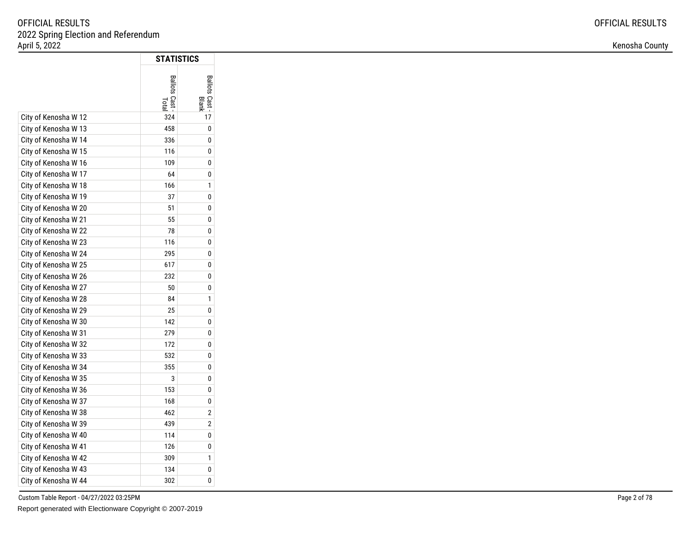| Kenosha County |  |
|----------------|--|
|----------------|--|

|                      | STATISTICS           |                       |
|----------------------|----------------------|-----------------------|
|                      | Ballots Cast<br>Lota | Ballots Cast<br>Blanl |
| City of Kenosha W 12 | 324                  | 17                    |
| City of Kenosha W 13 | 458                  | 0                     |
| City of Kenosha W 14 | 336                  | 0                     |
| City of Kenosha W 15 | 116                  | 0                     |
| City of Kenosha W 16 | 109                  | 0                     |
| City of Kenosha W 17 | 64                   | 0                     |
| City of Kenosha W 18 | 166                  | 1                     |
| City of Kenosha W 19 | 37                   | 0                     |
| City of Kenosha W 20 | 51                   | 0                     |
| City of Kenosha W 21 | 55                   | 0                     |
| City of Kenosha W 22 | 78                   | 0                     |
| City of Kenosha W 23 | 116                  | 0                     |
| City of Kenosha W 24 | 295                  | 0                     |
| City of Kenosha W 25 | 617                  | 0                     |
| City of Kenosha W 26 | 232                  | 0                     |
| City of Kenosha W 27 | 50                   | 0                     |
| City of Kenosha W 28 | 84                   | 1                     |
| City of Kenosha W 29 | 25                   | 0                     |
| City of Kenosha W 30 | 142                  | 0                     |
| City of Kenosha W 31 | 279                  | 0                     |
| City of Kenosha W 32 | 172                  | 0                     |
| City of Kenosha W 33 | 532                  | 0                     |
| City of Kenosha W 34 | 355                  | 0                     |
| City of Kenosha W 35 | 3                    | 0                     |
| City of Kenosha W 36 | 153                  | 0                     |
| City of Kenosha W 37 | 168                  | 0                     |
| City of Kenosha W 38 | 462                  | 2                     |
| City of Kenosha W 39 | 439                  | 2                     |
| City of Kenosha W 40 | 114                  | 0                     |
| City of Kenosha W 41 | 126                  | 0                     |
| City of Kenosha W 42 | 309                  | 1                     |
| City of Kenosha W 43 | 134                  | 0                     |
| City of Kenosha W 44 | 302                  | 0                     |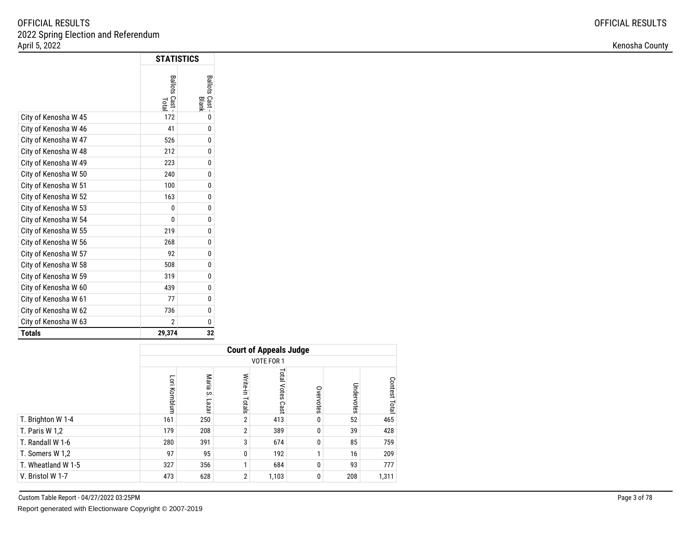|                      | <b>STATISTICS</b>       |                       |  |
|----------------------|-------------------------|-----------------------|--|
|                      | Ballots Cast -<br>Total | Ballots Cast<br>Blank |  |
| City of Kenosha W 45 | 172                     | 0                     |  |
| City of Kenosha W 46 | 41                      | 0                     |  |
| City of Kenosha W 47 | 526                     | 0                     |  |
| City of Kenosha W 48 | 212                     | 0                     |  |
| City of Kenosha W 49 | 223                     | 0                     |  |
| City of Kenosha W 50 | 240                     | 0                     |  |
| City of Kenosha W 51 | 100                     | 0                     |  |
| City of Kenosha W 52 | 163                     | 0                     |  |
| City of Kenosha W 53 | 0                       | 0                     |  |
| City of Kenosha W 54 | 0                       | 0                     |  |
| City of Kenosha W 55 | 219                     | 0                     |  |
| City of Kenosha W 56 | 268                     | 0                     |  |
| City of Kenosha W 57 | 92                      | 0                     |  |
| City of Kenosha W 58 | 508                     | 0                     |  |
| City of Kenosha W 59 | 319                     | 0                     |  |
| City of Kenosha W 60 | 439                     | 0                     |  |
| City of Kenosha W 61 | 77                      | 0                     |  |
| City of Kenosha W 62 | 736                     | 0                     |  |
| City of Kenosha W 63 | 2                       | 0                     |  |
| <b>Totals</b>        | 29,374                  | 32                    |  |

|                    |               | <b>Court of Appeals Judge</b> |                 |                        |           |            |               |  |  |  |
|--------------------|---------------|-------------------------------|-----------------|------------------------|-----------|------------|---------------|--|--|--|
|                    |               | VOTE FOR 1                    |                 |                        |           |            |               |  |  |  |
|                    | Lori Kornblum | Maria<br>S<br>Lazar           | Write-in Totals | Total<br>Votes<br>Cast | Overvotes | Undervotes | Contest Total |  |  |  |
| T. Brighton W 1-4  | 161           | 250                           | $\overline{2}$  | 413                    | 0         | 52         | 465           |  |  |  |
| T. Paris W 1,2     | 179           | 208                           | $\overline{2}$  | 389                    | 0         | 39         | 428           |  |  |  |
| T. Randall W 1-6   | 280           | 391                           | 3               | 674                    | 0         | 85         | 759           |  |  |  |
| T. Somers W 1,2    | 97            | 95                            | 0               | 192                    | и         | 16         | 209           |  |  |  |
| T. Wheatland W 1-5 | 327           | 356                           | 1               | 684                    | 0         | 93         | 777           |  |  |  |
| V. Bristol W 1-7   | 473           | 628                           | $\overline{2}$  | 1,103                  | 0         | 208        | 1,311         |  |  |  |

Custom Table Report - 04/27/2022 03:25PM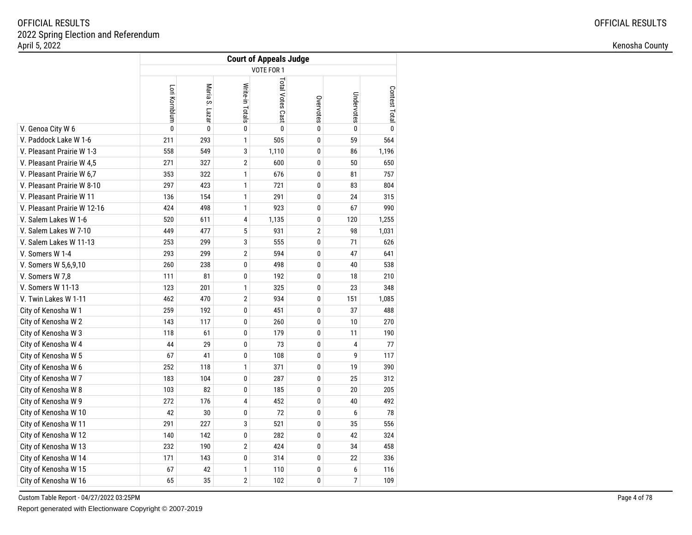|                             | <b>Court of Appeals Judge</b> |                   |                 |                  |           |                |               |  |
|-----------------------------|-------------------------------|-------------------|-----------------|------------------|-----------|----------------|---------------|--|
|                             | VOTE FOR 1                    |                   |                 |                  |           |                |               |  |
|                             | Lori Kornblum                 | Maria S.<br>Lazar | Write-in Totals | Total Votes Cast | Overvotes | Undervotes     | Contest Total |  |
| V. Genoa City W 6           | $\mathbf{0}$                  | $\mathbf{0}$      | 0               | $\mathbf{0}$     | 0         | $\mathbf{0}$   | $\mathbf{0}$  |  |
| V. Paddock Lake W 1-6       | 211                           | 293               | 1               | 505              | 0         | 59             | 564           |  |
| V. Pleasant Prairie W 1-3   | 558                           | 549               | 3               | 1,110            | 0         | 86             | 1,196         |  |
| V. Pleasant Prairie W 4,5   | 271                           | 327               | $\overline{2}$  | 600              | 0         | 50             | 650           |  |
| V. Pleasant Prairie W 6,7   | 353                           | 322               | $\mathbf{1}$    | 676              | 0         | 81             | 757           |  |
| V. Pleasant Prairie W 8-10  | 297                           | 423               | 1               | 721              | 0         | 83             | 804           |  |
| V. Pleasant Prairie W 11    | 136                           | 154               | 1               | 291              | 0         | 24             | 315           |  |
| V. Pleasant Prairie W 12-16 | 424                           | 498               | $\mathbf{1}$    | 923              | 0         | 67             | 990           |  |
| V. Salem Lakes W 1-6        | 520                           | 611               | 4               | 1,135            | 0         | 120            | 1,255         |  |
| V. Salem Lakes W 7-10       | 449                           | 477               | 5               | 931              | 2         | 98             | 1,031         |  |
| V. Salem Lakes W 11-13      | 253                           | 299               | 3               | 555              | 0         | 71             | 626           |  |
| V. Somers W 1-4             | 293                           | 299               | $\overline{2}$  | 594              | 0         | 47             | 641           |  |
| V. Somers W 5,6,9,10        | 260                           | 238               | 0               | 498              | 0         | 40             | 538           |  |
| V. Somers W 7,8             | 111                           | 81                | 0               | 192              | 0         | 18             | 210           |  |
| V. Somers W 11-13           | 123                           | 201               | 1               | 325              | 0         | 23             | 348           |  |
| V. Twin Lakes W 1-11        | 462                           | 470               | $\overline{2}$  | 934              | 0         | 151            | 1,085         |  |
| City of Kenosha W 1         | 259                           | 192               | 0               | 451              | 0         | 37             | 488           |  |
| City of Kenosha W 2         | 143                           | 117               | 0               | 260              | 0         | 10             | 270           |  |
| City of Kenosha W 3         | 118                           | 61                | 0               | 179              | 0         | 11             | 190           |  |
| City of Kenosha W 4         | 44                            | 29                | 0               | 73               | 0         | 4              | 77            |  |
| City of Kenosha W 5         | 67                            | 41                | 0               | 108              | 0         | 9              | 117           |  |
| City of Kenosha W 6         | 252                           | 118               | $\mathbf{1}$    | 371              | 0         | 19             | 390           |  |
| City of Kenosha W 7         | 183                           | 104               | 0               | 287              | 0         | 25             | 312           |  |
| City of Kenosha W 8         | 103                           | 82                | 0               | 185              | 0         | 20             | 205           |  |
| City of Kenosha W 9         | 272                           | 176               | 4               | 452              | 0         | 40             | 492           |  |
| City of Kenosha W 10        | 42                            | 30                | 0               | 72               | 0         | 6              | 78            |  |
| City of Kenosha W 11        | 291                           | 227               | 3               | 521              | 0         | 35             | 556           |  |
| City of Kenosha W 12        | 140                           | 142               | 0               | 282              | 0         | 42             | 324           |  |
| City of Kenosha W 13        | 232                           | 190               | 2               | 424              | 0         | 34             | 458           |  |
| City of Kenosha W 14        | 171                           | 143               | 0               | 314              | 0         | 22             | 336           |  |
| City of Kenosha W 15        | 67                            | 42                | 1               | 110              | 0         | 6              | 116           |  |
| City of Kenosha W 16        | 65                            | 35                | $\overline{2}$  | 102              | 0         | $\overline{7}$ | 109           |  |

Custom Table Report - 04/27/2022 03:25PM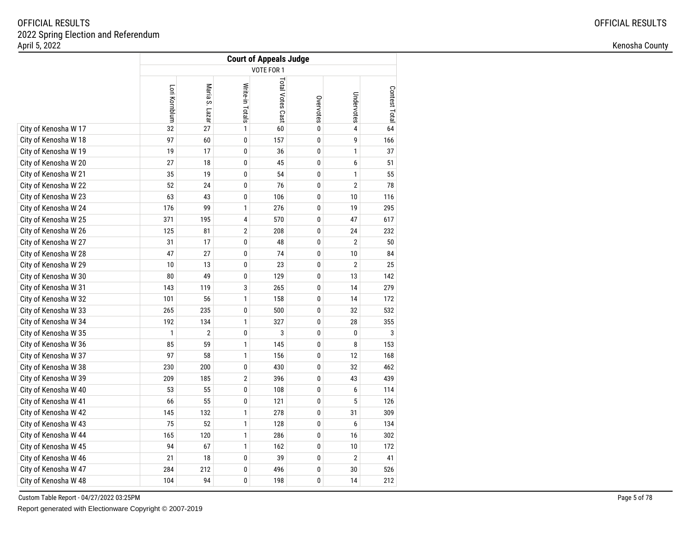|                      | <b>Court of Appeals Judge</b> |                          |                 |                  |             |                |               |  |  |
|----------------------|-------------------------------|--------------------------|-----------------|------------------|-------------|----------------|---------------|--|--|
|                      | VOTE FOR 1                    |                          |                 |                  |             |                |               |  |  |
|                      | Lori Kornblum                 | Maria S.<br><b>Lazar</b> | Write-in Totals | Total Votes Cast | Overvotes   | Undervotes     | Contest Total |  |  |
| City of Kenosha W 17 | 32                            | 27                       | 1               | 60               | $\mathbf 0$ | 4              | 64            |  |  |
| City of Kenosha W 18 | 97                            | 60                       | 0               | 157              | $\pmb{0}$   | 9              | 166           |  |  |
| City of Kenosha W 19 | 19                            | 17                       | 0               | 36               | $\pmb{0}$   | 1              | 37            |  |  |
| City of Kenosha W 20 | 27                            | 18                       | 0               | 45               | 0           | 6              | 51            |  |  |
| City of Kenosha W 21 | 35                            | 19                       | 0               | 54               | 0           | 1              | 55            |  |  |
| City of Kenosha W 22 | 52                            | 24                       | 0               | 76               | 0           | $\overline{2}$ | 78            |  |  |
| City of Kenosha W 23 | 63                            | 43                       | 0               | 106              | 0           | 10             | 116           |  |  |
| City of Kenosha W 24 | 176                           | 99                       | 1               | 276              | 0           | 19             | 295           |  |  |
| City of Kenosha W 25 | 371                           | 195                      | 4               | 570              | 0           | 47             | 617           |  |  |
| City of Kenosha W 26 | 125                           | 81                       | 2               | 208              | 0           | 24             | 232           |  |  |
| City of Kenosha W 27 | 31                            | 17                       | 0               | 48               | 0           | $\overline{2}$ | 50            |  |  |
| City of Kenosha W 28 | 47                            | 27                       | 0               | 74               | 0           | 10             | 84            |  |  |
| City of Kenosha W 29 | 10                            | 13                       | 0               | 23               | 0           | $\overline{2}$ | 25            |  |  |
| City of Kenosha W 30 | 80                            | 49                       | 0               | 129              | 0           | 13             | 142           |  |  |
| City of Kenosha W 31 | 143                           | 119                      | 3               | 265              | 0           | 14             | 279           |  |  |
| City of Kenosha W 32 | 101                           | 56                       | 1               | 158              | 0           | 14             | 172           |  |  |
| City of Kenosha W 33 | 265                           | 235                      | 0               | 500              | $\pmb{0}$   | 32             | 532           |  |  |
| City of Kenosha W 34 | 192                           | 134                      | 1               | 327              | $\pmb{0}$   | 28             | 355           |  |  |
| City of Kenosha W 35 | 1                             | $\overline{2}$           | 0               | 3                | 0           | 0              | 3             |  |  |
| City of Kenosha W 36 | 85                            | 59                       | $\mathbf{1}$    | 145              | 0           | 8              | 153           |  |  |
| City of Kenosha W 37 | 97                            | 58                       | 1               | 156              | 0           | 12             | 168           |  |  |
| City of Kenosha W 38 | 230                           | 200                      | 0               | 430              | 0           | 32             | 462           |  |  |
| City of Kenosha W 39 | 209                           | 185                      | $\overline{2}$  | 396              | 0           | 43             | 439           |  |  |
| City of Kenosha W 40 | 53                            | 55                       | 0               | 108              | 0           | 6              | 114           |  |  |
| City of Kenosha W 41 | 66                            | 55                       | 0               | 121              | 0           | 5              | 126           |  |  |
| City of Kenosha W 42 | 145                           | 132                      | 1               | 278              | 0           | 31             | 309           |  |  |
| City of Kenosha W 43 | 75                            | 52                       | 1               | 128              | $\pmb{0}$   | 6              | 134           |  |  |
| City of Kenosha W 44 | 165                           | 120                      | 1               | 286              | $\pmb{0}$   | 16             | 302           |  |  |
| City of Kenosha W 45 | 94                            | 67                       | 1               | 162              | 0           | 10             | 172           |  |  |
| City of Kenosha W 46 | 21                            | 18                       | 0               | 39               | 0           | $\overline{2}$ | 41            |  |  |
| City of Kenosha W 47 | 284                           | 212                      | 0               | 496              | 0           | 30             | 526           |  |  |
| City of Kenosha W 48 | 104                           | 94                       | 0               | 198              | 0           | 14             | 212           |  |  |

Custom Table Report - 04/27/2022 03:25PM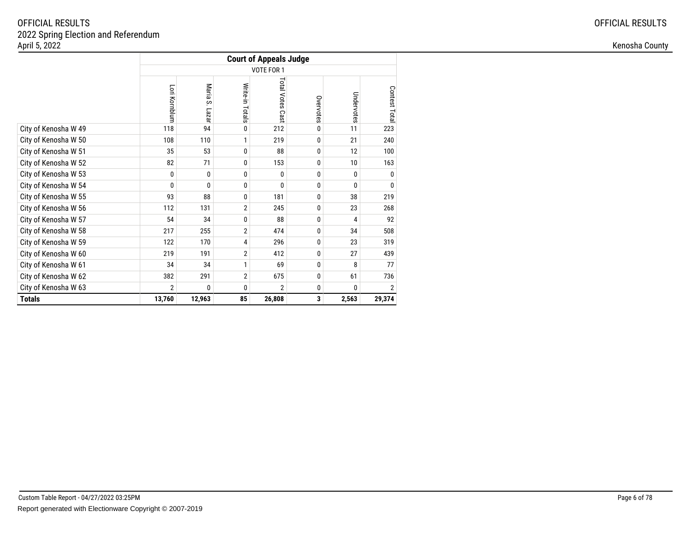|                      | <b>Court of Appeals Judge</b> |                       |                 |                            |           |            |               |
|----------------------|-------------------------------|-----------------------|-----------------|----------------------------|-----------|------------|---------------|
|                      | VOTE FOR 1                    |                       |                 |                            |           |            |               |
|                      | Lori Kornblum                 | Maria<br>ပ္ပ<br>Lazar | Write-in Totals | <b>Total Votes</b><br>Cast | Overvotes | Undervotes | Contest Total |
| City of Kenosha W 49 | 118                           | 94                    | 0               | 212                        | 0         | 11         | 223           |
| City of Kenosha W 50 | 108                           | 110                   | 1               | 219                        | $\Omega$  | 21         | 240           |
| City of Kenosha W 51 | 35                            | 53                    | 0               | 88                         | 0         | 12         | 100           |
| City of Kenosha W 52 | 82                            | 71                    | 0               | 153                        | 0         | 10         | 163           |
| City of Kenosha W 53 | 0                             | 0                     | 0               | $\Omega$                   | 0         | 0          | 0             |
| City of Kenosha W 54 | 0                             | $\mathbf{0}$          | 0               | 0                          | 0         | 0          | 0             |
| City of Kenosha W 55 | 93                            | 88                    | 0               | 181                        | 0         | 38         | 219           |
| City of Kenosha W 56 | 112                           | 131                   | $\overline{2}$  | 245                        | 0         | 23         | 268           |
| City of Kenosha W 57 | 54                            | 34                    | 0               | 88                         | 0         | 4          | 92            |
| City of Kenosha W 58 | 217                           | 255                   | $\overline{2}$  | 474                        | 0         | 34         | 508           |
| City of Kenosha W 59 | 122                           | 170                   | 4               | 296                        | 0         | 23         | 319           |
| City of Kenosha W 60 | 219                           | 191                   | $\overline{2}$  | 412                        | 0         | 27         | 439           |
| City of Kenosha W 61 | 34                            | 34                    | 1               | 69                         | 0         | 8          | 77            |
| City of Kenosha W 62 | 382                           | 291                   | $\overline{2}$  | 675                        | 0         | 61         | 736           |
| City of Kenosha W 63 | $\overline{2}$                | 0                     | 0               | $\overline{2}$             | 0         | 0          | 2             |
| <b>Totals</b>        | 13,760                        | 12,963                | 85              | 26,808                     | 3         | 2,563      | 29,374        |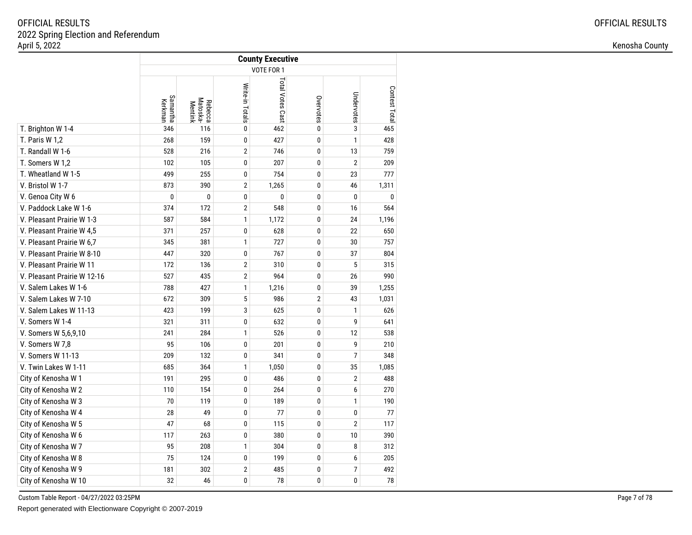|                             | <b>County Executive</b> |                                |                 |                  |                |                |               |  |  |
|-----------------------------|-------------------------|--------------------------------|-----------------|------------------|----------------|----------------|---------------|--|--|
|                             |                         |                                |                 | VOTE FOR 1       |                |                |               |  |  |
|                             | Samantha<br>Kerkman     | Matoska-<br>Rebecca<br>Mentink | Write-in Totals | Total Votes Cast | Overvotes      | Undervotes     | Contest Total |  |  |
| T. Brighton W 1-4           | 346                     | 116                            | 0               | 462              | $\mathbf 0$    | 3              | 465           |  |  |
| T. Paris W 1,2              | 268                     | 159                            | $\mathbf 0$     | 427              | $\mathbf 0$    | $\mathbf{1}$   | 428           |  |  |
| T. Randall W 1-6            | 528                     | 216                            | $\overline{2}$  | 746              | $\mathbf 0$    | 13             | 759           |  |  |
| T. Somers W 1,2             | 102                     | 105                            | 0               | 207              | $\mathbf{0}$   | $\sqrt{2}$     | 209           |  |  |
| T. Wheatland W 1-5          | 499                     | 255                            | 0               | 754              | 0              | 23             | 777           |  |  |
| V. Bristol W 1-7            | 873                     | 390                            | $\overline{2}$  | 1,265            | 0              | 46             | 1,311         |  |  |
| V. Genoa City W 6           | 0                       | $\bf{0}$                       | $\mathbf 0$     | 0                | 0              | $\mathbf{0}$   | 0             |  |  |
| V. Paddock Lake W 1-6       | 374                     | 172                            | $\overline{2}$  | 548              | 0              | 16             | 564           |  |  |
| V. Pleasant Prairie W 1-3   | 587                     | 584                            | 1               | 1,172            | 0              | 24             | 1,196         |  |  |
| V. Pleasant Prairie W 4,5   | 371                     | 257                            | 0               | 628              | $\pmb{0}$      | 22             | 650           |  |  |
| V. Pleasant Prairie W 6,7   | 345                     | 381                            | 1               | 727              | 0              | 30             | 757           |  |  |
| V. Pleasant Prairie W 8-10  | 447                     | 320                            | 0               | 767              | 0              | 37             | 804           |  |  |
| V. Pleasant Prairie W 11    | 172                     | 136                            | $\overline{2}$  | 310              | 0              | 5              | 315           |  |  |
| V. Pleasant Prairie W 12-16 | 527                     | 435                            | $\overline{2}$  | 964              | 0              | 26             | 990           |  |  |
| V. Salem Lakes W 1-6        | 788                     | 427                            | 1               | 1,216            | 0              | 39             | 1,255         |  |  |
| V. Salem Lakes W 7-10       | 672                     | 309                            | 5               | 986              | $\overline{2}$ | 43             | 1,031         |  |  |
| V. Salem Lakes W 11-13      | 423                     | 199                            | 3               | 625              | 0              | $\mathbf{1}$   | 626           |  |  |
| V. Somers W 1-4             | 321                     | 311                            | $\pmb{0}$       | 632              | 0              | 9              | 641           |  |  |
| V. Somers W 5,6,9,10        | 241                     | 284                            | 1               | 526              | $\mathbf 0$    | 12             | 538           |  |  |
| V. Somers W 7,8             | 95                      | 106                            | 0               | 201              | 0              | 9              | 210           |  |  |
| V. Somers W 11-13           | 209                     | 132                            | 0               | 341              | $\pmb{0}$      | $\overline{7}$ | 348           |  |  |
| V. Twin Lakes W 1-11        | 685                     | 364                            | 1               | 1,050            | 0              | 35             | 1,085         |  |  |
| City of Kenosha W 1         | 191                     | 295                            | 0               | 486              | $\mathbf 0$    | $\overline{2}$ | 488           |  |  |
| City of Kenosha W 2         | 110                     | 154                            | 0               | 264              | 0              | 6              | 270           |  |  |
| City of Kenosha W 3         | 70                      | 119                            | 0               | 189              | 0              | $\mathbf{1}$   | 190           |  |  |
| City of Kenosha W 4         | 28                      | 49                             | 0               | 77               | 0              | 0              | 77            |  |  |
| City of Kenosha W 5         | 47                      | 68                             | 0               | 115              | $\mathbf 0$    | $\sqrt{2}$     | 117           |  |  |
| City of Kenosha W 6         | 117                     | 263                            | 0               | 380              | 0              | 10             | 390           |  |  |
| City of Kenosha W 7         | 95                      | 208                            | 1               | 304              | 0              | 8              | 312           |  |  |
| City of Kenosha W 8         | 75                      | 124                            | 0               | 199              | 0              | 6              | 205           |  |  |
| City of Kenosha W 9         | 181                     | 302                            | $\overline{2}$  | 485              | 0              | $\overline{7}$ | 492           |  |  |
| City of Kenosha W 10        | 32                      | 46                             | 0               | 78               | 0              | 0              | 78            |  |  |

Custom Table Report - 04/27/2022 03:25PM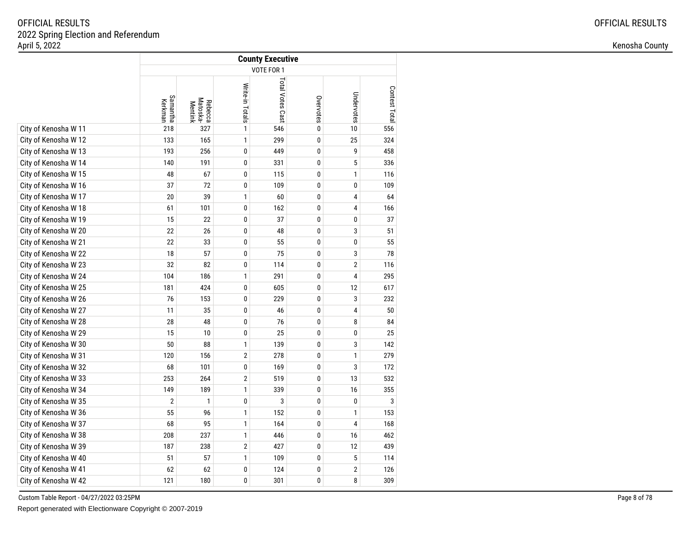|                      | <b>County Executive</b> |                                |                 |                  |           |                |               |  |  |
|----------------------|-------------------------|--------------------------------|-----------------|------------------|-----------|----------------|---------------|--|--|
|                      | VOTE FOR 1              |                                |                 |                  |           |                |               |  |  |
|                      | Samantha<br>Kerkman     | Rebecca<br>Matoska-<br>Mentink | Write-in Totals | Total Votes Cast | Overvotes | Undervotes     | Contest Total |  |  |
| City of Kenosha W 11 | 218                     | 327                            | 1               | 546              | $\bf{0}$  | 10             | 556           |  |  |
| City of Kenosha W 12 | 133                     | 165                            | $\mathbf{1}$    | 299              | 0         | 25             | 324           |  |  |
| City of Kenosha W 13 | 193                     | 256                            | 0               | 449              | $\pmb{0}$ | 9              | 458           |  |  |
| City of Kenosha W 14 | 140                     | 191                            | 0               | 331              | $\bf{0}$  | 5              | 336           |  |  |
| City of Kenosha W 15 | 48                      | 67                             | 0               | 115              | $\pmb{0}$ | $\mathbf{1}$   | 116           |  |  |
| City of Kenosha W 16 | 37                      | 72                             | 0               | 109              | 0         | 0              | 109           |  |  |
| City of Kenosha W 17 | 20                      | 39                             | 1               | 60               | 0         | 4              | 64            |  |  |
| City of Kenosha W 18 | 61                      | 101                            | 0               | 162              | 0         | 4              | 166           |  |  |
| City of Kenosha W 19 | 15                      | 22                             | 0               | 37               | 0         | 0              | 37            |  |  |
| City of Kenosha W 20 | 22                      | 26                             | 0               | 48               | $\pmb{0}$ | 3              | 51            |  |  |
| City of Kenosha W 21 | 22                      | 33                             | 0               | 55               | 0         | 0              | 55            |  |  |
| City of Kenosha W 22 | 18                      | 57                             | 0               | 75               | 0         | 3              | 78            |  |  |
| City of Kenosha W 23 | 32                      | 82                             | 0               | 114              | 0         | $\overline{2}$ | 116           |  |  |
| City of Kenosha W 24 | 104                     | 186                            | 1               | 291              | 0         | 4              | 295           |  |  |
| City of Kenosha W 25 | 181                     | 424                            | 0               | 605              | 0         | 12             | 617           |  |  |
| City of Kenosha W 26 | 76                      | 153                            | 0               | 229              | 0         | 3              | 232           |  |  |
| City of Kenosha W 27 | 11                      | 35                             | 0               | 46               | 0         | 4              | 50            |  |  |
| City of Kenosha W 28 | 28                      | 48                             | 0               | 76               | $\pmb{0}$ | 8              | 84            |  |  |
| City of Kenosha W 29 | 15                      | 10                             | 0               | 25               | $\pmb{0}$ | 0              | 25            |  |  |
| City of Kenosha W 30 | 50                      | 88                             | 1               | 139              | $\pmb{0}$ | 3              | 142           |  |  |
| City of Kenosha W 31 | 120                     | 156                            | $\overline{2}$  | 278              | 0         | 1              | 279           |  |  |
| City of Kenosha W 32 | 68                      | 101                            | 0               | 169              | $\bf{0}$  | 3              | 172           |  |  |
| City of Kenosha W 33 | 253                     | 264                            | $\overline{2}$  | 519              | $\pmb{0}$ | 13             | 532           |  |  |
| City of Kenosha W 34 | 149                     | 189                            | 1               | 339              | $\pmb{0}$ | 16             | 355           |  |  |
| City of Kenosha W 35 | $\mathbf{2}$            | 1                              | 0               | 3                | $\pmb{0}$ | 0              | 3             |  |  |
| City of Kenosha W 36 | 55                      | 96                             | 1               | 152              | 0         | 1              | 153           |  |  |
| City of Kenosha W 37 | 68                      | 95                             | 1               | 164              | $\bf{0}$  | 4              | 168           |  |  |
| City of Kenosha W 38 | 208                     | 237                            | 1               | 446              | 0         | 16             | 462           |  |  |
| City of Kenosha W 39 | 187                     | 238                            | $\overline{2}$  | 427              | $\pmb{0}$ | 12             | 439           |  |  |
| City of Kenosha W 40 | 51                      | 57                             | $\mathbf{1}$    | 109              | $\pmb{0}$ | 5              | 114           |  |  |
| City of Kenosha W 41 | 62                      | 62                             | 0               | 124              | 0         | $\overline{2}$ | 126           |  |  |
| City of Kenosha W 42 | 121                     | 180                            | 0               | 301              | 0         | 8              | 309           |  |  |

Custom Table Report - 04/27/2022 03:25PM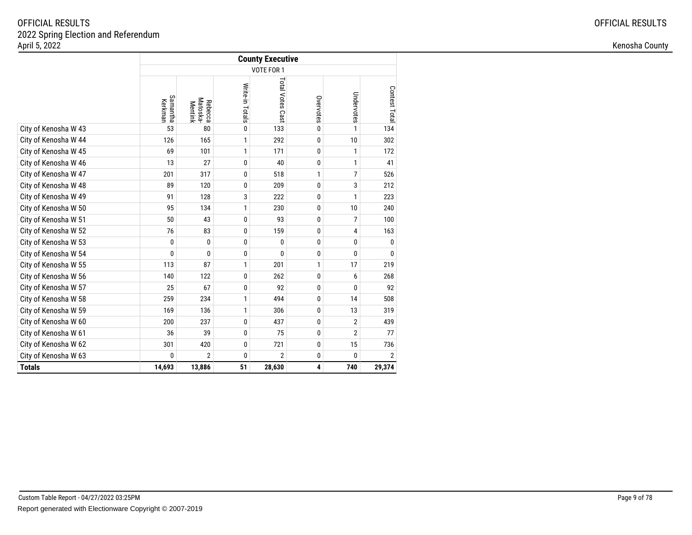|                      | <b>County Executive</b> |                                |                 |                  |              |                |                |  |  |  |
|----------------------|-------------------------|--------------------------------|-----------------|------------------|--------------|----------------|----------------|--|--|--|
|                      | VOTE FOR 1              |                                |                 |                  |              |                |                |  |  |  |
|                      | Samantha<br>Kerkman     | Rebecca<br>Matoska-<br>Mentink | Write-in Totals | Total Votes Cast | Overvotes    | Undervotes     | Contest Tota   |  |  |  |
| City of Kenosha W 43 | 53                      | 80                             | $\pmb{0}$       | 133              | $\bf{0}$     | $\mathbf{1}$   | 134            |  |  |  |
| City of Kenosha W 44 | 126                     | 165                            | 1               | 292              | 0            | 10             | 302            |  |  |  |
| City of Kenosha W 45 | 69                      | 101                            | $\mathbf{1}$    | 171              | 0            | $\mathbf{1}$   | 172            |  |  |  |
| City of Kenosha W 46 | 13                      | 27                             | 0               | 40               | 0            | $\mathbf{1}$   | 41             |  |  |  |
| City of Kenosha W 47 | 201                     | 317                            | 0               | 518              | $\mathbf{1}$ | $\overline{7}$ | 526            |  |  |  |
| City of Kenosha W 48 | 89                      | 120                            | 0               | 209              | 0            | 3              | 212            |  |  |  |
| City of Kenosha W 49 | 91                      | 128                            | 3               | 222              | 0            | 1              | 223            |  |  |  |
| City of Kenosha W 50 | 95                      | 134                            | 1               | 230              | 0            | 10             | 240            |  |  |  |
| City of Kenosha W 51 | 50                      | 43                             | 0               | 93               | $\mathbf{0}$ | 7              | 100            |  |  |  |
| City of Kenosha W 52 | 76                      | 83                             | 0               | 159              | 0            | 4              | 163            |  |  |  |
| City of Kenosha W 53 | 0                       | 0                              | $\pmb{0}$       | 0                | 0            | 0              | 0              |  |  |  |
| City of Kenosha W 54 | $\mathbf{0}$            | $\mathbf{0}$                   | 0               | 0                | 0            | 0              | $\Omega$       |  |  |  |
| City of Kenosha W 55 | 113                     | 87                             | 1               | 201              | 1            | 17             | 219            |  |  |  |
| City of Kenosha W 56 | 140                     | 122                            | $\pmb{0}$       | 262              | 0            | 6              | 268            |  |  |  |
| City of Kenosha W 57 | 25                      | 67                             | 0               | 92               | $\mathbf{0}$ | 0              | 92             |  |  |  |
| City of Kenosha W 58 | 259                     | 234                            | 1               | 494              | 0            | 14             | 508            |  |  |  |
| City of Kenosha W 59 | 169                     | 136                            | $\mathbf{1}$    | 306              | 0            | 13             | 319            |  |  |  |
| City of Kenosha W 60 | 200                     | 237                            | 0               | 437              | 0            | $\overline{2}$ | 439            |  |  |  |
| City of Kenosha W 61 | 36                      | 39                             | 0               | 75               | 0            | $\overline{2}$ | 77             |  |  |  |
| City of Kenosha W 62 | 301                     | 420                            | $\pmb{0}$       | 721              | 0            | 15             | 736            |  |  |  |
| City of Kenosha W 63 | 0                       | $\overline{2}$                 | 0               | $\overline{2}$   | 0            | $\mathbf{0}$   | $\overline{2}$ |  |  |  |
| <b>Totals</b>        | 14,693                  | 13,886                         | 51              | 28,630           | 4            | 740            | 29,374         |  |  |  |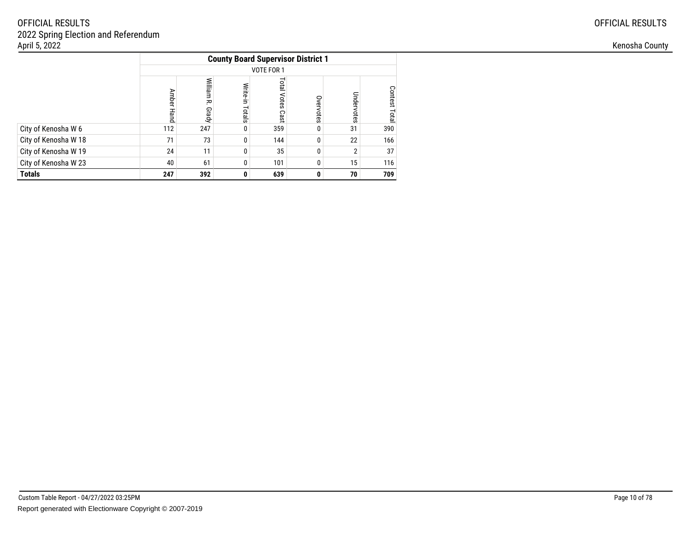|                      | <b>County Board Supervisor District 1</b> |                       |                    |                            |           |                |               |  |  |
|----------------------|-------------------------------------------|-----------------------|--------------------|----------------------------|-----------|----------------|---------------|--|--|
|                      |                                           |                       |                    | VOTE FOR 1                 |           |                |               |  |  |
|                      | Amber Hand                                | William<br>주<br>Grady | Write-in<br>Totals | <b>Total Votes</b><br>Cast | Overvotes | Undervotes     | Contest Total |  |  |
| City of Kenosha W 6  | 112                                       | 247                   | 0                  | 359                        | $\Omega$  | 31             | 390           |  |  |
| City of Kenosha W 18 | 71                                        | 73                    | 0                  | 144                        | $\Omega$  | 22             | 166           |  |  |
| City of Kenosha W 19 | 24                                        | 11                    | $\Omega$           | 35                         | $\Omega$  | $\overline{2}$ | 37            |  |  |
| City of Kenosha W 23 | 40                                        | 61                    |                    | 101                        | 0         | 15             | 116           |  |  |
| <b>Totals</b>        | 247                                       | 392                   | 0                  | 639                        | 0         | 70             | 709           |  |  |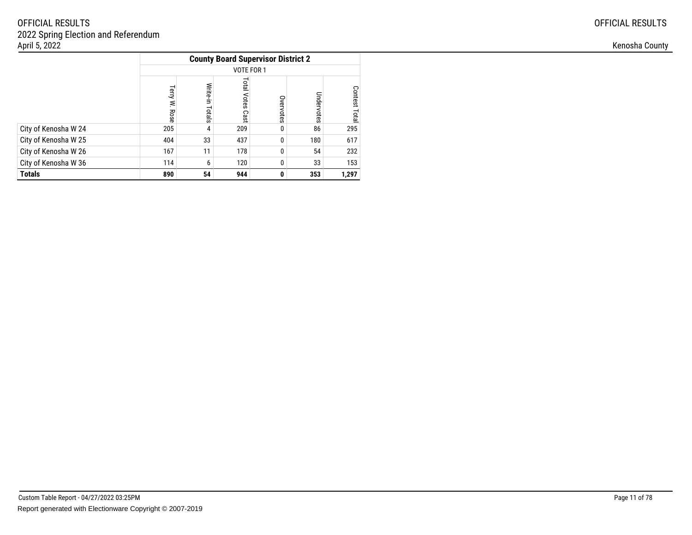|                      |                         |                    | <b>County Board Supervisor District 2</b> |           |            |                                |
|----------------------|-------------------------|--------------------|-------------------------------------------|-----------|------------|--------------------------------|
|                      |                         |                    | VOTE FOR 1                                |           |            |                                |
|                      | lerry<br>$\leq$<br>Rose | Write-in<br>Totals | <b>Total</b><br>Votes<br>Cast             | Overvotes | Undervotes | <b>Contest</b><br><b>Lotal</b> |
| City of Kenosha W 24 | 205                     | 4                  | 209                                       | 0         | 86         | 295                            |
| City of Kenosha W 25 | 404                     | 33                 | 437                                       | 0         | 180        | 617                            |
| City of Kenosha W 26 | 167                     | 11                 | 178                                       | 0         | 54         | 232                            |
| City of Kenosha W 36 | 114                     | 6                  | 120                                       | 0         | 33         | 153                            |
| <b>Totals</b>        | 890                     | 54                 | 944                                       | 0         | 353        | 1,297                          |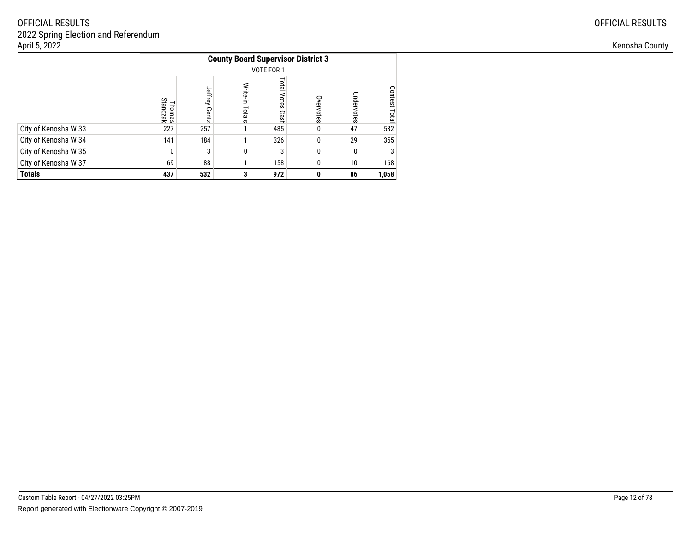|                      | <b>County Board Supervisor District 3</b> |                  |                    |                            |           |            |               |  |  |
|----------------------|-------------------------------------------|------------------|--------------------|----------------------------|-----------|------------|---------------|--|--|
|                      |                                           |                  |                    | VOTE FOR 1                 |           |            |               |  |  |
|                      | Thomas<br>Stanczak                        | Jeffrey<br>Gentz | Write-in<br>Totals | <b>Fotal Votes</b><br>Cast | Overvotes | Undervotes | Contest Total |  |  |
| City of Kenosha W 33 | 227                                       | 257              |                    | 485                        | 0         | 47         | 532           |  |  |
| City of Kenosha W 34 | 141                                       | 184              |                    | 326                        | 0         | 29         | 355           |  |  |
| City of Kenosha W 35 | 0                                         | 3                | $\Omega$           | 3                          | $\Omega$  | 0          | 3             |  |  |
| City of Kenosha W 37 | 69                                        | 88               |                    | 158                        | 0         | 10         | 168           |  |  |
| <b>Totals</b>        | 437                                       | 532              | 3                  | 972                        | 0         | 86         | 1,058         |  |  |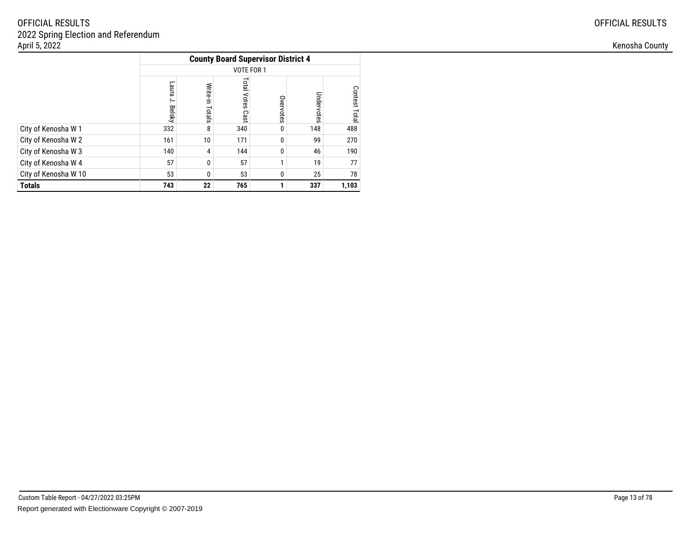|                      | <b>County Board Supervisor District 4</b> |                    |                               |           |            |               |  |  |  |  |
|----------------------|-------------------------------------------|--------------------|-------------------------------|-----------|------------|---------------|--|--|--|--|
|                      |                                           |                    | VOTE FOR 1                    |           |            |               |  |  |  |  |
|                      | <b>Earne</b><br>ب<br><b>Belsky</b>        | Write-in<br>Totals | <b>Total</b><br>Votes<br>Cast | Overvotes | Undervotes | Contest Total |  |  |  |  |
| City of Kenosha W 1  | 332                                       | 8                  | 340                           | 0         | 148        | 488           |  |  |  |  |
| City of Kenosha W 2  | 161                                       | 10                 | 171                           | 0         | 99         | 270           |  |  |  |  |
| City of Kenosha W 3  | 140                                       | 4                  | 144                           | $\Omega$  | 46         | 190           |  |  |  |  |
| City of Kenosha W 4  | 57                                        | 0                  | 57                            | ٠         | 19         | 77            |  |  |  |  |
| City of Kenosha W 10 | 53                                        | 0                  | 53                            | 0         | 25         | 78            |  |  |  |  |
| <b>Totals</b>        | 743                                       | 22                 | 765                           |           | 337        | 1,103         |  |  |  |  |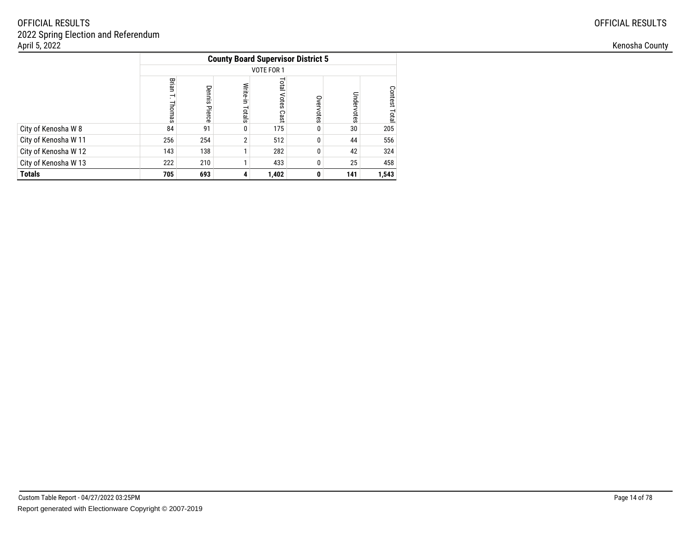|                      |                                             |                  |                    | <b>County Board Supervisor District 5</b> |           |            |               |
|----------------------|---------------------------------------------|------------------|--------------------|-------------------------------------------|-----------|------------|---------------|
|                      |                                             |                  |                    | VOTE FOR 1                                |           |            |               |
|                      | Brian<br>$\overline{\phantom{0}}$<br>Thomas | Dennis<br>Pierce | Write-in<br>Totals | <b>Total Votes</b><br>Cast                | Overvotes | Undervotes | Contest Total |
| City of Kenosha W 8  | 84                                          | 91               | 0                  | 175                                       | $\Omega$  | 30         | 205           |
| City of Kenosha W 11 | 256                                         | 254              | $\overline{2}$     | 512                                       | 0         | 44         | 556           |
| City of Kenosha W 12 | 143                                         | 138              |                    | 282                                       | $\Omega$  | 42         | 324           |
| City of Kenosha W 13 | 222                                         | 210              |                    | 433                                       | 0         | 25         | 458           |
| <b>Totals</b>        | 705                                         | 693              | 4                  | 1,402                                     | 0         | 141        | 1,543         |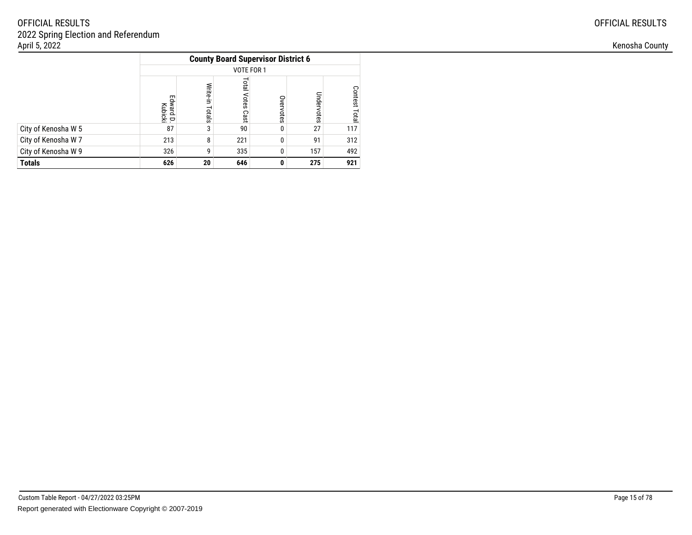|                     |                              |                    | <b>County Board Supervisor District 6</b> |           |            |                                |
|---------------------|------------------------------|--------------------|-------------------------------------------|-----------|------------|--------------------------------|
|                     |                              |                    | VOTE FOR 1                                |           |            |                                |
|                     | Edward<br>ward D.<br>Kubicki | Write-in<br>Totals | <b>Total</b><br>Votes<br>Cast             | Overvotes | Undervotes | <b>Contest</b><br><b>Lotal</b> |
| City of Kenosha W 5 | 87                           | 3                  | 90                                        | 0         | 27         | 117                            |
| City of Kenosha W 7 | 213                          | 8                  | 221                                       | 0         | 91         | 312                            |
| City of Kenosha W 9 | 326                          | g                  | 335                                       | 0         | 157        | 492                            |
| <b>Totals</b>       | 626                          | 20                 | 646                                       | 0         | 275        | 921                            |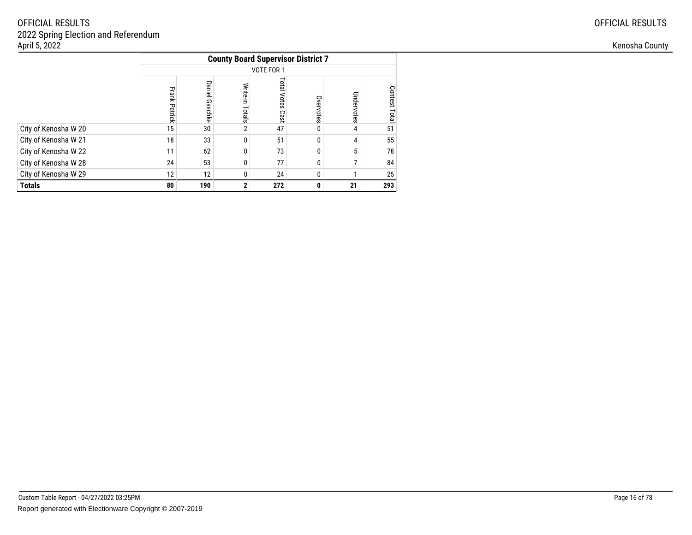|                      |                      |                   |                    |                     | <b>County Board Supervisor District 7</b> |            |               |
|----------------------|----------------------|-------------------|--------------------|---------------------|-------------------------------------------|------------|---------------|
|                      |                      |                   |                    | VOTE FOR 1          |                                           |            |               |
|                      | <b>Frank Petrick</b> | Daniel<br>Gaschke | Write-in<br>Totals | Total Votes<br>Cast | Overvotes                                 | Undervotes | Contest Total |
| City of Kenosha W 20 | 15                   | 30                | 2                  | 47                  | 0                                         | 4          | 51            |
| City of Kenosha W 21 | 18                   | 33                | 0                  | 51                  | 0                                         | 4          | 55            |
| City of Kenosha W 22 | 11                   | 62                | 0                  | 73                  | 0                                         | 5          | 78            |
| City of Kenosha W 28 | 24                   | 53                | 0                  | 77                  | 0                                         | 7          | 84            |
| City of Kenosha W 29 | 12                   | 12                | $\Omega$           | 24                  | 0                                         |            | 25            |
| <b>Totals</b>        | 80                   | 190               | $\mathbf{2}$       | 272                 | 0                                         | 21         | 293           |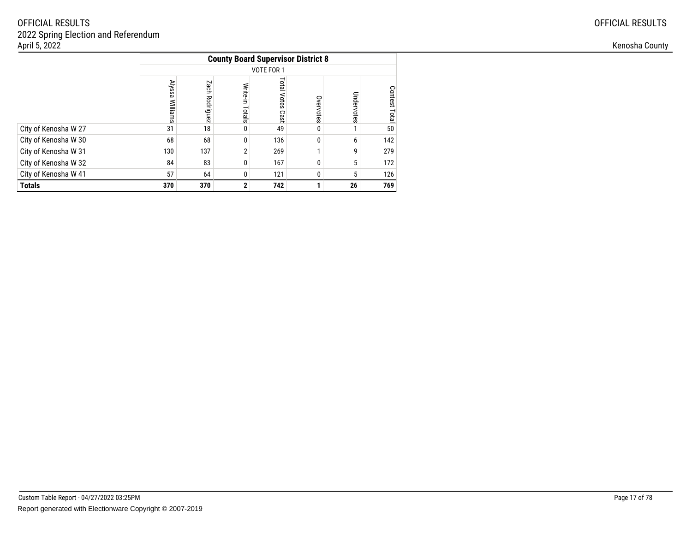|                      |                 |                   |                    |                            | <b>County Board Supervisor District 8</b> |            |                  |
|----------------------|-----------------|-------------------|--------------------|----------------------------|-------------------------------------------|------------|------------------|
|                      |                 |                   |                    | VOTE FOR 1                 |                                           |            |                  |
|                      | Alyssa Williams | Zach<br>Rodriguez | Write-in<br>Totals | <b>Total Votes</b><br>Cast | Overvotes                                 | Undervotes | Contest<br>Total |
| City of Kenosha W 27 | 31              | 18                | 0                  | 49                         | 0                                         |            | 50               |
| City of Kenosha W 30 | 68              | 68                | 0                  | 136                        | 0                                         | 6          | 142              |
| City of Kenosha W 31 | 130             | 137               | $\overline{2}$     | 269                        |                                           | 9          | 279              |
| City of Kenosha W 32 | 84              | 83                | 0                  | 167                        | 0                                         | 5          | 172              |
| City of Kenosha W 41 | 57              | 64                | 0                  | 121                        | 0                                         | 5          | 126              |
| <b>Totals</b>        | 370             | 370               | $\mathbf{2}$       | 742                        |                                           | 26         | 769              |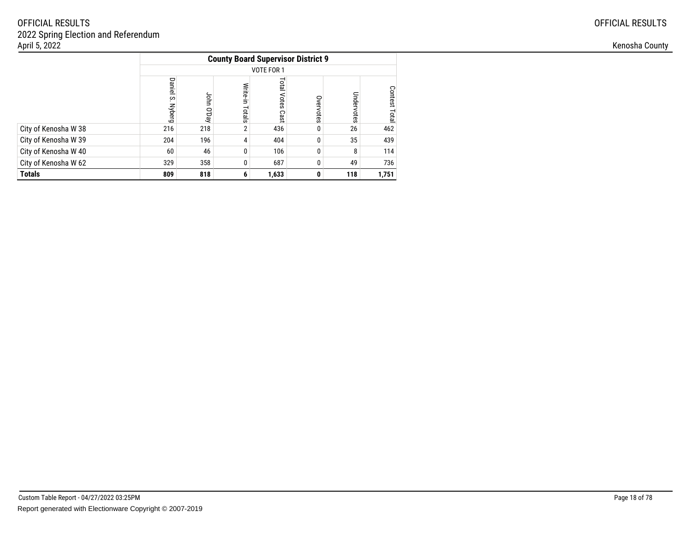|                      |                         |               |                    | <b>County Board Supervisor District 9</b> |           |            |               |
|----------------------|-------------------------|---------------|--------------------|-------------------------------------------|-----------|------------|---------------|
|                      |                         |               |                    | VOTE FOR 1                                |           |            |               |
|                      | Daniel<br>ပ္ပ<br>Nyberg | John<br>O'Day | Write-in<br>Totals | <b>Total Votes</b><br>Cast                | Overvotes | Undervotes | Contest Total |
| City of Kenosha W 38 | 216                     | 218           | $\overline{2}$     | 436                                       | 0         | 26         | 462           |
| City of Kenosha W 39 | 204                     | 196           | 4                  | 404                                       | $\Omega$  | 35         | 439           |
| City of Kenosha W 40 | 60                      | 46            | 0                  | 106                                       | 0         | 8          | 114           |
| City of Kenosha W 62 | 329                     | 358           |                    | 687                                       | 0         | 49         | 736           |
| <b>Totals</b>        | 809                     | 818           | 6                  | 1,633                                     | 0         | 118        | 1,751         |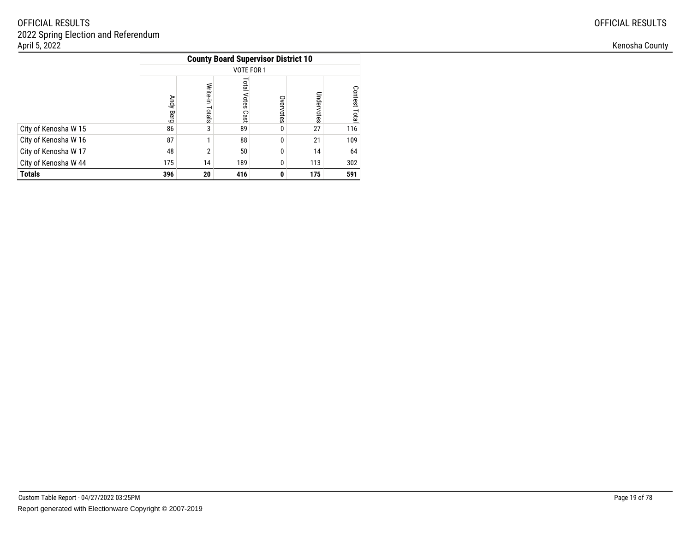|                      |              |                    | <b>County Board Supervisor District 10</b> |           |            |                         |
|----------------------|--------------|--------------------|--------------------------------------------|-----------|------------|-------------------------|
|                      |              |                    | VOTE FOR 1                                 |           |            |                         |
|                      | Andy<br>Berg | Write-in<br>Totals | Total<br>Votes<br>Cast                     | Overvotes | Undervotes | <b>Contest</b><br>Total |
| City of Kenosha W 15 | 86           | 3                  | 89                                         | 0         | 27         | 116                     |
| City of Kenosha W 16 | 87           |                    | 88                                         | $\Omega$  | 21         | 109                     |
| City of Kenosha W 17 | 48           | 2                  | 50                                         | $\Omega$  | 14         | 64                      |
| City of Kenosha W 44 | 175          | 14                 | 189                                        | $\Omega$  | 113        | 302                     |
| <b>Totals</b>        | 396          | 20                 | 416                                        | 0         | 175        | 591                     |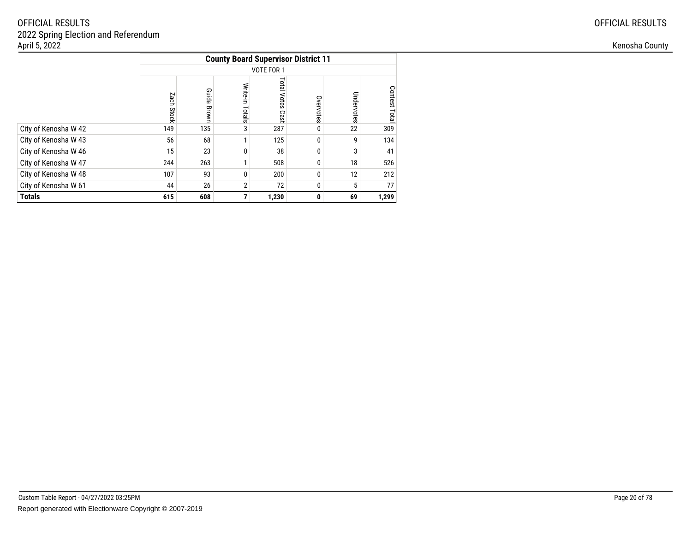|                      | <b>County Board Supervisor District 11</b> |                |                    |                            |           |            |               |  |  |
|----------------------|--------------------------------------------|----------------|--------------------|----------------------------|-----------|------------|---------------|--|--|
|                      |                                            |                |                    | VOTE FOR 1                 |           |            |               |  |  |
|                      | Zach<br>Stock                              | Guida<br>Brown | Write-in<br>Totals | <b>Total Votes</b><br>Cast | Overvotes | Undervotes | Contest Total |  |  |
| City of Kenosha W 42 | 149                                        | 135            | 3                  | 287                        | 0         | 22         | 309           |  |  |
| City of Kenosha W 43 | 56                                         | 68             | 1                  | 125                        | 0         | 9          | 134           |  |  |
| City of Kenosha W 46 | 15                                         | 23             | 0                  | 38                         | 0         | 3          | 41            |  |  |
| City of Kenosha W 47 | 244                                        | 263            | 1                  | 508                        | $\Omega$  | 18         | 526           |  |  |
| City of Kenosha W 48 | 107                                        | 93             | 0                  | 200                        | 0         | 12         | 212           |  |  |
| City of Kenosha W 61 | 44                                         | 26             | $\overline{2}$     | 72                         | 0         | 5          | 77            |  |  |
| <b>Totals</b>        | 615                                        | 608            | 7                  | 1,230                      | 0         | 69         | 1,299         |  |  |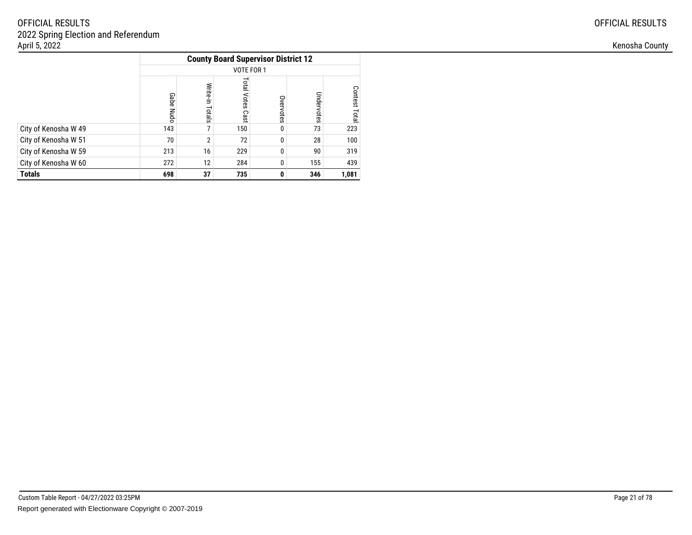|                      |              |                    | <b>County Board Supervisor District 12</b> |           |            |                                |
|----------------------|--------------|--------------------|--------------------------------------------|-----------|------------|--------------------------------|
|                      |              |                    | VOTE FOR 1                                 |           |            |                                |
|                      | Gabe<br>Nudo | Write-in<br>Totals | Total<br>Votes<br>Cast                     | Overvotes | Undervotes | <b>Contest</b><br><b>Lotal</b> |
| City of Kenosha W 49 | 143          |                    | 150                                        | 0         | 73         | 223                            |
| City of Kenosha W 51 | 70           | 2                  | 72                                         | $\Omega$  | 28         | 100                            |
| City of Kenosha W 59 | 213          | 16                 | 229                                        | 0         | 90         | 319                            |
| City of Kenosha W 60 | 272          | 12                 | 284                                        | 0         | 155        | 439                            |
| <b>Totals</b>        | 698          | 37                 | 735                                        | 0         | 346        | 1,081                          |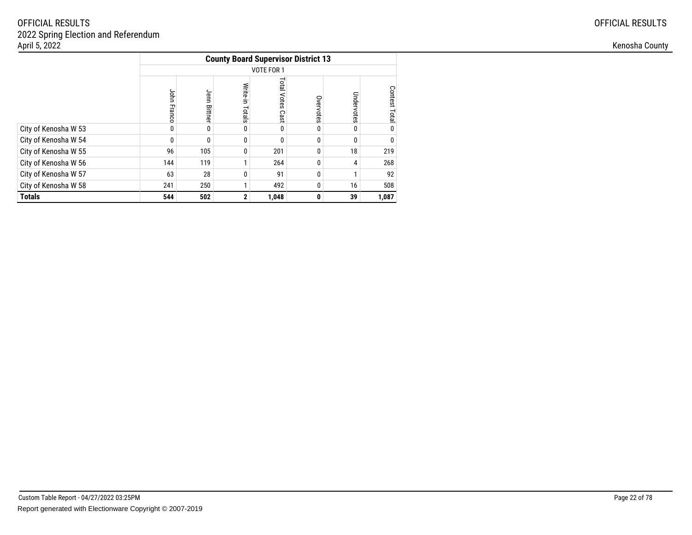|                      | <b>County Board Supervisor District 13</b> |                 |                    |                            |           |            |               |  |  |
|----------------------|--------------------------------------------|-----------------|--------------------|----------------------------|-----------|------------|---------------|--|--|
|                      |                                            |                 |                    | VOTE FOR 1                 |           |            |               |  |  |
|                      | John Franco                                | Jenn<br>Bittner | Write-in<br>Totals | <b>Total Votes</b><br>Cast | Overvotes | Undervotes | Contest Total |  |  |
| City of Kenosha W 53 | 0                                          | $\Omega$        | 0                  | $\Omega$                   | 0         | 0          | <sup>0</sup>  |  |  |
| City of Kenosha W 54 | 0                                          | $\Omega$        | 0                  | $\Omega$                   | 0         | 0          |               |  |  |
| City of Kenosha W 55 | 96                                         | 105             | 0                  | 201                        | 0         | 18         | 219           |  |  |
| City of Kenosha W 56 | 144                                        | 119             |                    | 264                        | 0         | 4          | 268           |  |  |
| City of Kenosha W 57 | 63                                         | 28              | 0                  | 91                         | 0         | 1          | 92            |  |  |
| City of Kenosha W 58 | 241                                        | 250             |                    | 492                        | 0         | 16         | 508           |  |  |
| <b>Totals</b>        | 544                                        | 502             | $\mathbf{2}$       | 1,048                      | 0         | 39         | 1,087         |  |  |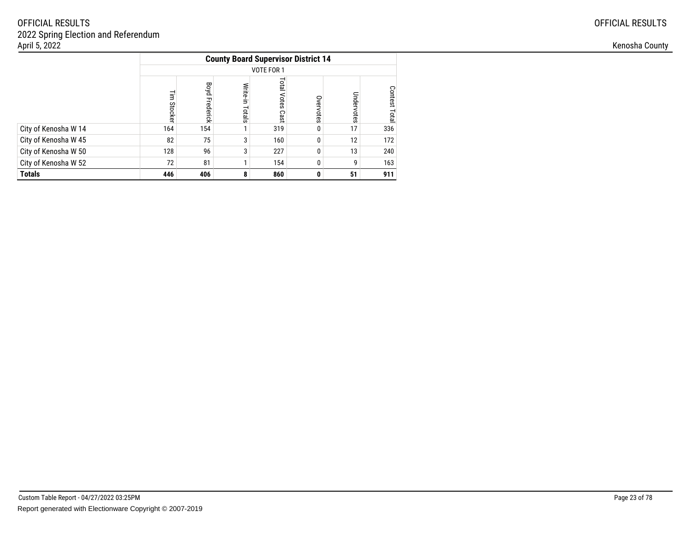|                      |              |                   |                    | <b>County Board Supervisor District 14</b> |           |            |               |
|----------------------|--------------|-------------------|--------------------|--------------------------------------------|-----------|------------|---------------|
|                      |              |                   |                    | VOTE FOR 1                                 |           |            |               |
|                      | 글<br>Stocker | Boyd<br>Frederick | Write-in<br>Totals | <b>Total Votes</b><br>Cast                 | Overvotes | Undervotes | Contest Total |
| City of Kenosha W 14 | 164          | 154               |                    | 319                                        | 0         | 17         | 336           |
| City of Kenosha W 45 | 82           | 75                | 3                  | 160                                        | 0         | 12         | 172           |
| City of Kenosha W 50 | 128          | 96                | 3                  | 227                                        | 0         | 13         | 240           |
| City of Kenosha W 52 | 72           | 81                |                    | 154                                        | 0         | 9          | 163           |
| <b>Totals</b>        | 446          | 406               | 8                  | 860                                        | 0         | 51         | 911           |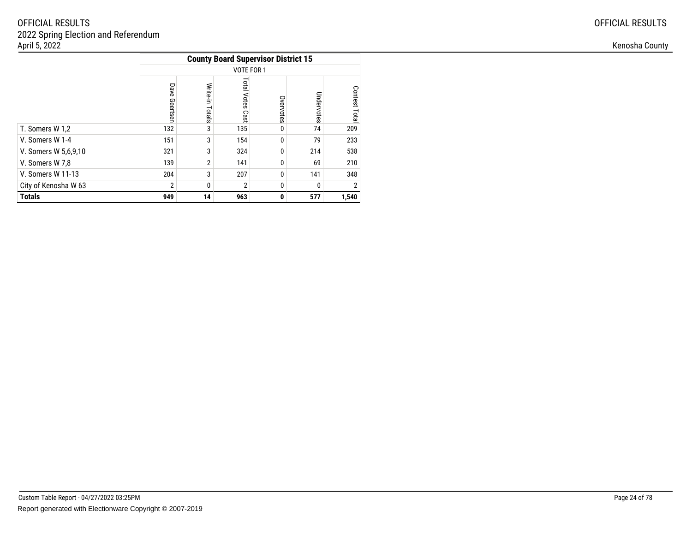|                      |                  |                    | <b>County Board Supervisor District 15</b> |           |            |                  |
|----------------------|------------------|--------------------|--------------------------------------------|-----------|------------|------------------|
|                      |                  |                    | VOTE FOR 1                                 |           |            |                  |
|                      | Dave<br>Geertser | Write-in<br>Totals | Total<br>Votes<br>Cast                     | Overvotes | Undervotes | Contest<br>Total |
| T. Somers W 1,2      | 132              | 3                  | 135                                        | 0         | 74         | 209              |
| V. Somers W 1-4      | 151              | 3                  | 154                                        | $\Omega$  | 79         | 233              |
| V. Somers W 5,6,9,10 | 321              | 3                  | 324                                        | $\Omega$  | 214        | 538              |
| V. Somers W 7,8      | 139              | $\overline{2}$     | 141                                        | $\Omega$  | 69         | 210              |
| V. Somers W 11-13    | 204              | 3                  | 207                                        | $\Omega$  | 141        | 348              |
| City of Kenosha W 63 | $\overline{2}$   | 0                  | $\overline{2}$                             | 0         | 0          | 2                |
| <b>Totals</b>        | 949              | 14                 | 963                                        | 0         | 577        | 1,540            |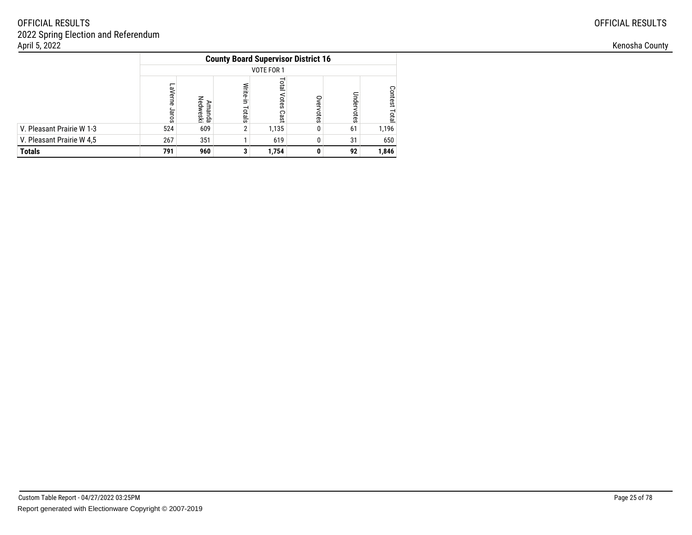|                           |                      |                    |                    | <b>County Board Supervisor District 16</b> |           |            |                         |
|---------------------------|----------------------|--------------------|--------------------|--------------------------------------------|-----------|------------|-------------------------|
|                           |                      |                    |                    | VOTE FOR 1                                 |           |            |                         |
|                           | ┍<br>aVerne<br>Jaros | Amanda<br>Nedweski | Write-in<br>Totals | Total<br>Votes<br>Cast                     | Overvotes | Undervotes | <b>Contest</b><br>Total |
| V. Pleasant Prairie W 1-3 | 524                  | 609                | າ                  | 1,135                                      | 0         | 61         | 1,196                   |
| V. Pleasant Prairie W 4,5 | 267                  | 351                |                    | 619                                        |           | 31         | 650                     |
| <b>Totals</b>             | 791                  | 960                |                    | 1,754                                      | O         | 92         | 1,846                   |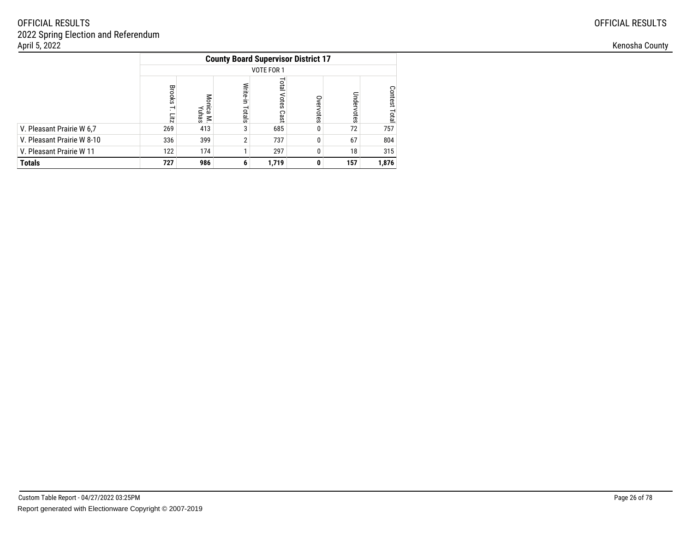|                            |                                                       |                           |                    | <b>County Board Supervisor District 17</b> |           |            |                  |
|----------------------------|-------------------------------------------------------|---------------------------|--------------------|--------------------------------------------|-----------|------------|------------------|
|                            |                                                       |                           |                    | VOTE FOR 1                                 |           |            |                  |
|                            | <b>Brooks</b><br>$\overline{\phantom{0}}$<br>Fig. 221 | Monica<br>Yuhas<br>$\leq$ | Write-in<br>Totals | Total<br>Votes<br>Cast                     | Overvotes | Undervotes | Contest<br>Total |
| V. Pleasant Prairie W 6.7  | 269                                                   | 413                       | 3                  | 685                                        | 0         | 72         | 757              |
| V. Pleasant Prairie W 8-10 | 336                                                   | 399                       | $\overline{2}$     | 737                                        | 0         | 67         | 804              |
| V. Pleasant Prairie W 11   | 122                                                   | 174                       |                    | 297                                        | 0         | 18         | 315              |
| <b>Totals</b>              | 727                                                   | 986                       | 6                  | 1,719                                      | 0         | 157        | 1,876            |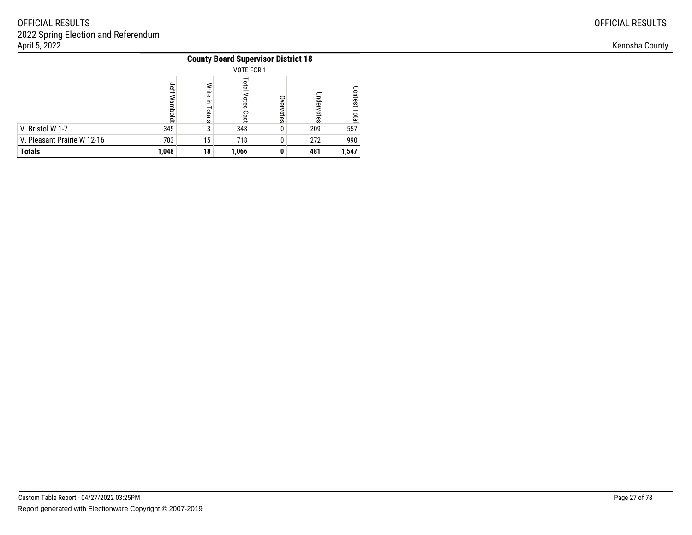|                             |                 |                    | <b>County Board Supervisor District 18</b> |           |            |                         |
|-----------------------------|-----------------|--------------------|--------------------------------------------|-----------|------------|-------------------------|
|                             |                 |                    | VOTE FOR 1                                 |           |            |                         |
|                             | जून<br>Wamboldt | Write-in<br>Totals | <b>Lota</b><br>Votes<br>Cast               | Overvotes | Undervotes | <b>Contest</b><br>Total |
| V. Bristol W 1-7            | 345             | 3                  | 348                                        | 0         | 209        | 557                     |
| V. Pleasant Prairie W 12-16 | 703             | 15                 | 718                                        | 0         | 272        | 990                     |
| <b>Totals</b>               | 1,048           | 18                 | 1,066                                      | O         | 481        | 1,547                   |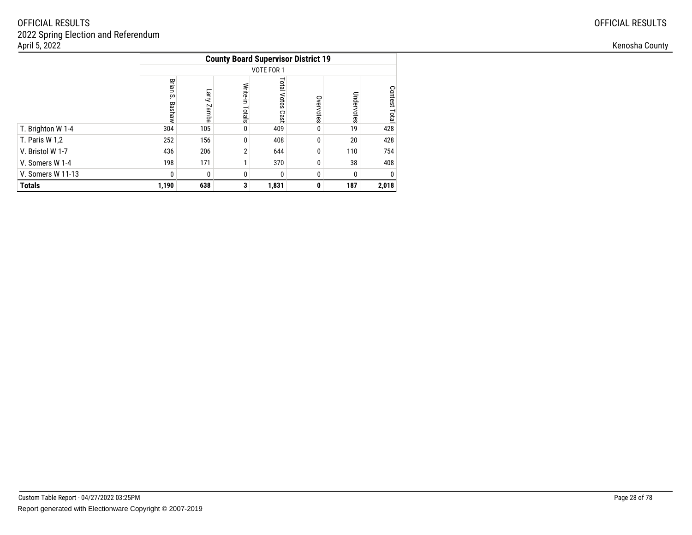|                       |                       |                |                    |                            | <b>County Board Supervisor District 19</b> |            |               |
|-----------------------|-----------------------|----------------|--------------------|----------------------------|--------------------------------------------|------------|---------------|
|                       |                       |                |                    | VOTE FOR 1                 |                                            |            |               |
|                       | Brian<br>Š.<br>Bashaw | Larry<br>Zamba | Write-in<br>Totals | <b>Total Votes</b><br>Cast | Overvotes                                  | Undervotes | Contest Total |
| T. Brighton W 1-4     | 304                   | 105            | 0                  | 409                        | 0                                          | 19         | 428           |
| <b>T. Paris W 1,2</b> | 252                   | 156            | 0                  | 408                        | 0                                          | 20         | 428           |
| V. Bristol W 1-7      | 436                   | 206            | $\overline{2}$     | 644                        | 0                                          | 110        | 754           |
| V. Somers W 1-4       | 198                   | 171            | 1                  | 370                        | 0                                          | 38         | 408           |
| V. Somers W 11-13     | 0                     | 0              | 0                  | 0                          | 0                                          | 0          | $\Omega$      |
| <b>Totals</b>         | 1,190                 | 638            | 3                  | 1,831                      | 0                                          | 187        | 2,018         |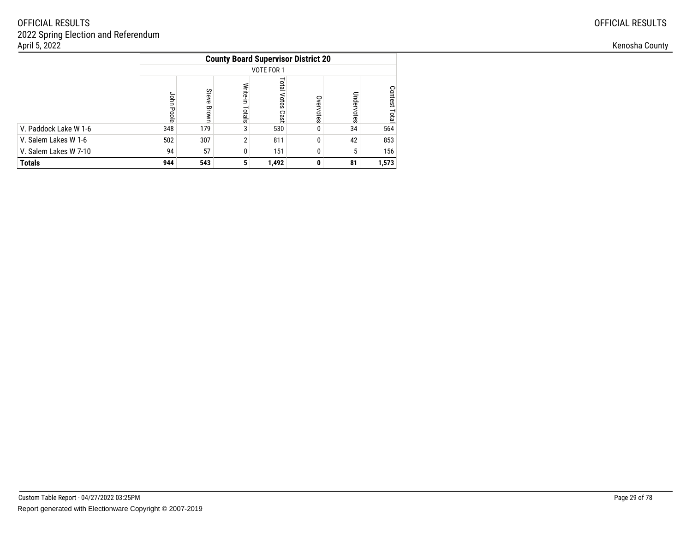|                       |            |                |                    | <b>County Board Supervisor District 20</b> |           |            |                         |
|-----------------------|------------|----------------|--------------------|--------------------------------------------|-----------|------------|-------------------------|
|                       |            |                |                    | VOTE FOR 1                                 |           |            |                         |
|                       | John Poole | Steve<br>Brown | Write-in<br>Totals | <b>Tota</b><br>Votes<br>Cast               | Overvotes | Undervotes | <b>Contest</b><br>Total |
| V. Paddock Lake W 1-6 | 348        | 179            | 3                  | 530                                        | 0         | 34         | 564                     |
| V. Salem Lakes W 1-6  | 502        | 307            | $\overline{2}$     | 811                                        | 0         | 42         | 853                     |
| V. Salem Lakes W 7-10 | 94         | 57             |                    | 151                                        | 0         | 5          | 156                     |
| <b>Totals</b>         | 944        | 543            | 5                  | 1,492                                      | 0         | 81         | 1,573                   |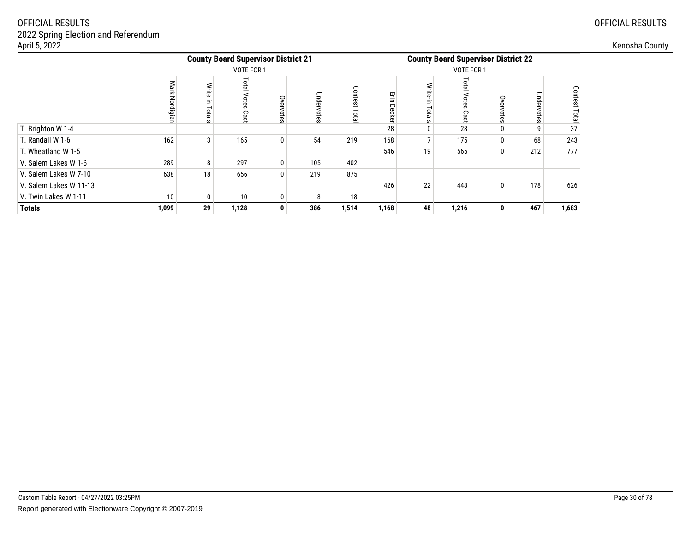| April 5, 2022          |               |                       |                              |                                            |            |          |        |                 |                                            |              |            |                   | Kenosha County |
|------------------------|---------------|-----------------------|------------------------------|--------------------------------------------|------------|----------|--------|-----------------|--------------------------------------------|--------------|------------|-------------------|----------------|
|                        |               |                       |                              | <b>County Board Supervisor District 21</b> |            |          |        |                 | <b>County Board Supervisor District 22</b> |              |            |                   |                |
|                        |               |                       | VOTE FOR 1                   |                                            |            |          |        |                 | VOTE FOR 1                                 |              |            |                   |                |
|                        | Mark<br>aigia | <b>Write</b><br>otals | <b>Total</b><br>Votes<br>Cas | Overvotes                                  | Undervotes | Con<br>ವ | ш<br>≂ |                 | ឡ<br>ຂ                                     | $\circ$      | Undervotes | Conte<br>ğ<br>ota |                |
| T. Brighton W 1-4      |               |                       |                              |                                            |            |          | 28     |                 | 28                                         |              |            | 37                |                |
| T. Randall W 1-6       | 162           | 3 <sub>1</sub>        | 165                          | $\mathbf 0$                                | 54         | 219      | 168    |                 | 175                                        | $\Omega$     | 68         | 243               |                |
| T. Wheatland W 1-5     |               |                       |                              |                                            |            |          | 546    | 19              | 565                                        | $\mathbf{0}$ | 212        | 777               |                |
| V. Salem Lakes W 1-6   | 289           | 8                     | 297                          | $\mathbf{0}$                               | 105        | 402      |        |                 |                                            |              |            |                   |                |
| V. Salem Lakes W 7-10  | 638           | 18                    | 656                          | 0                                          | 219        | 875      |        |                 |                                            |              |            |                   |                |
| V. Salem Lakes W 11-13 |               |                       |                              |                                            |            |          | 426    | 22 <sub>1</sub> | 448                                        | $\bf{0}$     | 178        | 626               |                |
| V. Twin Lakes W 1-11   | 10            | 0                     | 10 <sub>1</sub>              | $\mathbf 0$                                | 8          | 18       |        |                 |                                            |              |            |                   |                |
| <b>Totals</b>          | 1,099         | 29                    | 1,128                        | $\mathbf{0}$                               | 386        | 1,514    | 1,168  | 48              | 1,216                                      | $\mathbf{0}$ | 467        | 1,683             |                |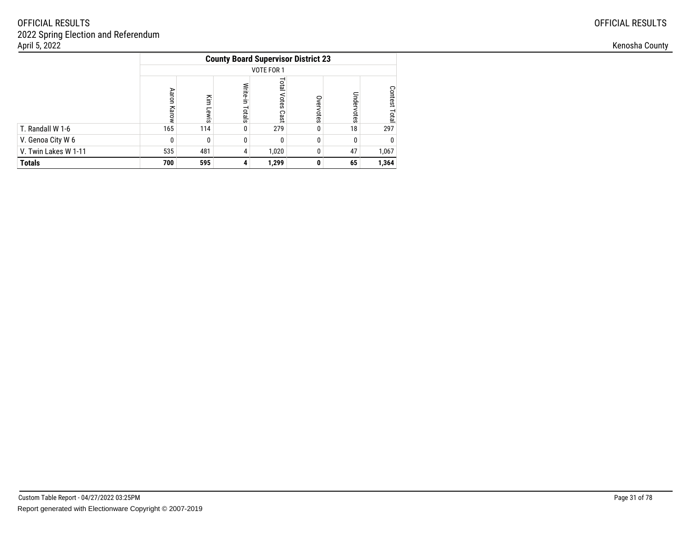|                      |             |              |                    | <b>County Board Supervisor District 23</b> |           |              |                         |
|----------------------|-------------|--------------|--------------------|--------------------------------------------|-----------|--------------|-------------------------|
|                      |             |              |                    | VOTE FOR 1                                 |           |              |                         |
|                      | Aaron Karow | ΚÎΠ<br>Lewis | Write-in<br>Totals | <b>Total</b><br>Votes<br>Cast              | Overvotes | Undervotes   | <b>Contest</b><br>Total |
| T. Randall W 1-6     | 165         | 114          | 0                  | 279                                        | 0         | 18           | 297                     |
| V. Genoa City W 6    | 0           |              | 0                  | 0                                          | 0         | $\mathbf{0}$ | 0                       |
| V. Twin Lakes W 1-11 | 535         | 481          | 4                  | 1,020                                      | 0         | 47           | 1,067                   |
| <b>Totals</b>        | 700         | 595          | 4                  | 1,299                                      | 0         | 65           | 1,364                   |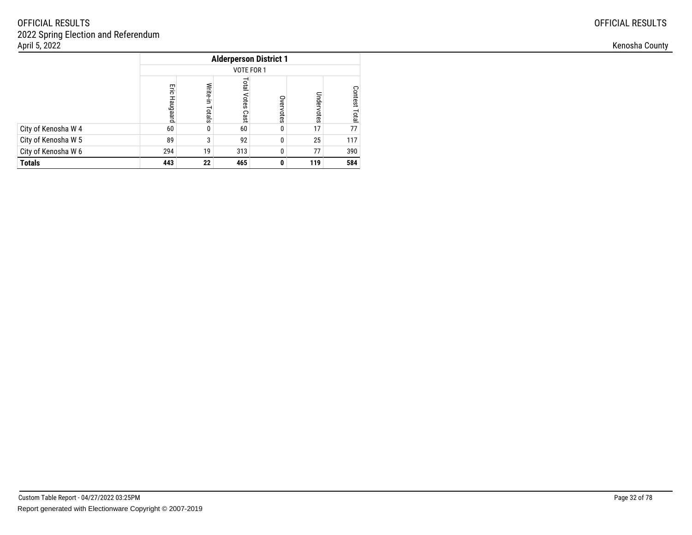|                     |                 |                    | <b>Alderperson District 1</b> |           |            |                  |
|---------------------|-----------------|--------------------|-------------------------------|-----------|------------|------------------|
|                     |                 |                    | VOTE FOR 1                    |           |            |                  |
|                     | Eig<br>Haugaard | Write-in<br>Totals | Total<br>Votes<br>Cast        | Overvotes | Undervotes | Contest<br>Total |
| City of Kenosha W 4 | 60              | 0                  | 60                            | $\Omega$  | 17         | 77               |
| City of Kenosha W 5 | 89              | 3                  | 92                            | 0         | 25         | 117              |
| City of Kenosha W 6 | 294             | 19                 | 313                           | $\Omega$  | 77         | 390              |
| <b>Totals</b>       | 443             | 22                 | 465                           | 0         | 119        | 584              |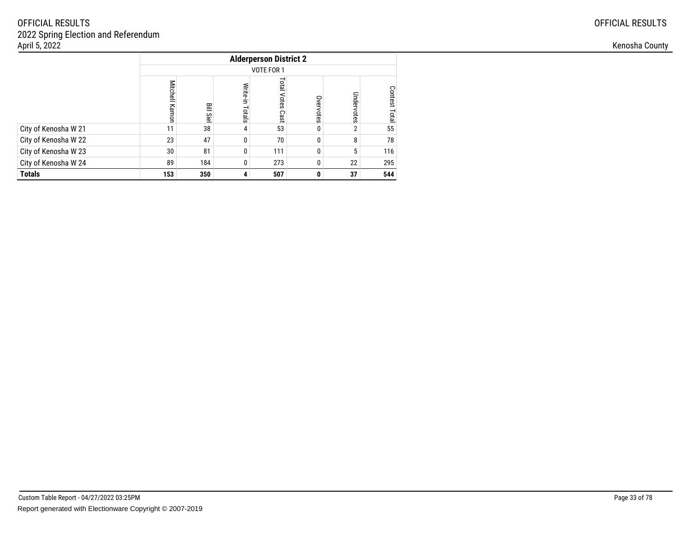|                      |                       |           |                    | <b>Alderperson District 2</b> |           |            |                         |
|----------------------|-----------------------|-----------|--------------------|-------------------------------|-----------|------------|-------------------------|
|                      |                       |           |                    | VOTE FOR 1                    |           |            |                         |
|                      | <b>Mitchell Kamon</b> | ≌<br>Siel | Write-in<br>Totals | <b>Total</b><br>Votes<br>Cast | Overvotes | Undervotes | Contest<br><b>Total</b> |
| City of Kenosha W 21 | 11                    | 38        | 4                  | 53                            | 0         | 2          | 55                      |
| City of Kenosha W 22 | 23                    | 47        | 0                  | 70                            | 0         | 8          | 78                      |
| City of Kenosha W 23 | 30                    | 81        | 0                  | 111                           | 0         | 5          | 116                     |
| City of Kenosha W 24 | 89                    | 184       | 0                  | 273                           | 0         | 22         | 295                     |
| <b>Totals</b>        | 153                   | 350       | 4                  | 507                           | 0         | 37         | 544                     |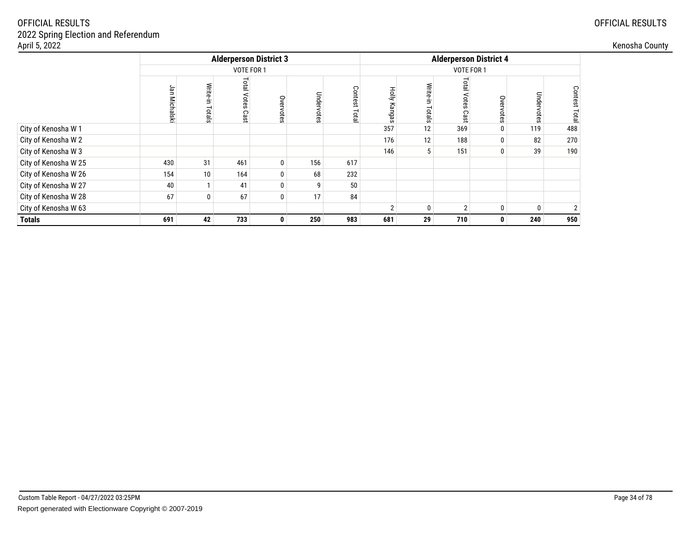| April 5, 2022        |                            |                |                               |              |            |                  |        |                   |            |                               |            |                       |
|----------------------|----------------------------|----------------|-------------------------------|--------------|------------|------------------|--------|-------------------|------------|-------------------------------|------------|-----------------------|
|                      |                            |                | <b>Alderperson District 3</b> |              |            |                  |        |                   |            | <b>Alderperson District 4</b> |            |                       |
|                      |                            | VOTE FOR 1     |                               |              |            |                  |        |                   | VOTE FOR 1 |                               |            |                       |
|                      | Jan<br><b>Michals</b><br>* | Write<br>otals | <b>Total Votes</b><br>Cas     | Overvotes    | Undervotes | Conte<br>Ö<br>ದೆ | 공<br>ౚ |                   | lota       | 9                             | Undervotes | Contest<br><b>DTB</b> |
| City of Kenosha W 1  |                            |                |                               |              |            |                  | 357    | 12                | 369        |                               | 119        | 488                   |
| City of Kenosha W 2  |                            |                |                               |              |            |                  | 176    | $12 \overline{ }$ | 188        |                               | 82         | 270                   |
| City of Kenosha W 3  |                            |                |                               |              |            |                  | 146    |                   | 151        | $\mathbf{0}$                  | 39         | 190                   |
| City of Kenosha W 25 | 430                        | 31             | 461                           | 0            | 156        | 617              |        |                   |            |                               |            |                       |
| City of Kenosha W 26 | 154                        | 10             | 164                           | 0            | 68         | 232              |        |                   |            |                               |            |                       |
| City of Kenosha W 27 | 40                         |                | 41                            | 0            | 9          | 50               |        |                   |            |                               |            |                       |
| City of Kenosha W 28 | 67                         | $\mathbf 0$    | 67                            | 0            | 17         | 84               |        |                   |            |                               |            |                       |
| City of Kenosha W 63 |                            |                |                               |              |            |                  |        |                   | $\sim$     | <sup>0</sup>                  | 0          |                       |
| <b>Totals</b>        | 691                        | 42             | 733                           | $\mathbf{0}$ | 250        | 983              | 681    | 29                | 710        | $\mathbf{0}$                  | 240        | 950                   |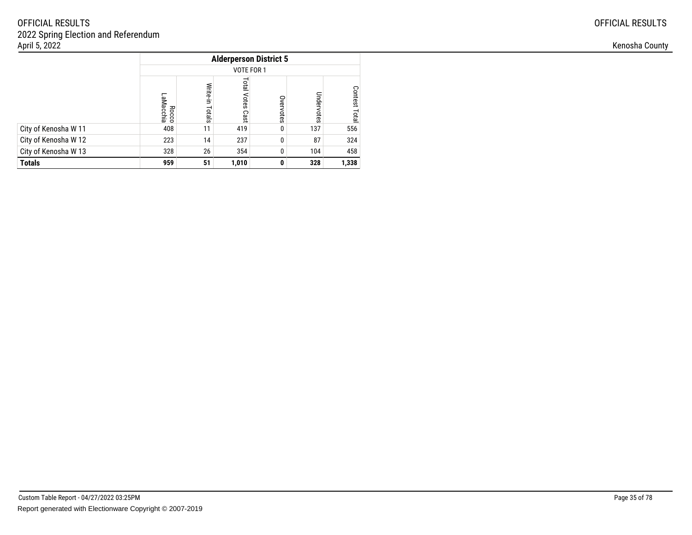|                      | <b>Alderperson District 5</b><br>VOTE FOR 1 |                    |                               |           |            |                         |  |  |  |  |
|----------------------|---------------------------------------------|--------------------|-------------------------------|-----------|------------|-------------------------|--|--|--|--|
|                      |                                             |                    |                               |           |            |                         |  |  |  |  |
|                      | LaMacchia<br>Rocco                          | Write-in<br>Totals | <b>Total</b><br>Votes<br>Cast | Overvotes | Undervotes | Contest<br><b>Total</b> |  |  |  |  |
| City of Kenosha W 11 | 408                                         | 11                 | 419                           | 0         | 137        | 556                     |  |  |  |  |
| City of Kenosha W 12 | 223                                         | 14                 | 237                           | 0         | 87         | 324                     |  |  |  |  |
| City of Kenosha W 13 | 328                                         | 26                 | 354                           | 0         | 104        | 458                     |  |  |  |  |
| <b>Totals</b>        | 959                                         | 51                 | 1,010                         | 0         | 328        | 1,338                   |  |  |  |  |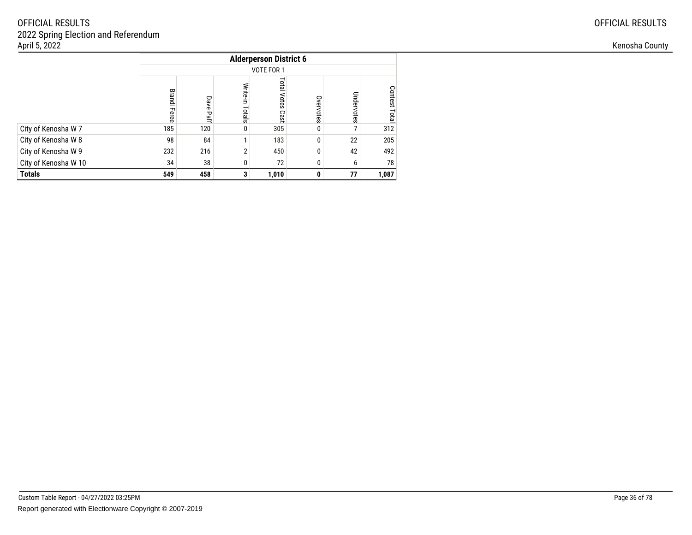|                      | <b>Alderperson District 6</b> |              |                    |                              |           |            |                                |  |  |  |
|----------------------|-------------------------------|--------------|--------------------|------------------------------|-----------|------------|--------------------------------|--|--|--|
|                      | VOTE FOR 1                    |              |                    |                              |           |            |                                |  |  |  |
|                      | <b>Brandi Feree</b>           | Dave<br>Paff | Write-in<br>Totals | <b>Lota</b><br>Votes<br>Cast | Overvotes | Undervotes | <b>Contest</b><br><b>Lotal</b> |  |  |  |
| City of Kenosha W 7  | 185                           | 120          | 0                  | 305                          | 0         | 7          | 312                            |  |  |  |
| City of Kenosha W 8  | 98                            | 84           | 1                  | 183                          | 0         | 22         | 205                            |  |  |  |
| City of Kenosha W 9  | 232                           | 216          | $\overline{2}$     | 450                          | 0         | 42         | 492                            |  |  |  |
| City of Kenosha W 10 | 34                            | 38           | 0                  | 72                           |           | 6          | 78                             |  |  |  |
| <b>Totals</b>        | 549                           | 458          | 3                  | 1,010                        | 0         | 77         | 1,087                          |  |  |  |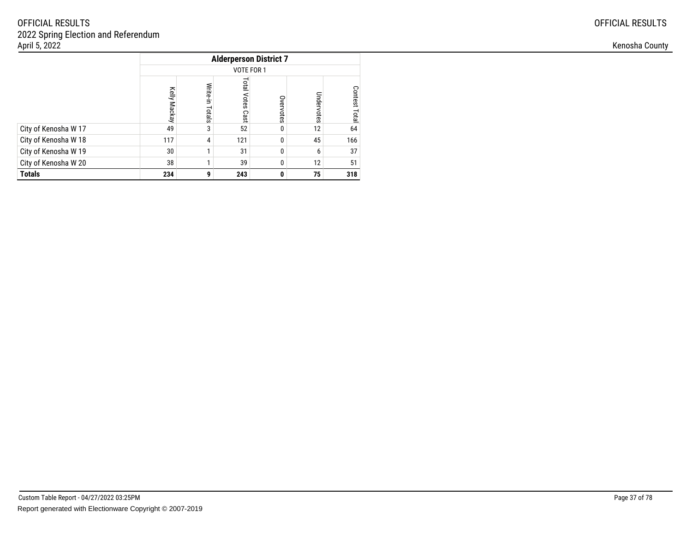|                      |              |                    | <b>Alderperson District 7</b> |           |            |                  |  |  |  |  |  |
|----------------------|--------------|--------------------|-------------------------------|-----------|------------|------------------|--|--|--|--|--|
|                      |              | VOTE FOR 1         |                               |           |            |                  |  |  |  |  |  |
|                      | Kelly Mackay | Write-in<br>Totals | Total<br><b>Votes</b><br>Cast | Overvotes | Undervotes | Contest<br>Total |  |  |  |  |  |
| City of Kenosha W 17 | 49           | 3                  | 52                            | 0         | 12         | 64               |  |  |  |  |  |
| City of Kenosha W 18 | 117          | 4                  | 121                           | 0         | 45         | 166              |  |  |  |  |  |
| City of Kenosha W 19 | 30           |                    | 31                            | 0         | 6          | 37               |  |  |  |  |  |
| City of Kenosha W 20 | 38           |                    | 39                            | $\Omega$  | 12         | 51               |  |  |  |  |  |
| <b>Totals</b>        | 234          | 9                  | 243                           | 0         | 75         | 318              |  |  |  |  |  |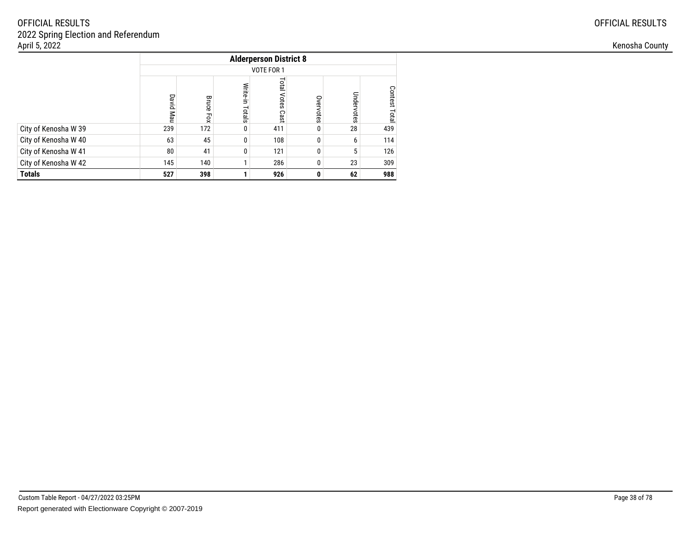|                      | <b>Alderperson District 8</b> |                     |                    |                               |           |            |                         |  |  |  |  |
|----------------------|-------------------------------|---------------------|--------------------|-------------------------------|-----------|------------|-------------------------|--|--|--|--|
|                      |                               | VOTE FOR 1          |                    |                               |           |            |                         |  |  |  |  |
|                      | David Mau                     | <b>Bruce</b><br>Fox | Write-in<br>Totals | <b>Total</b><br>Votes<br>Cast | Overvotes | Undervotes | <b>Contest</b><br>Total |  |  |  |  |
| City of Kenosha W 39 | 239                           | 172                 | 0                  | 411                           |           | 28         | 439                     |  |  |  |  |
| City of Kenosha W 40 | 63                            | 45                  | 0                  | 108                           | 0         | 6          | 114                     |  |  |  |  |
| City of Kenosha W 41 | 80                            | 41                  | 0                  | 121                           |           | 5          | 126                     |  |  |  |  |
| City of Kenosha W 42 | 145                           | 140                 | 1                  | 286                           |           | 23         | 309                     |  |  |  |  |
| <b>Totals</b>        | 527                           | 398                 |                    | 926                           | 0         | 62         | 988                     |  |  |  |  |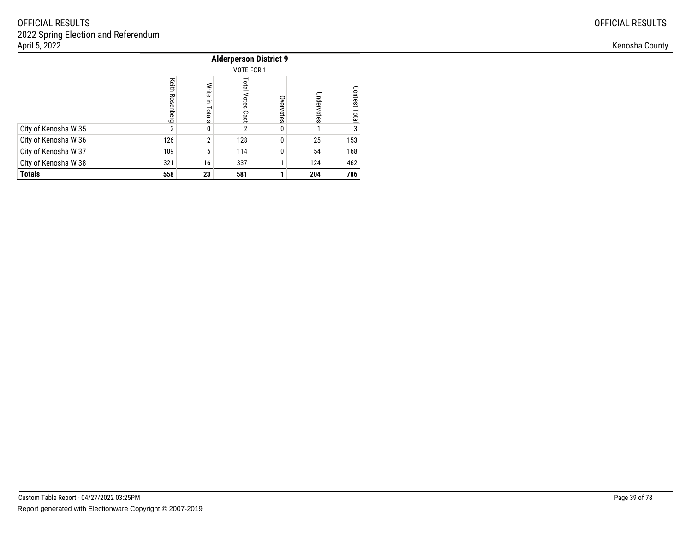|                      |                    | <b>Alderperson District 9</b> |                               |           |            |                  |  |  |  |  |  |
|----------------------|--------------------|-------------------------------|-------------------------------|-----------|------------|------------------|--|--|--|--|--|
|                      |                    | VOTE FOR 1                    |                               |           |            |                  |  |  |  |  |  |
|                      | Keith<br>Rosenberg | Write-in<br>Totals            | <b>Total</b><br>Votes<br>Cast | Overvotes | Undervotes | Contest<br>Total |  |  |  |  |  |
| City of Kenosha W 35 | $\overline{2}$     | 0                             | $\overline{2}$                | 0         |            | 3                |  |  |  |  |  |
| City of Kenosha W 36 | 126                | $\overline{2}$                | 128                           | 0         | 25         | 153              |  |  |  |  |  |
| City of Kenosha W 37 | 109                | 5                             | 114                           | 0         | 54         | 168              |  |  |  |  |  |
| City of Kenosha W 38 | 321                | 16                            | 337                           |           | 124        | 462              |  |  |  |  |  |
| <b>Totals</b>        | 558                | 23                            | 581                           |           | 204        | 786              |  |  |  |  |  |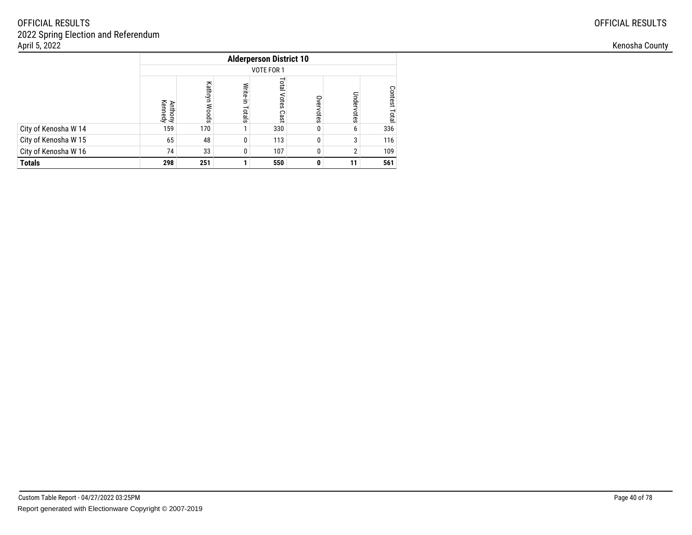|                      |                           | <b>Alderperson District 10</b> |                    |                               |           |            |                                |  |  |  |  |  |
|----------------------|---------------------------|--------------------------------|--------------------|-------------------------------|-----------|------------|--------------------------------|--|--|--|--|--|
|                      |                           | VOTE FOR 1                     |                    |                               |           |            |                                |  |  |  |  |  |
|                      | <b>Anthony</b><br>Kennedy | Kathryn<br><b>Woods</b>        | Write-in<br>Totals | <b>Total</b><br>Votes<br>Cast | Overvotes | Undervotes | <b>Contest</b><br><b>Lotal</b> |  |  |  |  |  |
| City of Kenosha W 14 | 159                       | 170                            |                    | 330                           |           | 6          | 336                            |  |  |  |  |  |
| City of Kenosha W 15 | 65                        | 48                             | 0                  | 113                           |           | 3          | 116                            |  |  |  |  |  |
| City of Kenosha W 16 | 74                        | 33<br>107<br>109<br>0<br>ŋ     |                    |                               |           |            |                                |  |  |  |  |  |
| <b>Totals</b>        | 298                       | 251<br>550<br>11               |                    |                               |           |            |                                |  |  |  |  |  |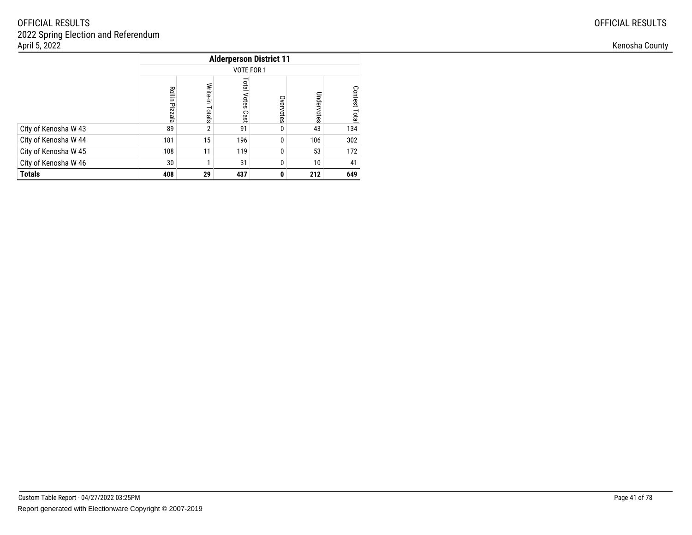|                      |                          |                    | <b>Alderperson District 11</b> |           |            |                  |  |  |  |  |  |
|----------------------|--------------------------|--------------------|--------------------------------|-----------|------------|------------------|--|--|--|--|--|
|                      |                          | VOTE FOR 1         |                                |           |            |                  |  |  |  |  |  |
|                      | Rollin<br><b>Pizzala</b> | Write-in<br>Totals | <b>Total</b><br>Votes<br>Cast  | Overvotes | Undervotes | Contest<br>Total |  |  |  |  |  |
| City of Kenosha W 43 | 89                       | $\overline{2}$     | 91                             | 0         | 43         | 134              |  |  |  |  |  |
| City of Kenosha W 44 | 181                      | 15                 | 196                            | 0         | 106        | 302              |  |  |  |  |  |
| City of Kenosha W 45 | 108                      | 11                 | 119                            | 0         | 53         | 172              |  |  |  |  |  |
| City of Kenosha W 46 | 30                       |                    | 31                             | 0         | 10         | 41               |  |  |  |  |  |
| <b>Totals</b>        | 408                      | 29                 | 437                            | 0         | 212        | 649              |  |  |  |  |  |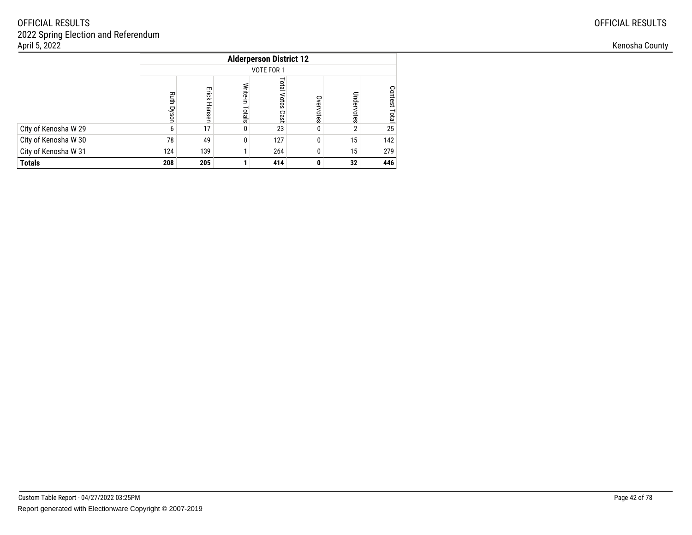|                      |            | <b>Alderperson District 12</b>              |                    |                              |           |            |                         |  |  |  |  |  |
|----------------------|------------|---------------------------------------------|--------------------|------------------------------|-----------|------------|-------------------------|--|--|--|--|--|
|                      |            | VOTE FOR 1                                  |                    |                              |           |            |                         |  |  |  |  |  |
|                      | Ruth Dyson | Erick Hanser                                | Write-in<br>Totals | <b>Lota</b><br>Votes<br>Cast | Overvotes | Undervotes | Contest<br><b>Lotal</b> |  |  |  |  |  |
| City of Kenosha W 29 | 6          | 17                                          | 0                  | 23                           |           | 2          | 25                      |  |  |  |  |  |
| City of Kenosha W 30 | 78         | 49                                          | 0                  | 127                          |           | 15         | 142                     |  |  |  |  |  |
| City of Kenosha W 31 | 124        | 139<br>264<br>15<br>208<br>205<br>414<br>32 |                    |                              |           |            |                         |  |  |  |  |  |
| <b>Totals</b>        |            |                                             |                    |                              |           |            |                         |  |  |  |  |  |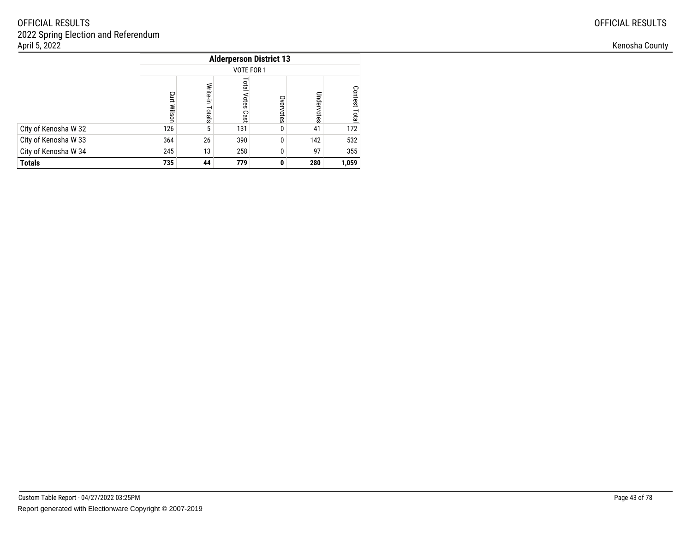|                      |                    |                    |                        | <b>Alderperson District 13</b> |            |                  |  |  |  |  |  |  |  |  |
|----------------------|--------------------|--------------------|------------------------|--------------------------------|------------|------------------|--|--|--|--|--|--|--|--|
|                      | VOTE FOR 1         |                    |                        |                                |            |                  |  |  |  |  |  |  |  |  |
|                      | <b>Curt Wilsor</b> | Write-in<br>Totals | Total<br>Votes<br>Cast | Overvotes                      | Undervotes | Contest<br>Total |  |  |  |  |  |  |  |  |
| City of Kenosha W 32 | 126                | 5                  | 131                    | 0                              | 41         | 172              |  |  |  |  |  |  |  |  |
| City of Kenosha W 33 | 364                | 26                 | 390                    | 0                              | 142        | 532              |  |  |  |  |  |  |  |  |
| City of Kenosha W 34 | 245                | 13                 | 258                    | $\Omega$                       | 97         | 355              |  |  |  |  |  |  |  |  |
| <b>Totals</b>        | 735                | 44                 | 779                    | 0                              | 280        | 1,059            |  |  |  |  |  |  |  |  |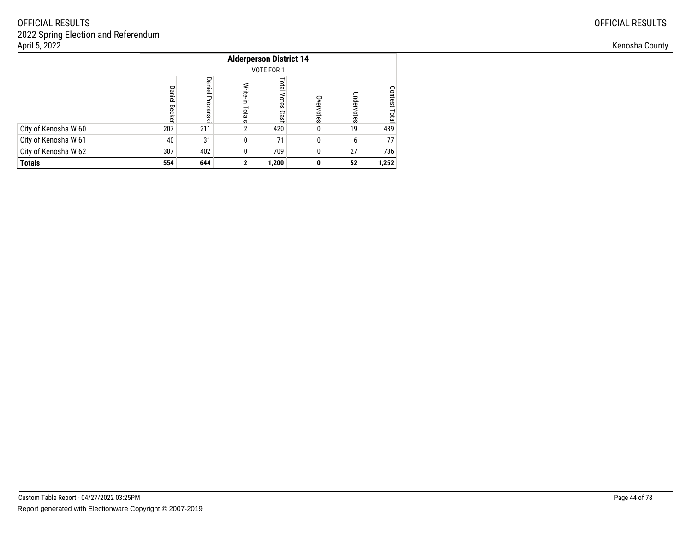|                      |                      | <b>Alderperson District 14</b> |                    |                               |           |            |                                |  |  |  |  |  |
|----------------------|----------------------|--------------------------------|--------------------|-------------------------------|-----------|------------|--------------------------------|--|--|--|--|--|
|                      |                      | VOTE FOR 1                     |                    |                               |           |            |                                |  |  |  |  |  |
|                      | <b>Daniel Becker</b> | Daniel<br>Prozanski            | Write-in<br>Totals | <b>Total</b><br>Votes<br>Cast | Overvotes | Undervotes | <b>Contest</b><br><b>Total</b> |  |  |  |  |  |
| City of Kenosha W 60 | 207                  | 211                            | $\overline{2}$     | 420                           |           | 19         | 439                            |  |  |  |  |  |
| City of Kenosha W 61 | 40                   | 31                             | 0                  | 71                            |           | 6          | 77                             |  |  |  |  |  |
| City of Kenosha W 62 | 307                  | 27<br>736<br>402<br>709<br>0   |                    |                               |           |            |                                |  |  |  |  |  |
| <b>Totals</b>        | 554                  | 644                            | 2                  | 1,200                         |           | 52         | 1,252                          |  |  |  |  |  |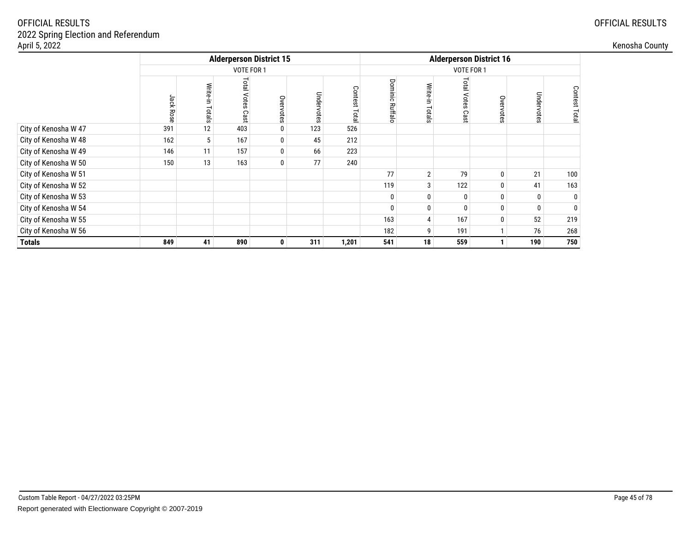| April 5, 2022        |                 |                    |                                |           |            |                   |                                 |                |                       |               |            |                        | Kenosha County |
|----------------------|-----------------|--------------------|--------------------------------|-----------|------------|-------------------|---------------------------------|----------------|-----------------------|---------------|------------|------------------------|----------------|
|                      |                 |                    | <b>Alderperson District 15</b> |           |            |                   | <b>Alderperson District 16</b>  |                |                       |               |            |                        |                |
|                      |                 |                    | VOTE FOR 1                     |           |            |                   |                                 |                | VOTE FOR 1            |               |            |                        |                |
|                      | <b>Jack Ros</b> | Write-in<br>Totals | <b>Total Votes</b><br>Cas      | Overvotes | Undervotes | Conte<br>ةة<br>g. | Dom<br>$\overline{c}$<br>큷<br>ਨ | ⋚<br>ದ         | Total<br>Votes<br>Cas | Overvote<br>Ö | Undervotes | Contest<br><b>Tota</b> |                |
| City of Kenosha W 47 | 391             | 12                 | 403                            | 0         | 123        | 526               |                                 |                |                       |               |            |                        |                |
| City of Kenosha W 48 | 162             | 5                  | 167                            | 0         | 45         | 212               |                                 |                |                       |               |            |                        |                |
| City of Kenosha W 49 | 146             | 11                 | 157                            | 0         | 66         | 223               |                                 |                |                       |               |            |                        |                |
| City of Kenosha W 50 | 150             | 13                 | 163                            | 0         | 77         | 240               |                                 |                |                       |               |            |                        |                |
| City of Kenosha W 51 |                 |                    |                                |           |            |                   | 77                              | $\overline{2}$ | 79                    | 0             | 21         | 100                    |                |
| City of Kenosha W 52 |                 |                    |                                |           |            |                   | 119                             |                | 122                   | $\mathbf{0}$  | 41         | 163                    |                |
| City of Kenosha W 53 |                 |                    |                                |           |            |                   |                                 |                | $\mathbf{0}$          | 0             | 0          |                        |                |
| City of Kenosha W 54 |                 |                    |                                |           |            |                   |                                 |                | $\Omega$              | 0             | 0          |                        |                |
| City of Kenosha W 55 |                 |                    |                                |           |            |                   | 163                             |                | 167                   | $\Omega$      | 52         | 219                    |                |
| City of Kenosha W 56 |                 |                    |                                |           |            |                   | 182                             |                | 191                   |               | 76         | 268                    |                |
| <b>Totals</b>        | 849             | 41                 | 890                            | 0         | 311        | 1,201             | 541                             | 18             | 559                   |               | 190        | 750                    |                |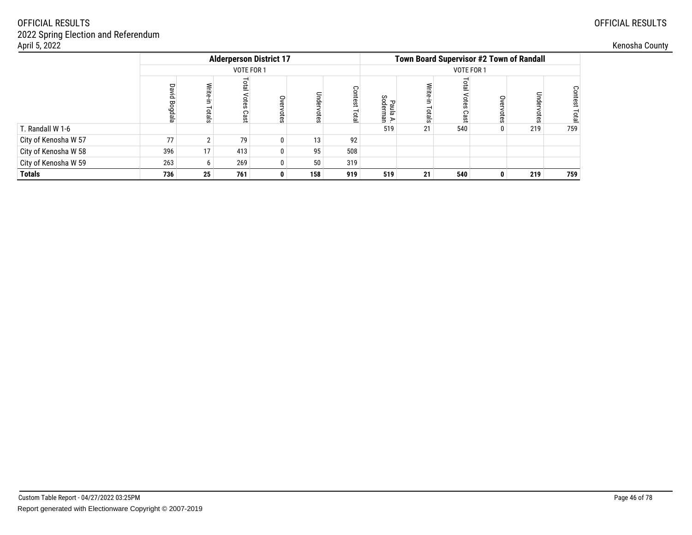| April 5, 2022        |     |                                |                         |              |                 |             |                      |    |                                                 |   |               |         | Kenosha County |
|----------------------|-----|--------------------------------|-------------------------|--------------|-----------------|-------------|----------------------|----|-------------------------------------------------|---|---------------|---------|----------------|
|                      |     | <b>Alderperson District 17</b> |                         |              |                 |             |                      |    | <b>Town Board Supervisor #2 Town of Randall</b> |   |               |         |                |
|                      |     | VOTE FOR 1                     |                         |              |                 |             |                      |    | VOTE FOR 1                                      |   |               |         |                |
|                      | èp. | 턐<br>otals                     | ota<br>ore<br>Ö<br>Cast | Оvе<br>ptes  | Unde<br>ਛੇ<br>Ö | test<br>ota | Paula A.<br>Soderman |    | Cas                                             | S | Undei<br>otes | Contest |                |
| T. Randall W 1-6     |     |                                |                         |              |                 |             | 519                  | 21 | 540                                             |   | 219           | 759     |                |
| City of Kenosha W 57 | 77  |                                | 79                      | 0            | 13              | 92          |                      |    |                                                 |   |               |         |                |
| City of Kenosha W 58 | 396 | 17 <sub>1</sub>                | 413                     | 0            | 95              | 508         |                      |    |                                                 |   |               |         |                |
| City of Kenosha W 59 | 263 |                                | 269                     | 0            | 50              | 319         |                      |    |                                                 |   |               |         |                |
| <b>Totals</b>        | 736 | 25                             | 761                     | $\mathbf{0}$ | 158             | 919         | 519                  | 21 | 540                                             |   | 219           | 759     |                |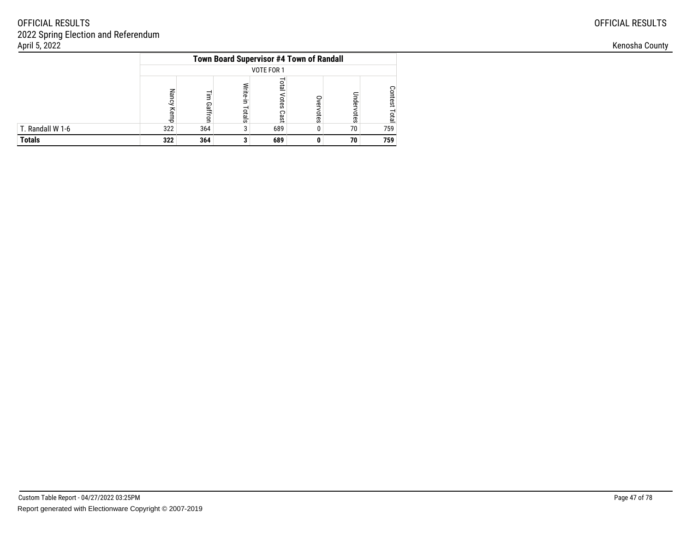|                  | <b>Town Board Supervisor #4 Town of Randall</b> |              |                    |                      |            |            |                               |  |  |  |  |
|------------------|-------------------------------------------------|--------------|--------------------|----------------------|------------|------------|-------------------------------|--|--|--|--|
|                  | VOTE FOR 1                                      |              |                    |                      |            |            |                               |  |  |  |  |
|                  | <b>Nancy</b><br>Kemp                            | ₹<br>Gaffron | Write-in<br>Totals | leto<br>otes<br>Cast | ቧ<br>votes | Undervotes | <b>Contest</b><br><b>Tota</b> |  |  |  |  |
| T. Randall W 1-6 | 322                                             | 364          |                    | 689                  |            | 70         | 759                           |  |  |  |  |
| <b>Totals</b>    | 322                                             | 364          |                    | 689                  |            | 70         | 759                           |  |  |  |  |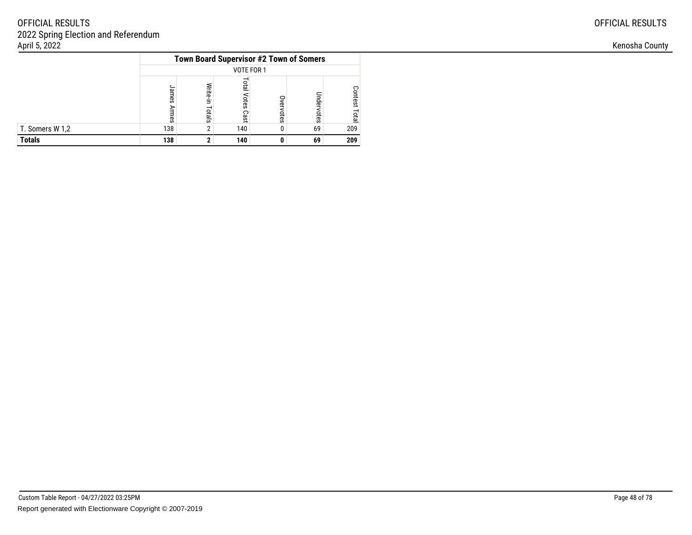|                 |                    |                   |                        |           | Town Board Supervisor #2 Town of Somers |                        |  |  |  |  |  |
|-----------------|--------------------|-------------------|------------------------|-----------|-----------------------------------------|------------------------|--|--|--|--|--|
|                 | VOTE FOR 1         |                   |                        |           |                                         |                        |  |  |  |  |  |
|                 | suues<br>⋗<br>rmes | Write-in<br>otals | letic<br>Votes<br>Cast | Overvotes | Indervotes                              | Contest<br><b>Tota</b> |  |  |  |  |  |
| T. Somers W 1,2 | 138                | n                 | 140                    |           | 69                                      | 209                    |  |  |  |  |  |
| <b>Totals</b>   | 138                |                   | 140                    |           | 69                                      | 209                    |  |  |  |  |  |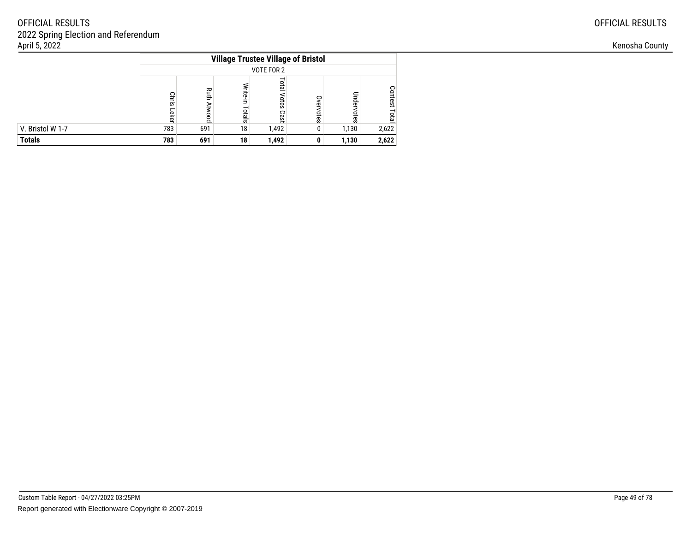|                  |                       | <b>Village Trustee Village of Bristol</b> |                    |                              |               |            |                        |  |  |  |  |
|------------------|-----------------------|-------------------------------------------|--------------------|------------------------------|---------------|------------|------------------------|--|--|--|--|
|                  |                       | VOTE FOR 2                                |                    |                              |               |            |                        |  |  |  |  |
|                  | <b>Chris</b><br>Leker | <b>Ruth</b><br>Atwood                     | Write-in<br>Totals | <b>Lota</b><br>Votes<br>Cast | c<br>vervotes | Undervotes | Contest<br><b>Tota</b> |  |  |  |  |
| V. Bristol W 1-7 | 783                   | 691                                       | 18                 | 1,492                        |               | 1,130      | 2,622                  |  |  |  |  |
| <b>Totals</b>    | 783                   | 691                                       | 18                 | 1,492                        |               | 1,130      | 2,622                  |  |  |  |  |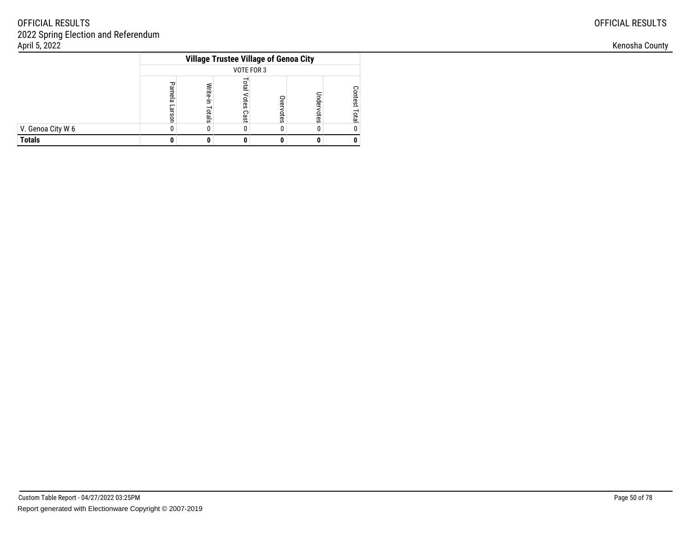|                   | <b>Village Trustee Village of Genoa City</b> |                   |                            |          |            |                                |  |  |  |
|-------------------|----------------------------------------------|-------------------|----------------------------|----------|------------|--------------------------------|--|--|--|
|                   | <b>VOTE FOR 3</b>                            |                   |                            |          |            |                                |  |  |  |
|                   | ᠊ᠣ<br>Plamela<br>arson                       | Write-in<br>otals | <b>DTB</b><br>otes<br>Cast | vervotes | Indervotes | <b>Contest</b><br><b>Lotal</b> |  |  |  |
| V. Genoa City W 6 |                                              |                   |                            |          |            |                                |  |  |  |
| <b>Totals</b>     |                                              |                   |                            |          |            |                                |  |  |  |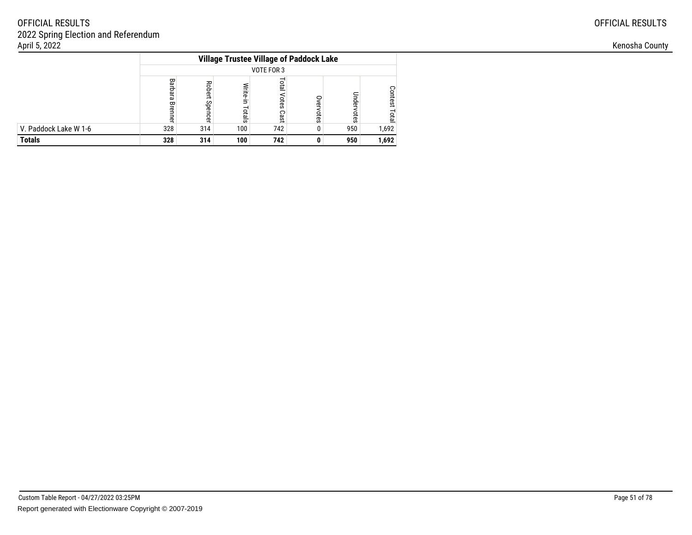|                       |                    |                          |                    | <b>Village Trustee Village of Paddock Lake</b> |               |            |                         |  |  |  |  |
|-----------------------|--------------------|--------------------------|--------------------|------------------------------------------------|---------------|------------|-------------------------|--|--|--|--|
|                       |                    | VOTE FOR 3               |                    |                                                |               |            |                         |  |  |  |  |
|                       | Barbara<br>Brenner | <b>Robert</b><br>Spencer | Write-in<br>Totals | <b>Lota</b><br>Votes<br>Cast                   | 0<br>vervotes | Undervotes | <b>Contest</b><br>Total |  |  |  |  |
| V. Paddock Lake W 1-6 | 328                | 314                      | 100                | 742                                            |               | 950        | 1,692                   |  |  |  |  |
| <b>Totals</b>         | 328                | 314                      | 100                | 742                                            | 0             | 950        | 1,692                   |  |  |  |  |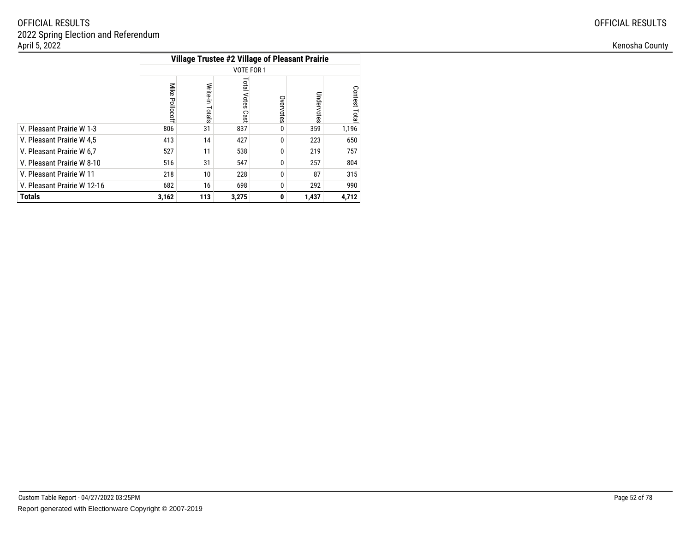| <b>OFFICIAL RESULTS</b> |
|-------------------------|
|-------------------------|

|                             |                   |                    |                               |           | <b>Village Trustee #2 Village of Pleasant Prairie</b> |               |  |  |  |  |
|-----------------------------|-------------------|--------------------|-------------------------------|-----------|-------------------------------------------------------|---------------|--|--|--|--|
|                             | VOTE FOR 1        |                    |                               |           |                                                       |               |  |  |  |  |
|                             | Mike<br>Pollocoff | Write-in<br>Totals | Total<br><b>Votes</b><br>Cast | Overvotes | Undervotes                                            | Contest Total |  |  |  |  |
| V. Pleasant Prairie W 1-3   | 806               | 31                 | 837                           | 0         | 359                                                   | 1,196         |  |  |  |  |
| V. Pleasant Prairie W 4,5   | 413               | 14                 | 427                           | 0         | 223                                                   | 650           |  |  |  |  |
| V. Pleasant Prairie W 6.7   | 527               | 11                 | 538                           | 0         | 219                                                   | 757           |  |  |  |  |
| V. Pleasant Prairie W 8-10  | 516               | 31                 | 547                           | 0         | 257                                                   | 804           |  |  |  |  |
| V. Pleasant Prairie W 11    | 218               | 10                 | 228                           | 0         | 87                                                    | 315           |  |  |  |  |
| V. Pleasant Prairie W 12-16 | 682               | 16                 | 698                           | 0         | 292                                                   | 990           |  |  |  |  |
| <b>Totals</b>               | 3,162             | 113                | 3,275                         | 0         | 1,437                                                 | 4,712         |  |  |  |  |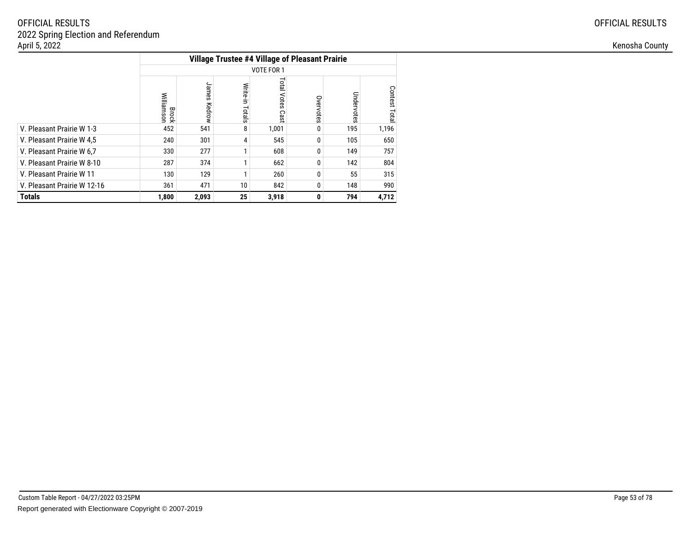|                             |                     |                 |                    | <b>Village Trustee #4 Village of Pleasant Prairie</b> |           |            |               |
|-----------------------------|---------------------|-----------------|--------------------|-------------------------------------------------------|-----------|------------|---------------|
|                             |                     |                 |                    | VOTE FOR 1                                            |           |            |               |
|                             | Williamsor<br>Brock | James<br>Kedrow | Write-in<br>Totals | <b>Total Votes</b><br>Cast                            | Overvotes | Undervotes | Contest Total |
| V. Pleasant Prairie W 1-3   | 452                 | 541             | 8                  | 1,001                                                 |           | 195        | 1,196         |
| V. Pleasant Prairie W 4,5   | 240                 | 301             | 4                  | 545                                                   | 0         | 105        | 650           |
| V. Pleasant Prairie W 6.7   | 330                 | 277             |                    | 608                                                   | 0         | 149        | 757           |
| V. Pleasant Prairie W 8-10  | 287                 | 374             |                    | 662                                                   |           | 142        | 804           |
| V. Pleasant Prairie W 11    | 130                 | 129             |                    | 260                                                   | 0         | 55         | 315           |
| V. Pleasant Prairie W 12-16 | 361                 | 471             | 10                 | 842                                                   | 0         | 148        | 990           |
| <b>Totals</b>               | 1,800               | 2,093           | 25                 | 3,918                                                 | 0         | 794        | 4,712         |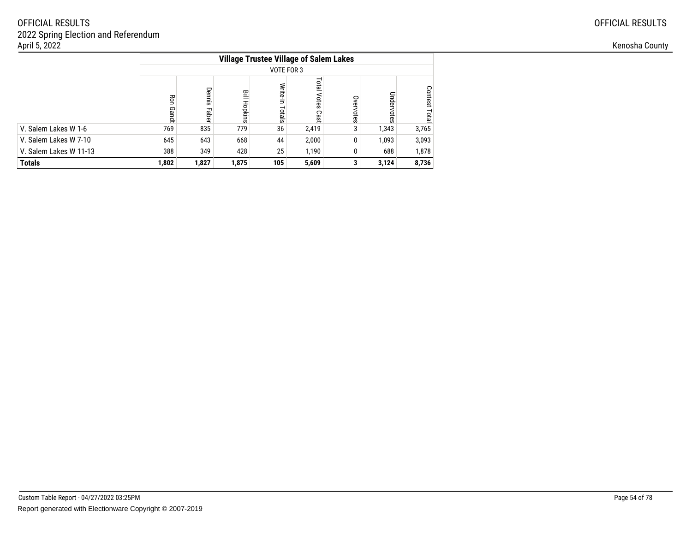|                        | <b>Village Trustee Village of Salem Lakes</b> |                 |              |                    |                        |           |            |                                |  |  |  |  |
|------------------------|-----------------------------------------------|-----------------|--------------|--------------------|------------------------|-----------|------------|--------------------------------|--|--|--|--|
|                        |                                               | VOTE FOR 3      |              |                    |                        |           |            |                                |  |  |  |  |
|                        | Ron<br>Gandt                                  | Dennis<br>Faber | 믈<br>Hopkins | Write-in<br>Totals | Total<br>Votes<br>Cast | Overvotes | Undervotes | <b>Contest</b><br><b>Total</b> |  |  |  |  |
| V. Salem Lakes W 1-6   | 769                                           | 835             | 779          | 36                 | 2,419                  | 3         | 1,343      | 3,765                          |  |  |  |  |
| V. Salem Lakes W 7-10  | 645                                           | 643             | 668          | 44                 | 2,000                  | 0         | 1,093      | 3,093                          |  |  |  |  |
| V. Salem Lakes W 11-13 | 388                                           | 349             | 428          | 25                 | 1,190                  |           | 688        | 1,878                          |  |  |  |  |
| <b>Totals</b>          | 1,802                                         | 1,827           | 1,875        | 105                | 5,609                  |           | 3,124      | 8,736                          |  |  |  |  |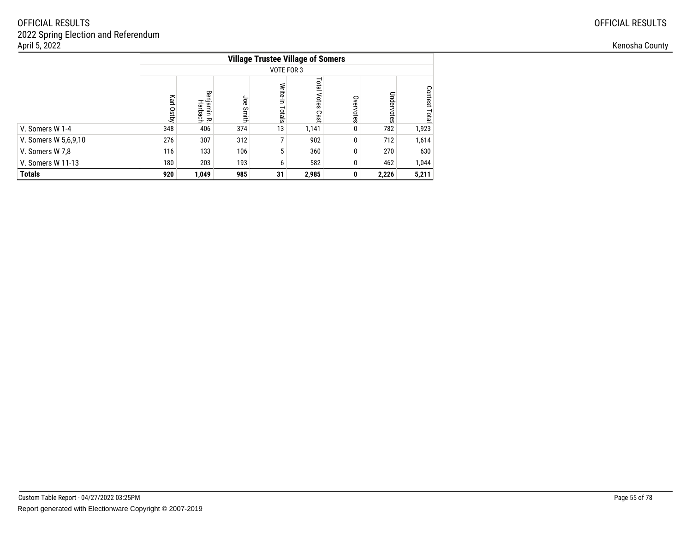|                      |               |                        |              | <b>Village Trustee Village of Somers</b> |                     |           |            |                         |
|----------------------|---------------|------------------------|--------------|------------------------------------------|---------------------|-----------|------------|-------------------------|
|                      |               |                        |              |                                          | VOTE FOR 3          |           |            |                         |
|                      | Karl<br>Ostby | Benjamin R.<br>Harbach | Joe<br>Smith | Write-in<br>Totals                       | Total Votes<br>Cast | Overvotes | Undervotes | Contest<br><b>Total</b> |
| V. Somers W 1-4      | 348           | 406                    | 374          | 13                                       | 1,141               | 0         | 782        | 1,923                   |
| V. Somers W 5,6,9,10 | 276           | 307                    | 312          |                                          | 902                 | 0         | 712        | 1,614                   |
| V. Somers W 7,8      | 116           | 133                    | 106          | 5                                        | 360                 | $\bf{0}$  | 270        | 630                     |
| V. Somers W 11-13    | 180           | 203                    | 193          | 6                                        | 582                 |           | 462        | 1,044                   |
| <b>Totals</b>        | 920           | 1,049                  | 985          | 31                                       | 2,985               | 0         | 2,226      | 5,211                   |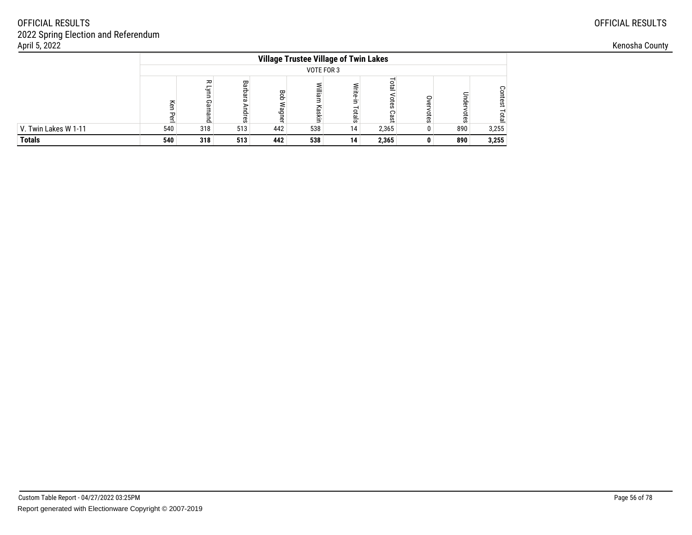| April 5, 2022        |     |               |                         |                                 |                                              |          |       |  |     |          | Kenosha County |
|----------------------|-----|---------------|-------------------------|---------------------------------|----------------------------------------------|----------|-------|--|-----|----------|----------------|
|                      |     |               |                         |                                 | <b>Village Trustee Village of Twin Lakes</b> |          |       |  |     |          |                |
|                      |     | VOTE FOR 3    |                         |                                 |                                              |          |       |  |     |          |                |
|                      |     | Gar<br>$\sim$ | Barb<br>قع<br>c<br>lres | Bob<br>≲<br>uÔe<br>$\mathbf{C}$ | Σ.                                           | $\omega$ |       |  |     | ິ<br>tes |                |
| V. Twin Lakes W 1-11 | 540 | 318           | 513                     | 442                             | 538                                          | 14       | 2,365 |  | 890 | 3,255    |                |
| <b>Totals</b>        | 540 | 318           | 513                     | 442                             | 538                                          | 14       | 2,365 |  | 890 | 3,255    |                |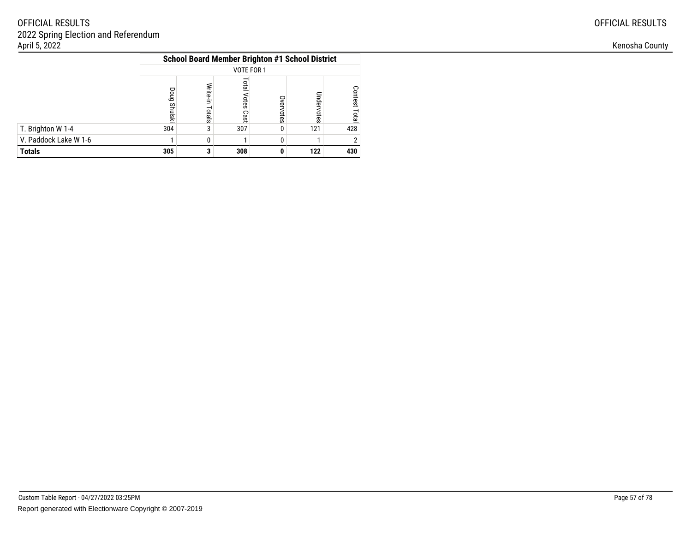| <b>OFFICIAL RESULTS</b> |  |
|-------------------------|--|
|-------------------------|--|

|                       | <b>School Board Member Brighton #1 School District</b> |                    |                        |           |            |                         |  |  |  |
|-----------------------|--------------------------------------------------------|--------------------|------------------------|-----------|------------|-------------------------|--|--|--|
|                       | VOTE FOR 1                                             |                    |                        |           |            |                         |  |  |  |
|                       | Doug<br><b>Shulski</b>                                 | Write-in<br>Totals | lotal<br>Votes<br>Cast | Overvotes | Jndervotes | <b>Contest</b><br>Total |  |  |  |
| T. Brighton W 1-4     | 304                                                    | 3                  | 307                    |           | 121        | 428                     |  |  |  |
| V. Paddock Lake W 1-6 |                                                        | 0                  |                        |           |            |                         |  |  |  |
| <b>Totals</b>         | 305                                                    | ◠                  | 308                    |           | 122        | 430                     |  |  |  |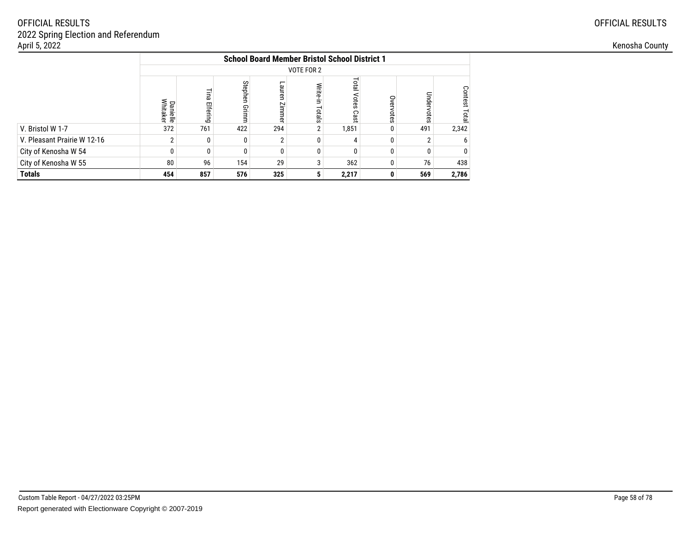|                             |                             | <b>School Board Member Bristol School District 1</b> |                  |                     |                        |                               |           |            |                  |  |  |  |
|-----------------------------|-----------------------------|------------------------------------------------------|------------------|---------------------|------------------------|-------------------------------|-----------|------------|------------------|--|--|--|
|                             |                             | VOTE FOR 2                                           |                  |                     |                        |                               |           |            |                  |  |  |  |
|                             | <b>Danielle</b><br>Whitaker | Ξ<br>മ<br>Elfering                                   | Stephen<br>Grimm | Lauren<br>Zimm<br>ቧ | Write-i<br>Ś<br>Totals | <b>Total</b><br>Votes<br>Cast | Overvotes | Undervotes | Contest<br>Total |  |  |  |
| V. Bristol W 1-7            | 372                         | 761                                                  | 422              | 294                 | $\overline{2}$         | .851                          | 0         | 491        | 2,342            |  |  |  |
| V. Pleasant Prairie W 12-16 | ŋ                           | $\Omega$                                             | 0                | ŋ                   | ŋ                      | 4                             | ŋ         | 2          |                  |  |  |  |
| City of Kenosha W 54        | ŋ                           | $\Omega$                                             | $\Omega$         | ŋ                   | $\Omega$               | ŋ                             | $\Omega$  | 0          |                  |  |  |  |
| City of Kenosha W 55        | 80                          | 96                                                   | 154              | 29                  | 3                      | 362                           | 0         | 76         | 438              |  |  |  |
| <b>Totals</b>               | 454                         | 857                                                  | 576              | 325                 | 5                      | 2,217                         |           | 569        | 2,786            |  |  |  |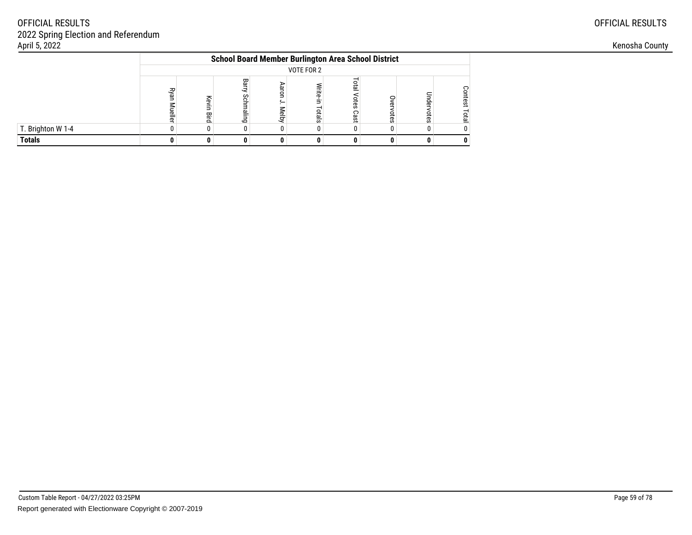|                   | <b>School Board Member Burlington Area School District</b>                                                                                                            |  |  |  |  |  |  |  |  |  |  |
|-------------------|-----------------------------------------------------------------------------------------------------------------------------------------------------------------------|--|--|--|--|--|--|--|--|--|--|
|                   | VOTE FOR 2                                                                                                                                                            |  |  |  |  |  |  |  |  |  |  |
|                   | Bar<br><b>DTB</b><br>ݠ<br>kyar<br>긓<br>o<br>Scl<br>nde<br>Kev<br>otes<br>tes<br>৯<br><b>Aelby</b><br>G<br>otals<br>Cast<br>otes<br>otes<br>eller<br>ᇹ<br>95<br>룹<br>ਨ |  |  |  |  |  |  |  |  |  |  |
| T. Brighton W 1-4 |                                                                                                                                                                       |  |  |  |  |  |  |  |  |  |  |
| <b>Totals</b>     |                                                                                                                                                                       |  |  |  |  |  |  |  |  |  |  |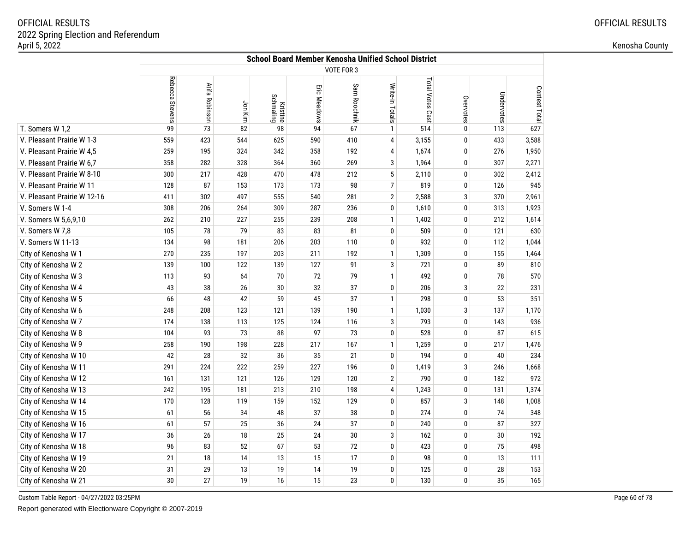|                             |                 | <b>School Board Member Kenosha Unified School District</b> |         |                              |              |                   |                 |                  |              |            |               |  |  |
|-----------------------------|-----------------|------------------------------------------------------------|---------|------------------------------|--------------|-------------------|-----------------|------------------|--------------|------------|---------------|--|--|
|                             |                 |                                                            |         |                              |              | <b>VOTE FOR 3</b> |                 |                  |              |            |               |  |  |
|                             | Rebecca Stevens | Atifa Robinson                                             | Jon Kim | <b>Kristine</b><br>Schmaling | Eric Meadows | Sam Roochnik      | Write-in Totals | Total Votes Cast | Overvotes    | Undervotes | Contest Total |  |  |
| T. Somers W 1,2             | 99              | 73                                                         | 82      | 98                           | 94           | 67                | $\mathbf{1}$    | 514              | $\pmb{0}$    | 113        | 627           |  |  |
| V. Pleasant Prairie W 1-3   | 559             | 423                                                        | 544     | 625                          | 590          | 410               | $\overline{4}$  | 3,155            | $\mathbf 0$  | 433        | 3,588         |  |  |
| V. Pleasant Prairie W 4,5   | 259             | 195                                                        | 324     | 342                          | 358          | 192               | 4               | 1,674            | $\mathbf 0$  | 276        | 1,950         |  |  |
| V. Pleasant Prairie W 6,7   | 358             | 282                                                        | 328     | 364                          | 360          | 269               | 3               | 1,964            | $\pmb{0}$    | 307        | 2,271         |  |  |
| V. Pleasant Prairie W 8-10  | 300             | 217                                                        | 428     | 470                          | 478          | 212               | $\sqrt{5}$      | 2,110            | 0            | 302        | 2,412         |  |  |
| V. Pleasant Prairie W 11    | 128             | 87                                                         | 153     | 173                          | 173          | 98                | $\overline{7}$  | 819              | $\mathbf 0$  | 126        | 945           |  |  |
| V. Pleasant Prairie W 12-16 | 411             | 302                                                        | 497     | 555                          | 540          | 281               | $\overline{2}$  | 2,588            | 3            | 370        | 2,961         |  |  |
| V. Somers W 1-4             | 308             | 206                                                        | 264     | 309                          | 287          | 236               | 0               | 1,610            | 0            | 313        | 1,923         |  |  |
| V. Somers W 5,6,9,10        | 262             | 210                                                        | 227     | 255                          | 239          | 208               | $\mathbf{1}$    | 1,402            | 0            | 212        | 1,614         |  |  |
| V. Somers W 7,8             | 105             | 78                                                         | 79      | 83                           | 83           | 81                | 0               | 509              | 0            | 121        | 630           |  |  |
| V. Somers W 11-13           | 134             | 98                                                         | 181     | 206                          | 203          | 110               | $\bf{0}$        | 932              | $\mathbf 0$  | 112        | 1,044         |  |  |
| City of Kenosha W 1         | 270             | 235                                                        | 197     | 203                          | 211          | 192               | $\mathbf{1}$    | 1,309            | $\mathbf 0$  | 155        | 1,464         |  |  |
| City of Kenosha W 2         | 139             | 100                                                        | 122     | 139                          | 127          | 91                | 3               | 721              | $\mathbf 0$  | 89         | 810           |  |  |
| City of Kenosha W 3         | 113             | 93                                                         | 64      | 70                           | 72           | 79                | $\mathbf{1}$    | 492              | 0            | 78         | 570           |  |  |
| City of Kenosha W 4         | 43              | 38                                                         | 26      | 30                           | 32           | 37                | $\mathbf 0$     | 206              | 3            | 22         | 231           |  |  |
| City of Kenosha W 5         | 66              | 48                                                         | 42      | 59                           | 45           | 37                | $\mathbf{1}$    | 298              | 0            | 53         | 351           |  |  |
| City of Kenosha W 6         | 248             | 208                                                        | 123     | 121                          | 139          | 190               | $\mathbf{1}$    | 1,030            | 3            | 137        | 1,170         |  |  |
| City of Kenosha W 7         | 174             | 138                                                        | 113     | 125                          | 124          | 116               | $\mathbf{3}$    | 793              | $\mathbf 0$  | 143        | 936           |  |  |
| City of Kenosha W 8         | 104             | 93                                                         | 73      | 88                           | 97           | 73                | $\pmb{0}$       | 528              | $\mathbf 0$  | 87         | 615           |  |  |
| City of Kenosha W 9         | 258             | 190                                                        | 198     | 228                          | 217          | 167               | $\mathbf{1}$    | 1,259            | $\mathbf 0$  | 217        | 1,476         |  |  |
| City of Kenosha W 10        | 42              | 28                                                         | 32      | 36                           | 35           | 21                | $\bf{0}$        | 194              | 0            | 40         | 234           |  |  |
| City of Kenosha W 11        | 291             | 224                                                        | 222     | 259                          | 227          | 196               | 0               | 1,419            | 3            | 246        | 1,668         |  |  |
| City of Kenosha W 12        | 161             | 131                                                        | 121     | 126                          | 129          | 120               | $\overline{2}$  | 790              | $\mathbf 0$  | 182        | 972           |  |  |
| City of Kenosha W 13        | 242             | 195                                                        | 181     | 213                          | 210          | 198               | $\overline{4}$  | 1,243            | $\mathbf 0$  | 131        | 1,374         |  |  |
| City of Kenosha W 14        | 170             | 128                                                        | 119     | 159                          | 152          | 129               | 0               | 857              | 3            | 148        | 1,008         |  |  |
| City of Kenosha W 15        | 61              | 56                                                         | 34      | 48                           | 37           | 38                | 0               | 274              | $\mathbf 0$  | 74         | 348           |  |  |
| City of Kenosha W 16        | 61              | 57                                                         | 25      | 36                           | 24           | 37                | $\pmb{0}$       | 240              | $\mathbf{0}$ | 87         | 327           |  |  |
| City of Kenosha W 17        | 36              | 26                                                         | 18      | 25                           | 24           | 30                | 3               | 162              | $\pmb{0}$    | 30         | 192           |  |  |
| City of Kenosha W 18        | 96              | 83                                                         | 52      | 67                           | 53           | 72                | $\pmb{0}$       | 423              | $\mathbf 0$  | 75         | 498           |  |  |
| City of Kenosha W 19        | 21              | 18                                                         | 14      | 13                           | 15           | 17                | $\mathbf 0$     | 98               | $\mathbf 0$  | 13         | 111           |  |  |
| City of Kenosha W 20        | 31              | 29                                                         | 13      | 19                           | 14           | 19                | 0               | 125              | 0            | 28         | 153           |  |  |
| City of Kenosha W 21        | 30              | 27                                                         | 19      | 16                           | 15           | 23                | 0               | 130              | $\mathbf{0}$ | 35         | 165           |  |  |

Custom Table Report - 04/27/2022 03:25PM

Report generated with Electionware Copyright © 2007-2019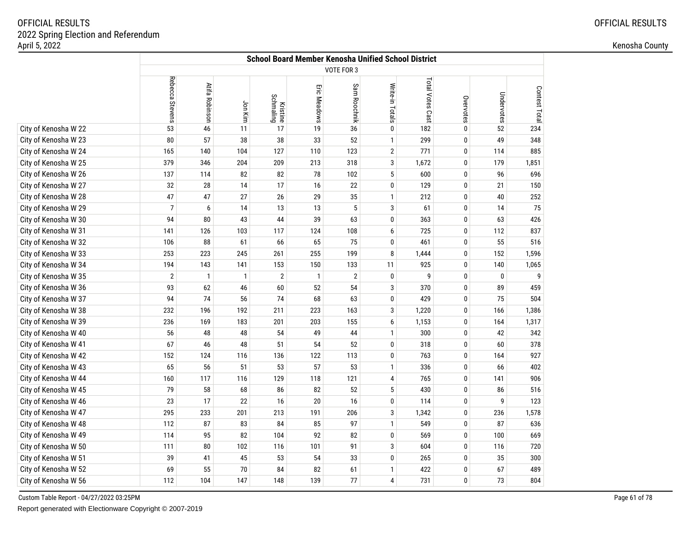|                      | <b>School Board Member Kenosha Unified School District</b> |                |              |                       |              |                |                 |                 |           |            |               |  |
|----------------------|------------------------------------------------------------|----------------|--------------|-----------------------|--------------|----------------|-----------------|-----------------|-----------|------------|---------------|--|
|                      |                                                            |                |              |                       |              | VOTE FOR 3     |                 |                 |           |            |               |  |
|                      | Rebecca Stevens                                            | Atifa Robinson | Jon Kim      | Kristine<br>Schmaling | Eric Meadows | Sam Roochnik   | Write-in Totals | Total Votes Cas | Overvotes | Undervotes | Contest Total |  |
| City of Kenosha W 22 | 53                                                         | 46             | 11           | 17                    | 19           | 36             | 0               | 182             | 0         | 52         | 234           |  |
| City of Kenosha W 23 | 80                                                         | 57             | 38           | 38                    | 33           | 52             | $\mathbf{1}$    | 299             | 0         | 49         | 348           |  |
| City of Kenosha W 24 | 165                                                        | 140            | 104          | 127                   | 110          | 123            | $\overline{2}$  | 771             | 0         | 114        | 885           |  |
| City of Kenosha W 25 | 379                                                        | 346            | 204          | 209                   | 213          | 318            | 3               | 1,672           | 0         | 179        | 1,851         |  |
| City of Kenosha W 26 | 137                                                        | 114            | 82           | 82                    | 78           | 102            | $\sqrt{5}$      | 600             | 0         | 96         | 696           |  |
| City of Kenosha W 27 | 32                                                         | 28             | 14           | 17                    | 16           | 22             | 0               | 129             | 0         | 21         | 150           |  |
| City of Kenosha W 28 | 47                                                         | 47             | 27           | 26                    | 29           | 35             | $\mathbf{1}$    | 212             | 0         | 40         | 252           |  |
| City of Kenosha W 29 | $\overline{7}$                                             | 6              | 14           | 13                    | 13           | 5              | 3               | 61              | 0         | 14         | 75            |  |
| City of Kenosha W 30 | 94                                                         | 80             | 43           | 44                    | 39           | 63             | 0               | 363             | 0         | 63         | 426           |  |
| City of Kenosha W 31 | 141                                                        | 126            | 103          | 117                   | 124          | 108            | 6               | 725             | 0         | 112        | 837           |  |
| City of Kenosha W 32 | 106                                                        | 88             | 61           | 66                    | 65           | 75             | 0               | 461             | 0         | 55         | 516           |  |
| City of Kenosha W 33 | 253                                                        | 223            | 245          | 261                   | 255          | 199            | 8               | 1,444           | 0         | 152        | 1,596         |  |
| City of Kenosha W 34 | 194                                                        | 143            | 141          | 153                   | 150          | 133            | 11              | 925             | 0         | 140        | 1,065         |  |
| City of Kenosha W 35 | $\overline{2}$                                             | 1              | $\mathbf{1}$ | $\overline{2}$        | $\mathbf{1}$ | $\overline{2}$ | 0               | 9               | 0         | 0          | 9             |  |
| City of Kenosha W 36 | 93                                                         | 62             | 46           | 60                    | 52           | 54             | 3               | 370             | 0         | 89         | 459           |  |
| City of Kenosha W 37 | 94                                                         | 74             | 56           | 74                    | 68           | 63             | 0               | 429             | 0         | 75         | 504           |  |
| City of Kenosha W 38 | 232                                                        | 196            | 192          | 211                   | 223          | 163            | 3               | 1,220           | 0         | 166        | 1,386         |  |
| City of Kenosha W 39 | 236                                                        | 169            | 183          | 201                   | 203          | 155            | 6               | 1,153           | 0         | 164        | 1,317         |  |
| City of Kenosha W 40 | 56                                                         | 48             | 48           | 54                    | 49           | 44             | 1               | 300             | 0         | 42         | 342           |  |
| City of Kenosha W 41 | 67                                                         | 46             | 48           | 51                    | 54           | 52             | 0               | 318             | 0         | 60         | 378           |  |
| City of Kenosha W 42 | 152                                                        | 124            | 116          | 136                   | 122          | 113            | 0               | 763             | 0         | 164        | 927           |  |
| City of Kenosha W 43 | 65                                                         | 56             | 51           | 53                    | 57           | 53             | $\mathbf{1}$    | 336             | 0         | 66         | 402           |  |
| City of Kenosha W 44 | 160                                                        | 117            | 116          | 129                   | 118          | 121            | 4               | 765             | 0         | 141        | 906           |  |
| City of Kenosha W 45 | 79                                                         | 58             | 68           | 86                    | 82           | 52             | $\sqrt{5}$      | 430             | 0         | 86         | 516           |  |
| City of Kenosha W 46 | 23                                                         | 17             | 22           | 16                    | 20           | 16             | 0               | 114             | 0         | 9          | 123           |  |
| City of Kenosha W 47 | 295                                                        | 233            | 201          | 213                   | 191          | 206            | 3               | 1,342           | 0         | 236        | 1,578         |  |
| City of Kenosha W 48 | 112                                                        | 87             | 83           | 84                    | 85           | 97             | $\mathbf{1}$    | 549             | 0         | 87         | 636           |  |
| City of Kenosha W 49 | 114                                                        | 95             | 82           | 104                   | 92           | 82             | 0               | 569             | 0         | 100        | 669           |  |
| City of Kenosha W 50 | 111                                                        | 80             | 102          | 116                   | 101          | 91             | 3               | 604             | 0         | 116        | 720           |  |
| City of Kenosha W 51 | 39                                                         | 41             | 45           | 53                    | 54           | 33             | 0               | 265             | 0         | 35         | 300           |  |
| City of Kenosha W 52 | 69                                                         | 55             | 70           | 84                    | 82           | 61             | 1               | 422             | 0         | 67         | 489           |  |
| City of Kenosha W 56 | 112                                                        | 104            | 147          | 148                   | 139          | 77             | 4               | 731             | 0         | 73         | 804           |  |

Custom Table Report - 04/27/2022 03:25PM

Report generated with Electionware Copyright © 2007-2019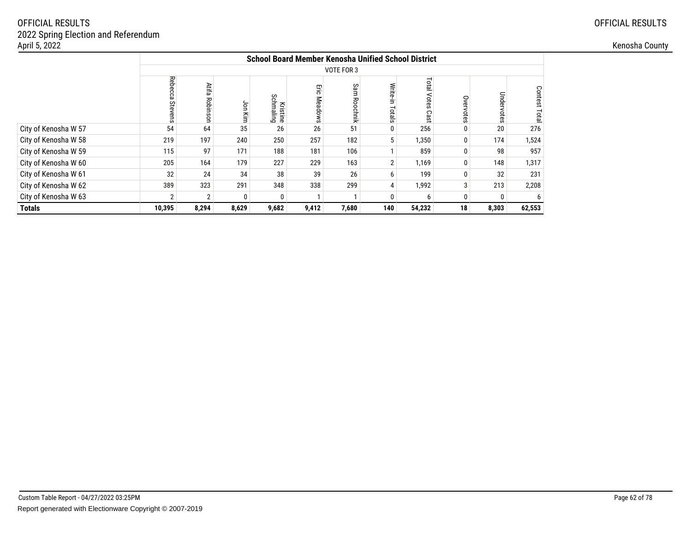| April 5, 2022        |        |                        |       |                              |                                             |                                                            |     |        |              |          |                |  |  |
|----------------------|--------|------------------------|-------|------------------------------|---------------------------------------------|------------------------------------------------------------|-----|--------|--------------|----------|----------------|--|--|
|                      |        |                        |       |                              |                                             | <b>School Board Member Kenosha Unified School District</b> |     |        |              |          |                |  |  |
|                      |        | VOTE FOR 3             |       |                              |                                             |                                                            |     |        |              |          |                |  |  |
|                      | Reb    | Atifa<br><b>Robins</b> | ξ     | <b>Kristine</b><br>Schmaling | Eric<br><b>Mead</b><br>$\Omega$<br>$\omega$ | တ္သ                                                        |     | Tota   |              |          | Contest<br>eta |  |  |
| City of Kenosha W 57 | 54     | 64                     | 35    | 26                           | 26                                          | 51                                                         |     | 256    |              | 20       | 276            |  |  |
| City of Kenosha W 58 | 219    | 197                    | 240   | 250                          | 257                                         | 182                                                        |     | 1,350  | $\mathbf{0}$ | 174      | 1,524          |  |  |
| City of Kenosha W 59 | 115    | 97                     | 171   | 188                          | 181                                         | 106                                                        |     | 859    | $\Omega$     | 98       | 957            |  |  |
| City of Kenosha W 60 | 205    | 164                    | 179   | 227                          | 229                                         | 163                                                        |     | 1,169  | $\mathbf{0}$ | 148      | 1,317          |  |  |
| City of Kenosha W 61 | 32     | 24                     | 34    | 38                           | 39                                          | 26                                                         |     | 199    | $\Omega$     | 32       | 231            |  |  |
| City of Kenosha W 62 | 389    | 323                    | 291   | 348                          | 338                                         | 299                                                        |     | 1,992  | 3            | 213      | 2,208          |  |  |
| City of Kenosha W 63 |        | 2 <sub>1</sub>         | 0     | 0                            |                                             |                                                            |     |        | $\mathbf{0}$ | $\Omega$ |                |  |  |
| <b>Totals</b>        | 10,395 | 8,294                  | 8,629 | 9,682                        | 9,412                                       | 7,680                                                      | 140 | 54,232 | 18           | 8,303    | 62,553         |  |  |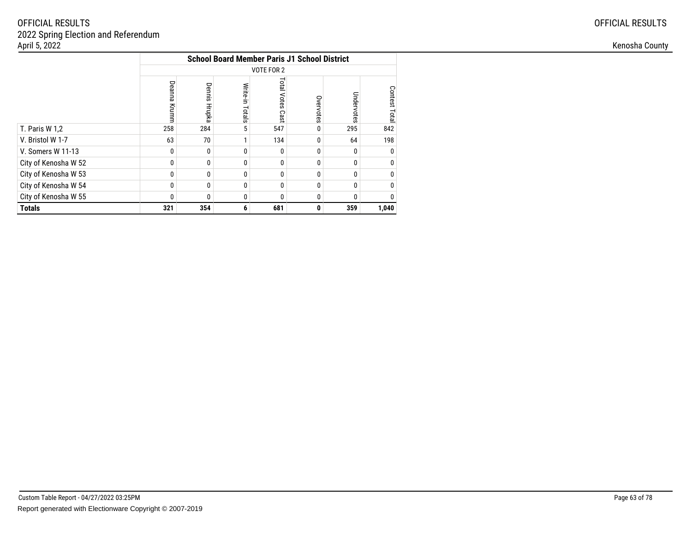|                      | <b>School Board Member Paris J1 School District</b> |                  |                    |                            |           |            |               |  |  |  |  |  |
|----------------------|-----------------------------------------------------|------------------|--------------------|----------------------------|-----------|------------|---------------|--|--|--|--|--|
|                      |                                                     |                  |                    | VOTE FOR 2                 |           |            |               |  |  |  |  |  |
|                      | Deanna<br>Krumm                                     | Dennis<br>Hrupka | Write-in<br>Totals | <b>Total Votes</b><br>Cast | Overvotes | Undervotes | Contest Total |  |  |  |  |  |
| T. Paris W 1,2       | 258                                                 | 284              | 5                  | 547                        | $\Omega$  | 295        | 842           |  |  |  |  |  |
| V. Bristol W 1-7     | 63                                                  | 70               |                    | 134                        | $\Omega$  | 64         | 198           |  |  |  |  |  |
| V. Somers W 11-13    | 0                                                   | $\Omega$         | U                  | 0                          | $\Omega$  | 0          | $\mathbf{0}$  |  |  |  |  |  |
| City of Kenosha W 52 | $\mathbf{0}$                                        | 0                | $\Omega$           | 0                          | $\theta$  | 0          | $\mathbf{0}$  |  |  |  |  |  |
| City of Kenosha W 53 | 0                                                   | 0                | 0                  | 0                          | 0         | $\Omega$   | 0             |  |  |  |  |  |
| City of Kenosha W 54 | 0                                                   | 0                | 0                  | 0                          | $\Omega$  | 0          | $\mathbf{0}$  |  |  |  |  |  |
| City of Kenosha W 55 | 0                                                   | 0                | 0                  | 0                          | $\Omega$  | 0          | 0             |  |  |  |  |  |
| <b>Totals</b>        | 321                                                 | 354              | 6                  | 681                        | 0         | 359        | 1,040         |  |  |  |  |  |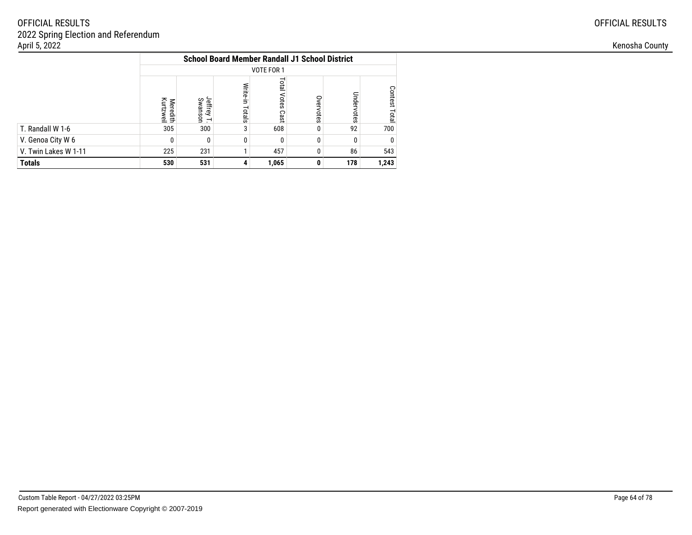|                      | <b>School Board Member Randall J1 School District</b> |                                  |                    |                                      |           |            |               |  |  |  |  |
|----------------------|-------------------------------------------------------|----------------------------------|--------------------|--------------------------------------|-----------|------------|---------------|--|--|--|--|
|                      | VOTE FOR 1                                            |                                  |                    |                                      |           |            |               |  |  |  |  |
|                      | Kurtzweil<br>Meredith                                 | Jeffrey<br>Jenirey T.<br>Swanson | Write-in<br>Totals | <b>Total</b><br><b>Votes</b><br>Cast | Overvotes | Undervotes | Contest Total |  |  |  |  |
| T. Randall W 1-6     | 305                                                   | 300                              |                    | 608                                  |           | 92         | 700           |  |  |  |  |
| V. Genoa City W 6    | 0                                                     |                                  |                    | 0                                    | $\Omega$  | 0          | $\mathbf{0}$  |  |  |  |  |
| V. Twin Lakes W 1-11 | 225                                                   | 231                              |                    | 457                                  | 0         | 86         | 543           |  |  |  |  |
| <b>Totals</b>        | 530                                                   | 531                              |                    | 1,065                                | 0         | 178        | 1,243         |  |  |  |  |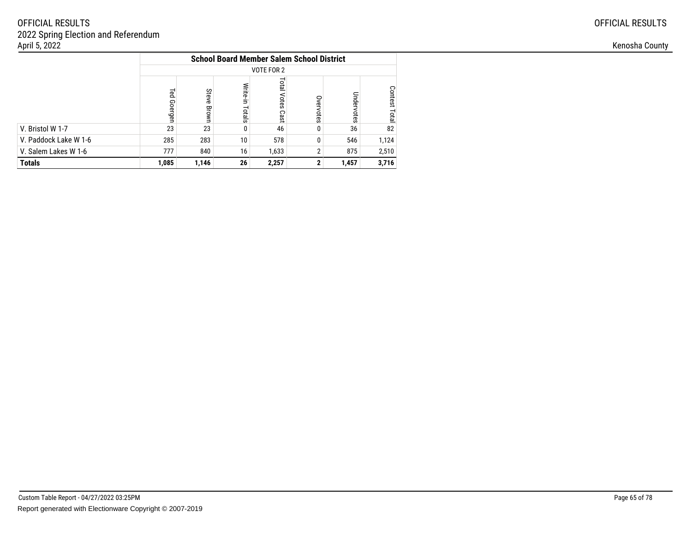|                       | <b>School Board Member Salem School District</b> |                |                    |                     |                |            |                                |  |  |  |  |
|-----------------------|--------------------------------------------------|----------------|--------------------|---------------------|----------------|------------|--------------------------------|--|--|--|--|
|                       | VOTE FOR 2                                       |                |                    |                     |                |            |                                |  |  |  |  |
|                       | <b>Led</b><br>Goergen                            | Steve<br>Brown | Write-in<br>Totals | Total Votes<br>Cast | Overvotes      | Undervotes | <b>Contest</b><br><b>Total</b> |  |  |  |  |
| V. Bristol W 1-7      | 23                                               | 23             |                    | 46                  |                | 36         | 82                             |  |  |  |  |
| V. Paddock Lake W 1-6 | 285                                              | 283            | 10                 | 578                 | 0              | 546        | 1,124                          |  |  |  |  |
| V. Salem Lakes W 1-6  | 777                                              | 840            | 16                 | 1,633               | $\overline{2}$ | 875        | 2,510                          |  |  |  |  |
| <b>Totals</b>         | 1,085                                            | 1,146          | 26                 | 2,257               |                | 1,457      | 3,716                          |  |  |  |  |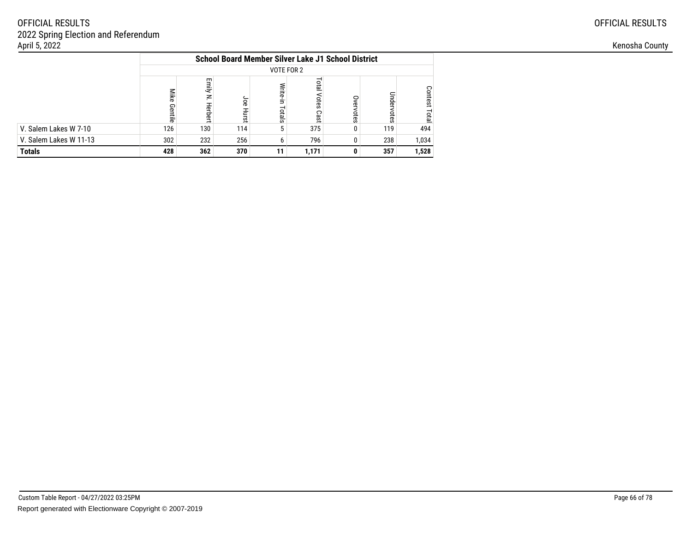|                        | <b>School Board Member Silver Lake J1 School District</b> |                            |             |                   |                        |               |               |                         |  |  |  |  |
|------------------------|-----------------------------------------------------------|----------------------------|-------------|-------------------|------------------------|---------------|---------------|-------------------------|--|--|--|--|
|                        | VOTE FOR 2                                                |                            |             |                   |                        |               |               |                         |  |  |  |  |
|                        | Mike<br>Gentile                                           | Emily<br>$\geq$<br>Herbert | ag<br>Hurst | Write-in<br>siste | Total<br>Votes<br>Cast | Over<br>votes | Under<br>otes | <b>Contest</b><br>Total |  |  |  |  |
| V. Salem Lakes W 7-10  | 126                                                       | 130                        | 114         | 5                 | 375                    |               | 119           | 494                     |  |  |  |  |
| V. Salem Lakes W 11-13 | 302                                                       | 232                        | 256         | 6                 | 796                    |               | 238           | 1,034                   |  |  |  |  |
| <b>Totals</b>          | 362<br>370<br>428<br>357<br>1,528<br>1,171<br>11          |                            |             |                   |                        |               |               |                         |  |  |  |  |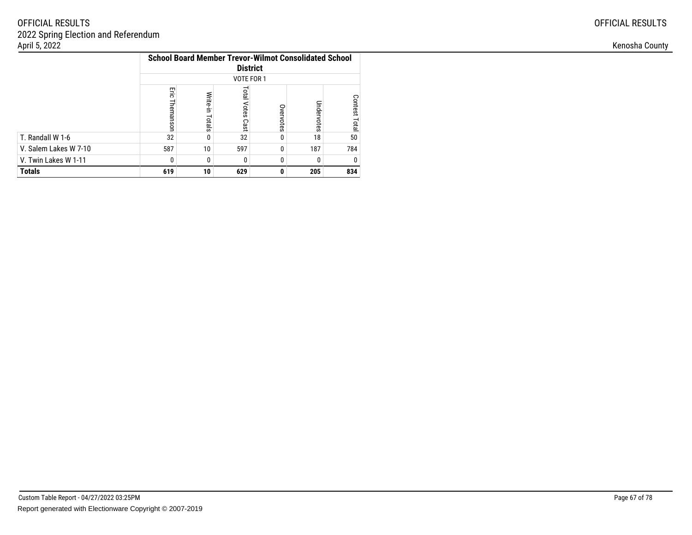|                       | <b>School Board Member Trevor-Wilmot Consolidated School</b><br><b>District</b><br>VOTE FOR 1 |                    |                               |           |            |                  |  |  |  |  |  |
|-----------------------|-----------------------------------------------------------------------------------------------|--------------------|-------------------------------|-----------|------------|------------------|--|--|--|--|--|
|                       | Ξi<br>Themanson                                                                               | Write-in<br>Totals | <b>Total</b><br>Votes<br>Cast | Overvotes | Undervotes | Contest<br>Total |  |  |  |  |  |
| T. Randall W 1-6      | 32                                                                                            |                    | 32                            | 0         | 18         | 50               |  |  |  |  |  |
| V. Salem Lakes W 7-10 | 587                                                                                           | 10 <sup>1</sup>    | 597                           | 0         | 187        | 784              |  |  |  |  |  |
| V. Twin Lakes W 1-11  | 0                                                                                             | $\Omega$           | $\Omega$                      | 0         | 0          |                  |  |  |  |  |  |
| <b>Totals</b>         | 834<br>619<br>10<br>629<br>205<br>O                                                           |                    |                               |           |            |                  |  |  |  |  |  |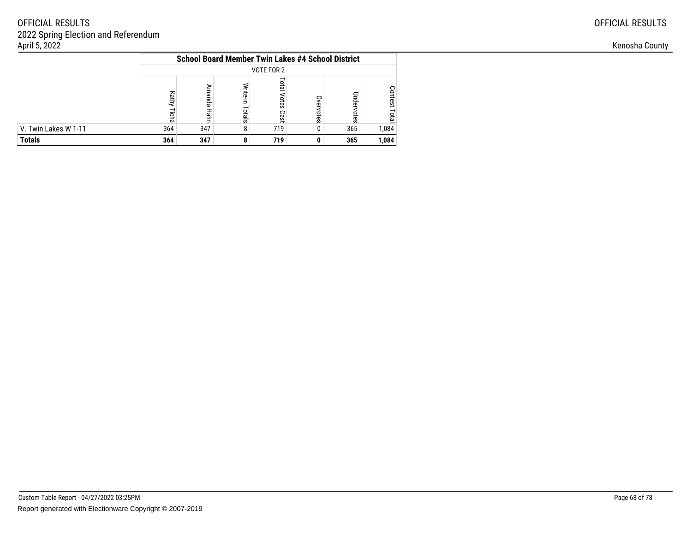|                      |                                                                                                                                           | <b>School Board Member Twin Lakes #4 School District</b> |  |     |  |     |       |  |  |  |  |
|----------------------|-------------------------------------------------------------------------------------------------------------------------------------------|----------------------------------------------------------|--|-----|--|-----|-------|--|--|--|--|
|                      | VOTE FOR 2                                                                                                                                |                                                          |  |     |  |     |       |  |  |  |  |
|                      | <b>Lota</b><br>Write-in<br>⋗<br>Contest<br>ruanda<br>Kathy<br>Indervotes<br>otes<br>ξ<br>Totals<br>votes<br>Нahn<br>Total<br>Cast<br>icha |                                                          |  |     |  |     |       |  |  |  |  |
| V. Twin Lakes W 1-11 | 364                                                                                                                                       | 347                                                      |  | 719 |  | 365 | 1,084 |  |  |  |  |
| <b>Totals</b>        | 364                                                                                                                                       | 347                                                      |  | 719 |  | 365 | 1,084 |  |  |  |  |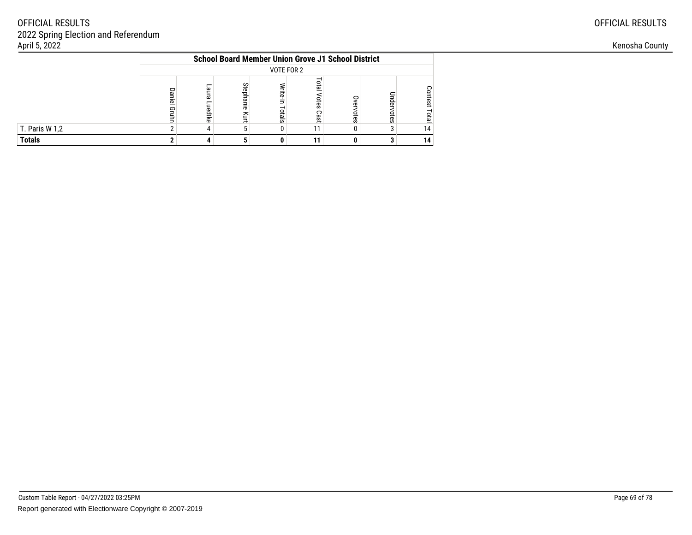|                | <b>School Board Member Union Grove J1 School District</b>                                                                                                   |  |  |  |    |  |  |    |  |  |  |
|----------------|-------------------------------------------------------------------------------------------------------------------------------------------------------------|--|--|--|----|--|--|----|--|--|--|
|                | VOTE FOR 2                                                                                                                                                  |  |  |  |    |  |  |    |  |  |  |
|                | eta<br>Stephan<br>Vrite-<br>Son<br>aura<br>Daniel<br>3<br>otes<br>rest<br>≘<br>നാ<br>uedtke<br>高.<br>Gruhn<br>otals<br>Cast<br>otes<br>ξ<br><b>DTB</b><br>g |  |  |  |    |  |  |    |  |  |  |
| T. Paris W 1,2 |                                                                                                                                                             |  |  |  | 11 |  |  | 14 |  |  |  |
| <b>Totals</b>  |                                                                                                                                                             |  |  |  | 11 |  |  | 14 |  |  |  |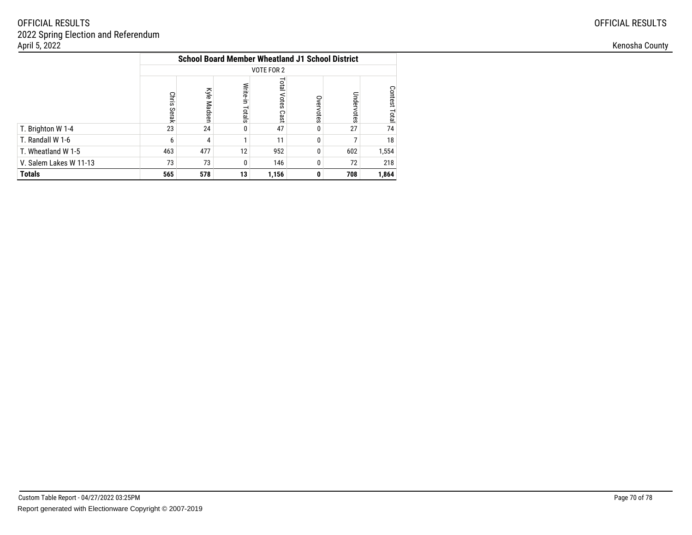|                        | <b>School Board Member Wheatland J1 School District</b> |             |                    |                            |           |            |                                |  |  |  |  |  |
|------------------------|---------------------------------------------------------|-------------|--------------------|----------------------------|-----------|------------|--------------------------------|--|--|--|--|--|
|                        | <b>VOTE FOR 2</b>                                       |             |                    |                            |           |            |                                |  |  |  |  |  |
|                        | <b>Chris</b><br>Serak                                   | Kyle Madser | Write-in<br>Totals | <b>Total Votes</b><br>Cast | Overvotes | Undervotes | <b>Contest</b><br><b>Total</b> |  |  |  |  |  |
| T. Brighton W 1-4      | 23                                                      | 24          | 0                  | 47                         | 0         | 27         | 74                             |  |  |  |  |  |
| T. Randall W 1-6       | 6                                                       | 4           |                    | 11                         | $\Omega$  |            | 18                             |  |  |  |  |  |
| T. Wheatland W 1-5     | 463                                                     | 477         | 12                 | 952                        | 0         | 602        | 1,554                          |  |  |  |  |  |
| V. Salem Lakes W 11-13 | 73                                                      | 73          | 0                  | 146                        | 0         | 72         | 218                            |  |  |  |  |  |
| <b>Totals</b>          | 565                                                     | 578         | 13                 | 1,156                      | 0         | 708        | 1,864                          |  |  |  |  |  |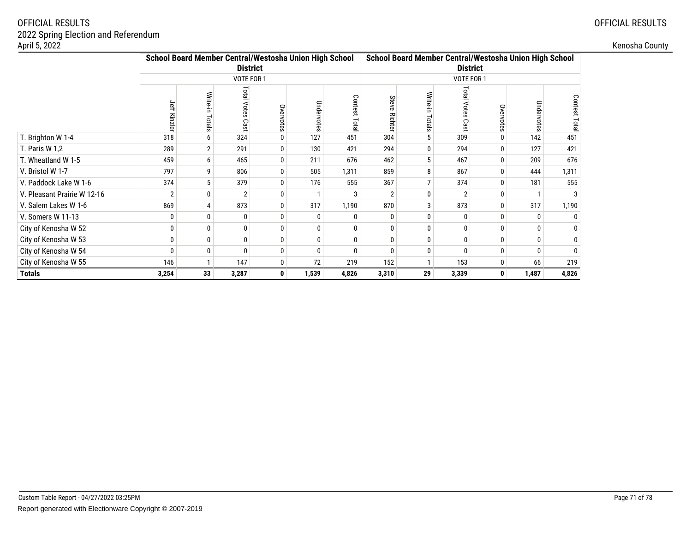| \pril 5, 2022               |                                                        |                         |                 |                  |              |                   |                 |                     |                 |          |                                                        |                | Kenosha County |
|-----------------------------|--------------------------------------------------------|-------------------------|-----------------|------------------|--------------|-------------------|-----------------|---------------------|-----------------|----------|--------------------------------------------------------|----------------|----------------|
|                             | School Board Member Central/Westosha Union High School |                         | <b>District</b> |                  |              |                   |                 |                     | <b>District</b> |          | School Board Member Central/Westosha Union High School |                |                |
|                             |                                                        |                         | VOTE FOR 1      |                  |              |                   |                 |                     | VOTE FOR 1      |          |                                                        |                |                |
|                             | Jeff                                                   | Write<br>$\overline{a}$ | Total<br>Votes  | Ove<br>votes     | Undel<br>ĒS  | Conte<br>Ö<br>ota | Stev<br>ത്<br>쯩 | ವ<br>$\overline{a}$ | ನ               | Öve      | Undel                                                  | Contest<br>ota |                |
| T. Brighton W 1-4           | 318                                                    | -6                      | 324             | $\mathbf{0}$     | 127          | 451               | 304             |                     | 309             |          | 142                                                    | 451            |                |
| T. Paris W 1,2              | 289                                                    |                         | 291             | $\boldsymbol{0}$ | 130          | 421               | 294             |                     | 294             |          | 127                                                    | 421            |                |
| T. Wheatland W 1-5          | 459                                                    | 6                       | 465             | $\Omega$         | 211          | 676               | 462             |                     | 467             |          | 209                                                    | 676            |                |
| V. Bristol W 1-7            | 797                                                    | 9                       | 806             | $\mathbf{0}$     | 505          | 1,311             | 859             | 8                   | 867             | 0        | 444                                                    | 1,311          |                |
| V. Paddock Lake W 1-6       | 374                                                    |                         | 379             | $\mathbf{0}$     | 176          | 555               | 367             |                     | 374             |          | 181                                                    | 555            |                |
| V. Pleasant Prairie W 12-16 |                                                        |                         |                 | $\boldsymbol{0}$ |              | 3                 |                 |                     |                 |          |                                                        |                |                |
| V. Salem Lakes W 1-6        | 869                                                    |                         | 873             | $\Omega$         | 317          | 1,190             | 870             |                     | 873             |          | 317                                                    | 1,190          |                |
| V. Somers W 11-13           |                                                        |                         |                 | 0                | $\mathbf{0}$ | $\Omega$          |                 |                     |                 |          |                                                        |                |                |
| City of Kenosha W 52        | $\Omega$                                               |                         | $\Omega$        | $\boldsymbol{0}$ | $\mathbf 0$  | $\mathbf{0}$      |                 |                     |                 |          |                                                        |                |                |
| City of Kenosha W 53        |                                                        |                         |                 | $\boldsymbol{0}$ | 0            | $\mathbf{0}$      |                 |                     |                 |          |                                                        |                |                |
| City of Kenosha W 54        | $\Omega$                                               | 0                       |                 | 0                | $\pmb{0}$    | $\mathbf{0}$      |                 |                     |                 |          |                                                        |                |                |
| City of Kenosha W 55        | 146                                                    |                         | 147             | $\mathbf 0$      | 72           | 219               | 152             |                     | 153             | $\Omega$ | 66                                                     | 219            |                |
| Totals                      | 3,254                                                  | 33                      | 3,287           | $\mathbf{0}$     | 1,539        | 4,826             | 3,310           | 29                  | 3,339           | 0        | 1,487                                                  | 4,826          |                |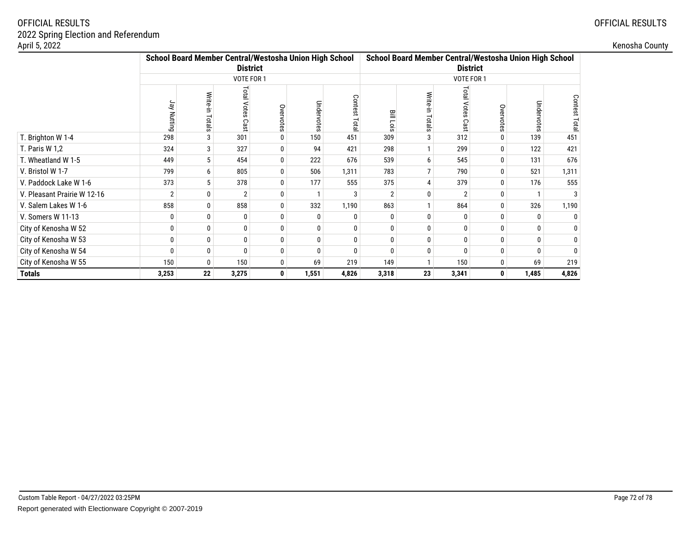| April 5, 2022               |                                                                                         |                    |                                      |                  |                 |                |          |                                                                                         |                                  |              |            |                 |  |  |
|-----------------------------|-----------------------------------------------------------------------------------------|--------------------|--------------------------------------|------------------|-----------------|----------------|----------|-----------------------------------------------------------------------------------------|----------------------------------|--------------|------------|-----------------|--|--|
|                             | School Board Member Central/Westosha Union High School<br><b>District</b><br>VOTE FOR 1 |                    |                                      |                  |                 |                |          | School Board Member Central/Westosha Union High School<br><b>District</b><br>VOTE FOR 1 |                                  |              |            |                 |  |  |
|                             |                                                                                         |                    |                                      |                  |                 |                |          |                                                                                         |                                  |              |            |                 |  |  |
|                             | Jay Nutting                                                                             | Write-in<br>Totals | <b>Total Votes</b><br>δā<br>$\omega$ | Overvotes        | Undervote<br>čĀ | Contest<br>ota | 믈<br>öis | Write<br>otals                                                                          | <b>Total</b><br>ςg<br>$\epsilon$ | Öve          | Undervotes | Contest<br>Tota |  |  |
| T. Brighton W 1-4           | 298                                                                                     | 3                  | 301                                  | 0                | 150             | 451            | 309      |                                                                                         | 312                              |              | 139        | 451             |  |  |
| T. Paris W 1,2              | 324                                                                                     | 3                  | 327                                  | 0                | 94              | 421            | 298      |                                                                                         | 299                              |              | 122        | 421             |  |  |
| T. Wheatland W 1-5          | 449                                                                                     | 5                  | 454                                  | $\mathbf{0}$     | 222             | 676            | 539      |                                                                                         | 545                              |              | 131        | 676             |  |  |
| V. Bristol W 1-7            | 799                                                                                     | 6                  | 805                                  | 0                | 506             | 1,311          | 783      |                                                                                         | 790                              | $\mathbf{0}$ | 521        | 1,311           |  |  |
| V. Paddock Lake W 1-6       | 373                                                                                     | 5                  | 378                                  | 0                | 177             | 555            | 375      |                                                                                         | 379                              |              | 176        | 555             |  |  |
| V. Pleasant Prairie W 12-16 | $\overline{2}$                                                                          | 0                  | $\overline{2}$                       | 0                |                 | 3              |          |                                                                                         |                                  |              |            |                 |  |  |
| V. Salem Lakes W 1-6        | 858                                                                                     | $\mathbf{0}$       | 858                                  | $\mathbf{0}$     | 332             | 1,190          | 863      |                                                                                         | 864                              |              | 326        | 1,190           |  |  |
| V. Somers W 11-13           |                                                                                         | 0                  | 0                                    | $\Omega$         |                 |                |          |                                                                                         |                                  |              | $\Omega$   |                 |  |  |
| City of Kenosha W 52        |                                                                                         | 0                  | $\bf{0}$                             | $\mathbf{0}$     | $\Omega$        |                |          |                                                                                         |                                  | $\mathbf{0}$ | 0          |                 |  |  |
| City of Kenosha W 53        |                                                                                         | $\mathbf{0}$       | $\bf{0}$                             | $\boldsymbol{0}$ |                 |                |          |                                                                                         |                                  |              | 0          |                 |  |  |
| City of Kenosha W 54        |                                                                                         | $\bf{0}$           | $\mathbf{0}$                         | 0                | $\Omega$        |                |          |                                                                                         |                                  |              | 0          |                 |  |  |
| City of Kenosha W 55        | 150                                                                                     | 0                  | 150                                  | $\mathbf 0$      | 69              | 219            | 149      |                                                                                         | 150                              | 0            | 69         | 219             |  |  |
| <b>Totals</b>               | 3,253                                                                                   | 22                 | 3,275                                | $\mathbf 0$      | 1,551           | 4,826          | 3,318    | 23                                                                                      | 3,341                            | $\mathbf{0}$ | 1,485      | 4,826           |  |  |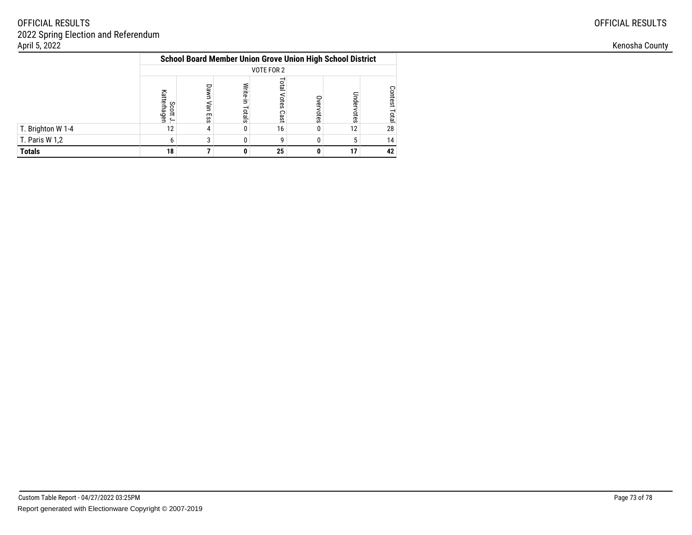|                   | <b>School Board Member Union Grove Union High School District</b><br>VOTE FOR 2<br><b>Lota</b><br>Write-in<br>Dawn<br><b>Contest</b><br>Votes<br>Nan |     |        |      |           |            |              |  |  |  |  |  |  |  |
|-------------------|------------------------------------------------------------------------------------------------------------------------------------------------------|-----|--------|------|-----------|------------|--------------|--|--|--|--|--|--|--|
|                   |                                                                                                                                                      |     |        |      |           |            |              |  |  |  |  |  |  |  |
|                   | Katterhager<br>Scott<br>$\leftarrow$                                                                                                                 | Ess | Totals | Cast | Overvotes | Jndervotes | <b>Total</b> |  |  |  |  |  |  |  |
| T. Brighton W 1-4 | 12                                                                                                                                                   | 4   |        | 16   |           | 12         | 28           |  |  |  |  |  |  |  |
| T. Paris W 1,2    | 6                                                                                                                                                    | ◠   |        | g    |           |            | 14           |  |  |  |  |  |  |  |
| <b>Totals</b>     | 18                                                                                                                                                   |     |        | 25   |           | 17         | 42           |  |  |  |  |  |  |  |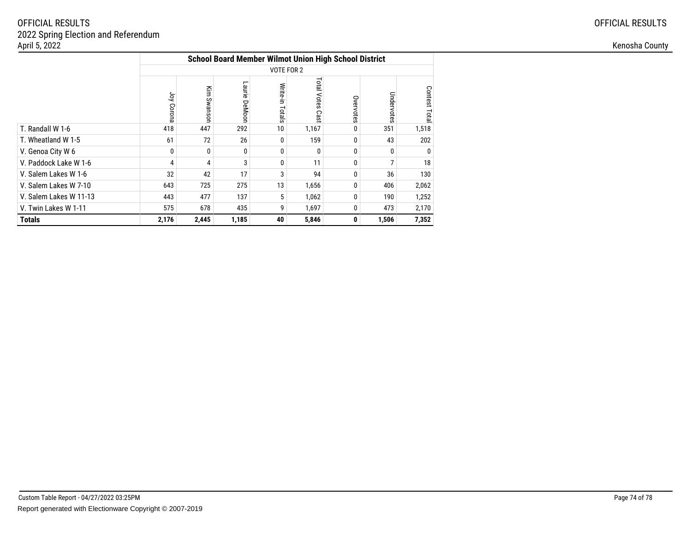|                        |              |             |                  |                    | <b>School Board Member Wilmot Union High School District</b> |              |            |               |  |  |  |  |  |
|------------------------|--------------|-------------|------------------|--------------------|--------------------------------------------------------------|--------------|------------|---------------|--|--|--|--|--|
|                        | VOTE FOR 2   |             |                  |                    |                                                              |              |            |               |  |  |  |  |  |
|                        | γğ<br>Corona | Kim Swanson | Laurie<br>DeMoon | Write-in<br>Totals | Total Votes<br>Cast                                          | Overvotes    | Undervotes | Contest Total |  |  |  |  |  |
| T. Randall W 1-6       | 418          | 447         | 292              | 10                 | 1,167                                                        | 0            | 351        | 1,518         |  |  |  |  |  |
| T. Wheatland W 1-5     | 61           | 72          | 26               | 0                  | 159                                                          | 0            | 43         | 202           |  |  |  |  |  |
| V. Genoa City W 6      | 0            | 0           | $\Omega$         | 0                  | 0                                                            | 0            | 0          | $\mathbf{0}$  |  |  |  |  |  |
| V. Paddock Lake W 1-6  | 4            | 4           | 3                | 0                  | 11                                                           | 0            |            | 18            |  |  |  |  |  |
| V. Salem Lakes W 1-6   | 32           | 42          | 17               | 3                  | 94                                                           | 0            | 36         | 130           |  |  |  |  |  |
| V. Salem Lakes W 7-10  | 643          | 725         | 275              | 13                 | 1,656                                                        | $\mathbf{0}$ | 406        | 2,062         |  |  |  |  |  |
| V. Salem Lakes W 11-13 | 443          | 477         | 137              | 5                  | 1,062                                                        | 0            | 190        | 1,252         |  |  |  |  |  |
| V. Twin Lakes W 1-11   | 575          | 678         | 435              | 9                  | 1,697                                                        | 0            | 473        | 2,170         |  |  |  |  |  |
| <b>Totals</b>          | 2,176        | 2,445       | 1,185            | 40                 | 5,846                                                        | 0            | 1,506      | 7,352         |  |  |  |  |  |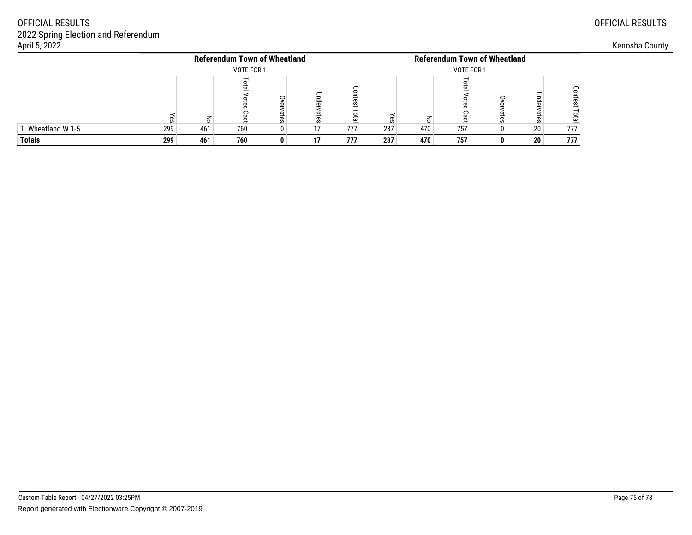| April 5, 2022      |     |                                     |            |                                     |    |     |     |            |     |  |           |     |  |  |
|--------------------|-----|-------------------------------------|------------|-------------------------------------|----|-----|-----|------------|-----|--|-----------|-----|--|--|
|                    |     | <b>Referendum Town of Wheatland</b> |            | <b>Referendum Town of Wheatland</b> |    |     |     |            |     |  |           |     |  |  |
|                    |     |                                     | VOTE FOR 1 |                                     |    |     |     | VOTE FOR 1 |     |  |           |     |  |  |
|                    | നാ  |                                     | Cast       | Ö                                   |    |     |     |            |     |  | pule<br>ā |     |  |  |
| T. Wheatland W 1-5 | 299 | 461                                 | 760        |                                     | 17 | 777 | 287 | 470        | 757 |  | 20        | 777 |  |  |
| <b>Totals</b>      | 299 | 461                                 | 760        | 0                                   | 17 | 777 | 287 | 470        | 757 |  | 20        | 777 |  |  |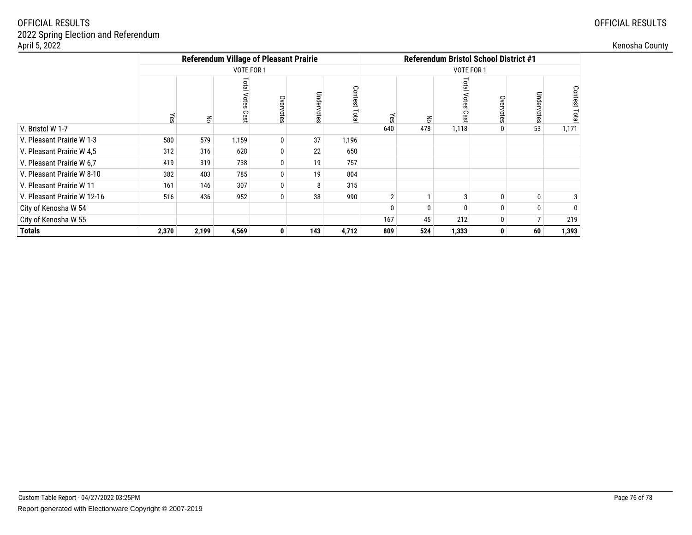| April 5, 2022               |       |       |                                               |           |            |                    |     |     |              |              |                |                | Kenosha County |
|-----------------------------|-------|-------|-----------------------------------------------|-----------|------------|--------------------|-----|-----|--------------|--------------|----------------|----------------|----------------|
|                             |       |       | <b>Referendum Village of Pleasant Prairie</b> |           |            |                    |     |     |              |              |                |                |                |
|                             |       |       | VOTE FOR 1                                    |           |            |                    |     |     | VOTE FOR 1   |              |                |                |                |
|                             | γes   | 종     | otal Votes<br>Cast                            | Overvotes | Undervotes | Contest<br>a.<br>a | γes | 종   | ອີ           | Ove          | Undervotes     | Contest<br>ota |                |
| V. Bristol W 1-7            |       |       |                                               |           |            |                    | 640 | 478 | 1,118        |              | 53             | 1,171          |                |
| V. Pleasant Prairie W 1-3   | 580   | 579   | 1,159                                         | 0         | 37         | 1,196              |     |     |              |              |                |                |                |
| V. Pleasant Prairie W 4,5   | 312   | 316   | 628                                           | 0         | 22         | 650                |     |     |              |              |                |                |                |
| V. Pleasant Prairie W 6,7   | 419   | 319   | 738                                           | 0         | 19         | 757                |     |     |              |              |                |                |                |
| V. Pleasant Prairie W 8-10  | 382   | 403   | 785                                           | 0         | 19         | 804                |     |     |              |              |                |                |                |
| V. Pleasant Prairie W 11    | 161   | 146   | 307                                           | 0         | 8          | 315                |     |     |              |              |                |                |                |
| V. Pleasant Prairie W 12-16 | 516   | 436   | 952                                           | 0         | 38         | 990                |     |     | 3            |              |                |                |                |
| City of Kenosha W 54        |       |       |                                               |           |            |                    |     |     | <sup>0</sup> |              |                |                |                |
| City of Kenosha W 55        |       |       |                                               |           |            |                    | 167 | 45  | 212          | $\mathbf{0}$ | $\overline{7}$ | 219            |                |
| <b>Totals</b>               | 2,370 | 2,199 | 4,569                                         | 0         | 143        | 4,712              | 809 | 524 | 1,333        | $\mathbf{0}$ | 60             | 1,393          |                |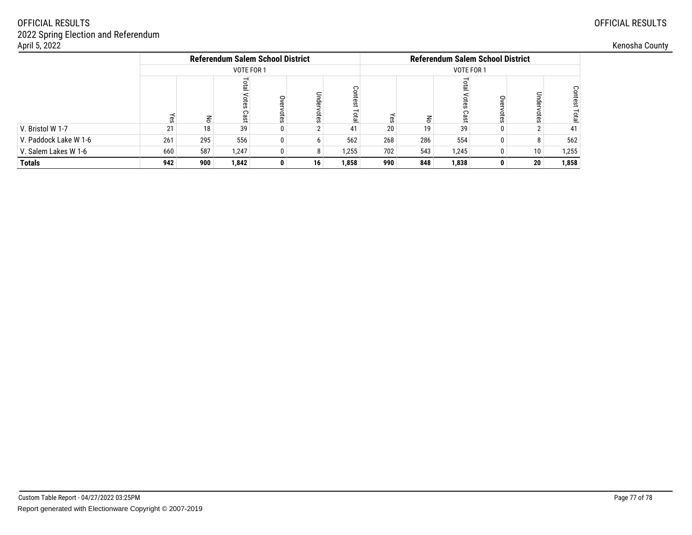| April 5, 2022         |           |     |            |                                         |    |       |     |            |       |                                         |                 |          | Kenosha County |  |
|-----------------------|-----------|-----|------------|-----------------------------------------|----|-------|-----|------------|-------|-----------------------------------------|-----------------|----------|----------------|--|
|                       |           |     |            | <b>Referendum Salem School District</b> |    |       |     |            |       | <b>Referendum Salem School District</b> |                 |          |                |  |
|                       |           |     | VOTE FOR 1 |                                         |    |       |     | VOTE FOR 1 |       |                                         |                 |          |                |  |
|                       | $\bar{z}$ | 종   | ota<br>Cas | S<br>ወ<br>otes                          | ਨ  |       |     |            |       |                                         | Under<br>otes   | ₽<br>tes |                |  |
| V. Bristol W 1-7      |           | 18  | 39         | 0                                       |    | 41    | 20  | 19         | 39    |                                         |                 | 41       |                |  |
| V. Paddock Lake W 1-6 | 261       | 295 | 556        | 0                                       |    | 562   | 268 | 286        | 554   |                                         |                 | 562      |                |  |
| V. Salem Lakes W 1-6  | 660       | 587 | 1,247      | 0                                       | 8  | 1,255 | 702 | 543        | 1,245 |                                         | 10              | 1,255    |                |  |
| <b>Totals</b>         | 942       | 900 | 1,842      | 0                                       | 16 | 1,858 | 990 | 848        | 1,838 |                                         | 20 <sup>1</sup> | 1,858    |                |  |